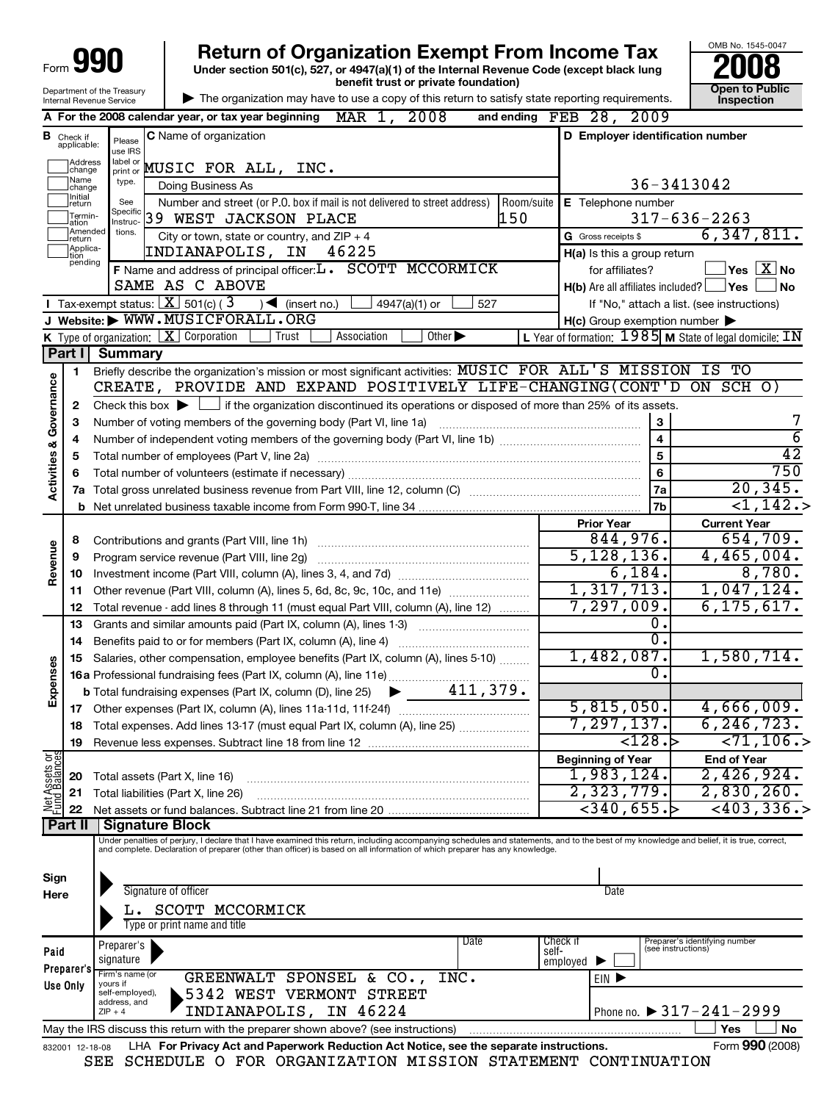| Form                                                   |                                  |                             | <b>Return of Organization Exempt From Income Tax</b><br>Under section 501(c), 527, or 4947(a)(1) of the Internal Revenue Code (except black lung                                                                                                                                                                         |                                                           | OMB No. 1545-0047                                 |
|--------------------------------------------------------|----------------------------------|-----------------------------|--------------------------------------------------------------------------------------------------------------------------------------------------------------------------------------------------------------------------------------------------------------------------------------------------------------------------|-----------------------------------------------------------|---------------------------------------------------|
| Department of the Treasury<br>Internal Revenue Service |                                  |                             | benefit trust or private foundation)<br>The organization may have to use a copy of this return to satisfy state reporting requirements.                                                                                                                                                                                  |                                                           | Open to Public<br><b>Inspection</b>               |
|                                                        |                                  |                             | A For the 2008 calendar year, or tax year beginning $MR 1, 2008$                                                                                                                                                                                                                                                         | and ending FEB 28, 2009                                   |                                                   |
|                                                        | <b>B</b> Check if<br>applicable: | Please<br>use IRS           | C Name of organization                                                                                                                                                                                                                                                                                                   | D Employer identification number                          |                                                   |
|                                                        | Address<br>change<br> Name       | label or<br>print or        | MUSIC FOR ALL, INC.                                                                                                                                                                                                                                                                                                      |                                                           |                                                   |
|                                                        | change<br>Initial                | type.                       | Doing Business As                                                                                                                                                                                                                                                                                                        |                                                           | 36-3413042                                        |
|                                                        | return<br>Termin-<br>ation       | See                         | Number and street (or P.O. box if mail is not delivered to street address)<br>Room/suite<br>Specific 39 WEST JACKSON PLACE<br>150                                                                                                                                                                                        | E Telephone number                                        | $317 - 636 - 2263$                                |
|                                                        | Amended<br>Ireturn               | tions.                      | City or town, state or country, and $ZIP + 4$                                                                                                                                                                                                                                                                            | G Gross receipts \$                                       | 6,347,811.                                        |
|                                                        | Applica-<br>tion<br>pending      |                             | 46225<br>INDIANAPOLIS, IN                                                                                                                                                                                                                                                                                                | H(a) Is this a group return                               |                                                   |
|                                                        |                                  |                             | F Name and address of principal officer:L. SCOTT MCCORMICK<br>SAME AS C ABOVE                                                                                                                                                                                                                                            | for affiliates?                                           | $\sqrt{}$ Yes $\sqrt{}\,\overline{X}$ No          |
|                                                        |                                  |                             | <b>I</b> Tax-exempt status: $X$ 501(c) (3<br>$\bigcup$ (insert no.)<br>527<br>4947(a)(1) or                                                                                                                                                                                                                              | $H(b)$ Are all affiliates included? $\Box$ Yes            | ∣No<br>If "No," attach a list. (see instructions) |
|                                                        |                                  |                             | J Website: WWW.MUSICFORALL.ORG                                                                                                                                                                                                                                                                                           | $H(c)$ Group exemption number $\blacktriangleright$       |                                                   |
|                                                        |                                  |                             | K Type of organization: $X$ Corporation<br>Trust<br>Association<br>Other $\blacktriangleright$                                                                                                                                                                                                                           | L Year of formation: $1985$ M State of legal domicile: IN |                                                   |
|                                                        | Part I                           | <b>Summary</b>              |                                                                                                                                                                                                                                                                                                                          |                                                           |                                                   |
|                                                        | 1                                |                             | Briefly describe the organization's mission or most significant activities: MUSIC FOR ALL <sup>T</sup> S MISSION IS TO                                                                                                                                                                                                   |                                                           |                                                   |
| Activities & Governance                                |                                  |                             | CREATE, PROVIDE AND EXPAND POSITIVELY LIFE-CHANGING(CONT'D ON SCH O)                                                                                                                                                                                                                                                     |                                                           |                                                   |
|                                                        | 2<br>з                           |                             | Check this box $\blacktriangleright$ $\blacksquare$ if the organization discontinued its operations or disposed of more than 25% of its assets.<br>Number of voting members of the governing body (Part VI, line 1a)                                                                                                     | З                                                         |                                                   |
|                                                        | 4                                |                             |                                                                                                                                                                                                                                                                                                                          | 4                                                         | $\overline{6}$                                    |
|                                                        | 5                                |                             |                                                                                                                                                                                                                                                                                                                          | 5                                                         | 42                                                |
|                                                        | 6                                |                             |                                                                                                                                                                                                                                                                                                                          | 6                                                         | 750                                               |
|                                                        | 7a                               |                             |                                                                                                                                                                                                                                                                                                                          | 7a                                                        | 20, 345.                                          |
|                                                        | b                                |                             |                                                                                                                                                                                                                                                                                                                          | 7b                                                        | $\overline{1,142.}$                               |
|                                                        |                                  |                             |                                                                                                                                                                                                                                                                                                                          | <b>Prior Year</b>                                         | <b>Current Year</b>                               |
|                                                        | 8                                |                             |                                                                                                                                                                                                                                                                                                                          | 844,976.                                                  | 654, 709.                                         |
|                                                        | 9                                |                             | Program service revenue (Part VIII, line 2g)                                                                                                                                                                                                                                                                             | 5,128,136.                                                | 4,465,004.                                        |
| Revenue                                                | 10                               |                             |                                                                                                                                                                                                                                                                                                                          | 6,184.                                                    | 8,780.                                            |
|                                                        | 11                               |                             | Other revenue (Part VIII, column (A), lines 5, 6d, 8c, 9c, 10c, and 11e)                                                                                                                                                                                                                                                 | 1,317,713.                                                | 1,047,124.                                        |
|                                                        | 12                               |                             | Total revenue - add lines 8 through 11 (must equal Part VIII, column (A), line 12)                                                                                                                                                                                                                                       | 7, 297, 009.                                              | 6, 175, 617.                                      |
|                                                        | 13                               |                             | Grants and similar amounts paid (Part IX, column (A), lines 1-3)                                                                                                                                                                                                                                                         | 0.                                                        |                                                   |
|                                                        | 14                               |                             | Benefits paid to or for members (Part IX, column (A), line 4)                                                                                                                                                                                                                                                            | $\overline{0}$ .                                          |                                                   |
| Expenses                                               |                                  |                             | 15 Salaries, other compensation, employee benefits (Part IX, column (A), lines 5-10)                                                                                                                                                                                                                                     | 1,482,087.                                                | 1,580,714.                                        |
|                                                        |                                  |                             | 16a Professional fundraising fees (Part IX, column (A), line 11e)<br>$\blacktriangleright$ 411,379.                                                                                                                                                                                                                      | $\mathbf 0$ .                                             |                                                   |
|                                                        |                                  |                             | <b>b</b> Total fundraising expenses (Part IX, column (D), line 25)                                                                                                                                                                                                                                                       | 5,815,050.                                                | 4,666,009.                                        |
|                                                        | 17<br>18                         |                             | Total expenses. Add lines 13-17 (must equal Part IX, column (A), line 25)                                                                                                                                                                                                                                                | 7, 297, 137.                                              | 6, 246, 723.                                      |
|                                                        | 19                               |                             |                                                                                                                                                                                                                                                                                                                          | $\overline{$ 128.5}                                       | $\overline{271,106.}$                             |
|                                                        |                                  |                             |                                                                                                                                                                                                                                                                                                                          | <b>Beginning of Year</b>                                  | <b>End of Year</b>                                |
|                                                        | 20                               |                             | Total assets (Part X, line 16)                                                                                                                                                                                                                                                                                           | 1,983,124.                                                | 2,426,924.                                        |
| Net Assets or<br>Fund Balances                         | 21                               |                             | Total liabilities (Part X, line 26)                                                                                                                                                                                                                                                                                      | 2,323,779.                                                | 2,830,260.                                        |
|                                                        | 22                               |                             |                                                                                                                                                                                                                                                                                                                          | $\leftarrow$ 340,655.                                     | $<$ 403, 336.>                                    |
|                                                        | Part II                          |                             | <b>Signature Block</b>                                                                                                                                                                                                                                                                                                   |                                                           |                                                   |
|                                                        |                                  |                             | Under penalties of perjury, I declare that I have examined this return, including accompanying schedules and statements, and to the best of my knowledge and belief, it is true, correct,<br>and complete. Declaration of preparer (other than officer) is based on all information of which preparer has any knowledge. |                                                           |                                                   |
|                                                        |                                  |                             |                                                                                                                                                                                                                                                                                                                          |                                                           |                                                   |
| Sign<br>Here                                           |                                  |                             | Signature of officer                                                                                                                                                                                                                                                                                                     | Date                                                      |                                                   |
|                                                        |                                  |                             |                                                                                                                                                                                                                                                                                                                          |                                                           |                                                   |
|                                                        |                                  |                             | SCOTT MCCORMICK<br>Type or print name and title                                                                                                                                                                                                                                                                          |                                                           |                                                   |
|                                                        |                                  | Preparer's                  | Date                                                                                                                                                                                                                                                                                                                     | Check if                                                  | Preparer's identifying number                     |
| Paid                                                   |                                  | signature                   |                                                                                                                                                                                                                                                                                                                          | (see instructions)<br>self-<br>employed                   |                                                   |
|                                                        | Preparer's                       | Firm's name (or             | GREENWALT SPONSEL & CO.,<br>INC.                                                                                                                                                                                                                                                                                         | EIN D                                                     |                                                   |
|                                                        | Use Only                         | yours if<br>self-employed), | 5342 WEST VERMONT STREET                                                                                                                                                                                                                                                                                                 |                                                           |                                                   |
|                                                        |                                  | address, and<br>$ZIP + 4$   | INDIANAPOLIS, IN 46224                                                                                                                                                                                                                                                                                                   |                                                           | Phone no. ▶ 317-241-2999                          |
|                                                        |                                  |                             | May the IRS discuss this return with the preparer shown above? (see instructions)                                                                                                                                                                                                                                        |                                                           | Yes<br>No                                         |
|                                                        | 832001 12-18-08                  |                             | LHA For Privacy Act and Paperwork Reduction Act Notice, see the separate instructions.                                                                                                                                                                                                                                   |                                                           | Form 990 (2008)                                   |

| SEE SCHEDULE O FOR ORGANIZATION MISSION STATEMENT CONTINUATION |  |  |  |  |
|----------------------------------------------------------------|--|--|--|--|
|----------------------------------------------------------------|--|--|--|--|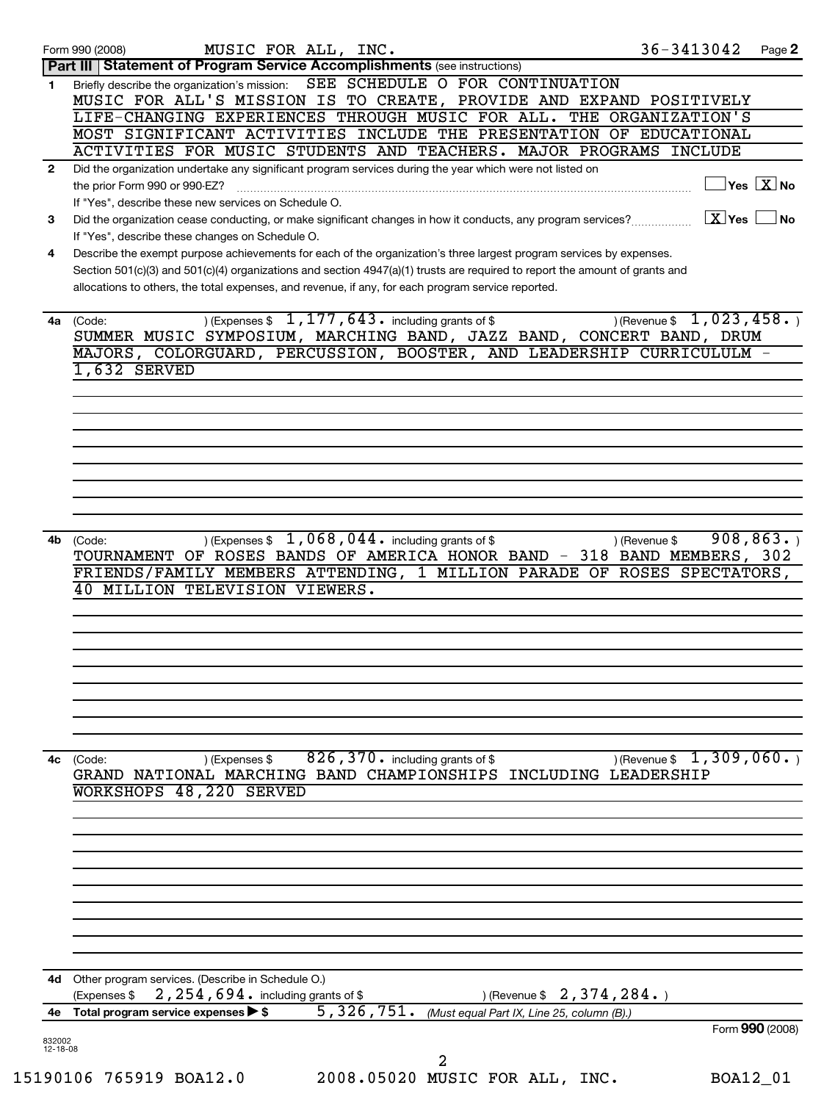|                    | MUSIC FOR ALL, INC.<br>Form 990 (2008)                                                                                      | 36-3413042<br>Page 2             |
|--------------------|-----------------------------------------------------------------------------------------------------------------------------|----------------------------------|
|                    | Part III   Statement of Program Service Accomplishments (see instructions)                                                  |                                  |
| 1.                 | Briefly describe the organization's mission: SEE SCHEDULE O FOR CONTINUATION                                                |                                  |
|                    | MUSIC FOR ALL'S MISSION IS TO CREATE, PROVIDE AND EXPAND POSITIVELY                                                         |                                  |
|                    | LIFE-CHANGING EXPERIENCES THROUGH MUSIC FOR ALL. THE ORGANIZATION'S                                                         |                                  |
|                    | MOST SIGNIFICANT ACTIVITIES INCLUDE THE PRESENTATION OF EDUCATIONAL                                                         |                                  |
|                    | ACTIVITIES FOR MUSIC STUDENTS AND TEACHERS. MAJOR PROGRAMS INCLUDE                                                          |                                  |
|                    |                                                                                                                             |                                  |
| $\mathbf{2}$       | Did the organization undertake any significant program services during the year which were not listed on                    |                                  |
|                    | the prior Form 990 or 990-EZ?                                                                                               | $\Box$ Yes $\boxed{\text{X}}$ No |
|                    | If "Yes", describe these new services on Schedule O.                                                                        |                                  |
| 3                  |                                                                                                                             |                                  |
|                    | If "Yes", describe these changes on Schedule O.                                                                             |                                  |
| 4                  | Describe the exempt purpose achievements for each of the organization's three largest program services by expenses.         |                                  |
|                    | Section 501(c)(3) and 501(c)(4) organizations and section 4947(a)(1) trusts are required to report the amount of grants and |                                  |
|                    | allocations to others, the total expenses, and revenue, if any, for each program service reported.                          |                                  |
|                    |                                                                                                                             |                                  |
|                    | $(1, 177, 643)$ including grants of \$<br>4a (Code:                                                                         | $($ Revenue \$ 1,023,458.        |
|                    |                                                                                                                             |                                  |
|                    | SUMMER MUSIC SYMPOSIUM, MARCHING BAND, JAZZ BAND, CONCERT BAND, DRUM                                                        |                                  |
|                    | MAJORS, COLORGUARD, PERCUSSION, BOOSTER, AND LEADERSHIP CURRICULULM -                                                       |                                  |
|                    | 1,632 SERVED                                                                                                                |                                  |
|                    |                                                                                                                             |                                  |
|                    |                                                                                                                             |                                  |
|                    |                                                                                                                             |                                  |
|                    |                                                                                                                             |                                  |
|                    |                                                                                                                             |                                  |
|                    |                                                                                                                             |                                  |
|                    |                                                                                                                             |                                  |
|                    |                                                                                                                             |                                  |
|                    |                                                                                                                             |                                  |
|                    |                                                                                                                             |                                  |
| 4b                 | ) (Expenses $$1,068,044$ including grants of $$$<br>(Code:                                                                  | 908, 863.<br>) (Revenue \$       |
|                    | TOURNAMENT OF ROSES BANDS OF AMERICA HONOR BAND - 318 BAND MEMBERS, 302                                                     |                                  |
|                    | FRIENDS/FAMILY MEMBERS ATTENDING, 1 MILLION PARADE OF ROSES SPECTATORS,                                                     |                                  |
|                    | 40 MILLION TELEVISION VIEWERS.                                                                                              |                                  |
|                    |                                                                                                                             |                                  |
|                    |                                                                                                                             |                                  |
|                    |                                                                                                                             |                                  |
|                    |                                                                                                                             |                                  |
|                    |                                                                                                                             |                                  |
|                    |                                                                                                                             |                                  |
|                    |                                                                                                                             |                                  |
|                    |                                                                                                                             |                                  |
|                    |                                                                                                                             |                                  |
|                    |                                                                                                                             |                                  |
|                    | $826$ , $370$ . including grants of \$                                                                                      | $($ Revenue \$ 1, 309, 060.      |
|                    | ) (Expenses \$<br>4c (Code:<br>GRAND NATIONAL MARCHING BAND CHAMPIONSHIPS INCLUDING LEADERSHIP                              |                                  |
|                    |                                                                                                                             |                                  |
|                    | WORKSHOPS 48,220 SERVED                                                                                                     |                                  |
|                    |                                                                                                                             |                                  |
|                    |                                                                                                                             |                                  |
|                    |                                                                                                                             |                                  |
|                    |                                                                                                                             |                                  |
|                    |                                                                                                                             |                                  |
|                    |                                                                                                                             |                                  |
|                    |                                                                                                                             |                                  |
|                    |                                                                                                                             |                                  |
|                    |                                                                                                                             |                                  |
|                    |                                                                                                                             |                                  |
|                    |                                                                                                                             |                                  |
|                    |                                                                                                                             |                                  |
|                    | 4d Other program services. (Describe in Schedule O.)                                                                        |                                  |
|                    | 2, 254, 694. including grants of \$<br>) (Revenue \$ $2, 374, 284.$ )<br>(Expenses \$                                       |                                  |
|                    | 5,326,751.<br>4e Total program service expenses > \$<br>(Must equal Part IX, Line 25, column (B).)                          |                                  |
|                    |                                                                                                                             | Form 990 (2008)                  |
|                    |                                                                                                                             |                                  |
| 832002<br>12-18-08 |                                                                                                                             |                                  |
|                    | 2<br>15190106 765919 BOA12.0<br>2008.05020 MUSIC FOR ALL, INC.                                                              | BOA12_01                         |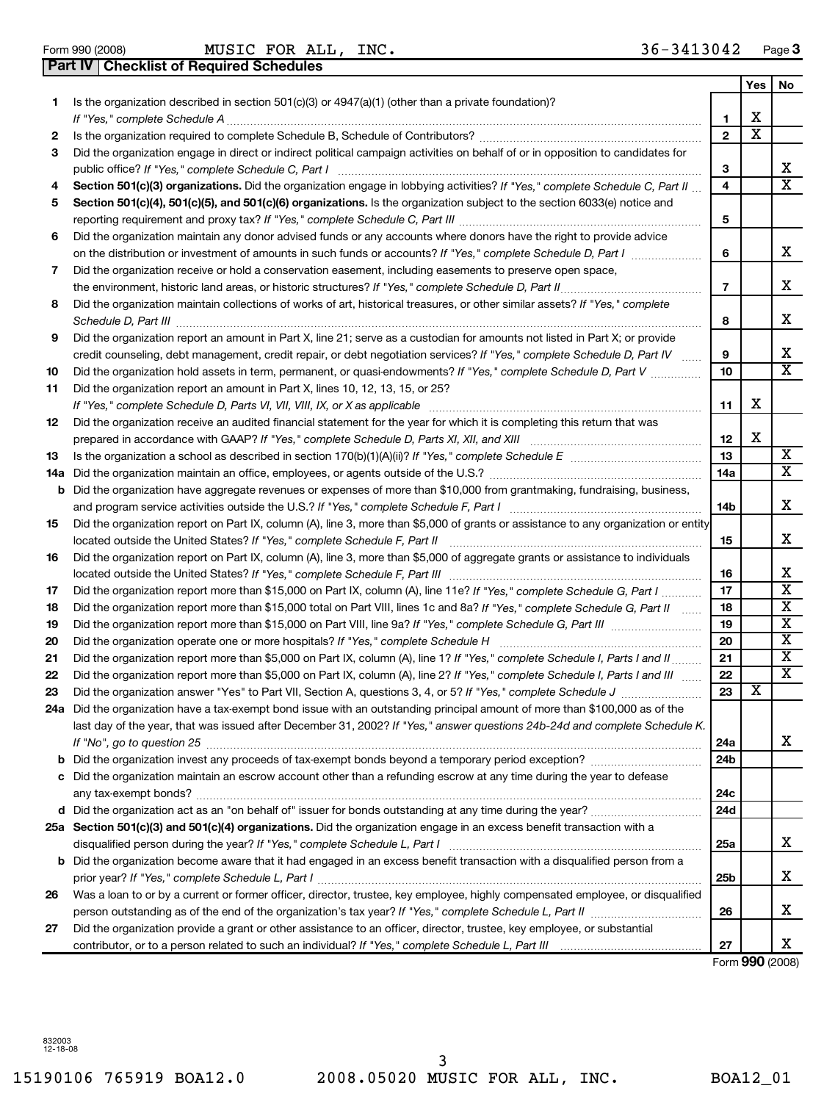**Part IV Checklist of Required Schedules**

Form 990 (2008) Page **3** MUSIC FOR ALL, INC. 36-3413042

|     |                                                                                                                                     |                 | Yes | No                      |
|-----|-------------------------------------------------------------------------------------------------------------------------------------|-----------------|-----|-------------------------|
| 1   | Is the organization described in section 501(c)(3) or 4947(a)(1) (other than a private foundation)?                                 |                 |     |                         |
|     |                                                                                                                                     | 1               | х   |                         |
| 2   | Is the organization required to complete Schedule B, Schedule of Contributors? [[[[[[[[[[[[[[[[[[[[[[[[[[[]]]]                      | $\mathbf{2}$    | X   |                         |
| 3   | Did the organization engage in direct or indirect political campaign activities on behalf of or in opposition to candidates for     |                 |     |                         |
|     | public office? If "Yes," complete Schedule C, Part I                                                                                | 3               |     | x                       |
| 4   | Section 501(c)(3) organizations. Did the organization engage in lobbying activities? If "Yes," complete Schedule C, Part II         | 4               |     | X                       |
| 5   | Section 501(c)(4), 501(c)(5), and 501(c)(6) organizations. Is the organization subject to the section 6033(e) notice and            |                 |     |                         |
|     |                                                                                                                                     | 5               |     |                         |
| 6   | Did the organization maintain any donor advised funds or any accounts where donors have the right to provide advice                 |                 |     |                         |
|     | on the distribution or investment of amounts in such funds or accounts? If "Yes," complete Schedule D, Part I                       | 6               |     | X.                      |
| 7   | Did the organization receive or hold a conservation easement, including easements to preserve open space,                           |                 |     |                         |
|     |                                                                                                                                     | $\overline{7}$  |     | х                       |
| 8   | Did the organization maintain collections of works of art, historical treasures, or other similar assets? If "Yes," complete        |                 |     |                         |
|     |                                                                                                                                     | 8               |     | x                       |
| 9   | Did the organization report an amount in Part X, line 21; serve as a custodian for amounts not listed in Part X; or provide         |                 |     |                         |
|     | credit counseling, debt management, credit repair, or debt negotiation services? If "Yes," complete Schedule D, Part IV             | 9               |     | X.                      |
| 10  | Did the organization hold assets in term, permanent, or quasi-endowments? If "Yes," complete Schedule D, Part V                     | 10              |     | $\overline{\mathbf{x}}$ |
| 11  | Did the organization report an amount in Part X, lines 10, 12, 13, 15, or 25?                                                       |                 |     |                         |
|     |                                                                                                                                     | 11              | x   |                         |
| 12  | Did the organization receive an audited financial statement for the year for which it is completing this return that was            |                 |     |                         |
|     |                                                                                                                                     | 12              | х   |                         |
| 13  |                                                                                                                                     | 13              |     | х<br>х                  |
| 14a |                                                                                                                                     | 14a             |     |                         |
| b   | Did the organization have aggregate revenues or expenses of more than \$10,000 from grantmaking, fundraising, business,             |                 |     | x                       |
|     |                                                                                                                                     | 14b             |     |                         |
| 15  | Did the organization report on Part IX, column (A), line 3, more than \$5,000 of grants or assistance to any organization or entity | 15              |     | x                       |
| 16  | Did the organization report on Part IX, column (A), line 3, more than \$5,000 of aggregate grants or assistance to individuals      |                 |     |                         |
|     |                                                                                                                                     | 16              |     | х                       |
| 17  | Did the organization report more than \$15,000 on Part IX, column (A), line 11e? If "Yes," complete Schedule G, Part I              | 17              |     | х                       |
| 18  | Did the organization report more than \$15,000 total on Part VIII, lines 1c and 8a? If "Yes," complete Schedule G, Part II          | 18              |     | х                       |
| 19  |                                                                                                                                     | 19              |     | х                       |
| 20  |                                                                                                                                     | 20              |     | X                       |
| 21  | Did the organization report more than \$5,000 on Part IX, column (A), line 1? If "Yes," complete Schedule I, Parts I and II         | 21              |     | х                       |
| 22  | Did the organization report more than \$5,000 on Part IX, column (A), line 2? If "Yes," complete Schedule I, Parts I and III        | 22              |     | X                       |
| 23  |                                                                                                                                     | 23              | х   |                         |
| 24a | Did the organization have a tax-exempt bond issue with an outstanding principal amount of more than \$100,000 as of the             |                 |     |                         |
|     | last day of the year, that was issued after December 31, 2002? If "Yes," answer questions 24b-24d and complete Schedule K.          |                 |     |                         |
|     |                                                                                                                                     | 24a             |     | X.                      |
|     |                                                                                                                                     | 24 <sub>b</sub> |     |                         |
|     | c Did the organization maintain an escrow account other than a refunding escrow at any time during the year to defease              |                 |     |                         |
|     |                                                                                                                                     | 24c             |     |                         |
|     |                                                                                                                                     | 24d             |     |                         |
|     | 25a Section 501(c)(3) and 501(c)(4) organizations. Did the organization engage in an excess benefit transaction with a              |                 |     |                         |
|     |                                                                                                                                     | 25a             |     | х                       |
|     | <b>b</b> Did the organization become aware that it had engaged in an excess benefit transaction with a disqualified person from a   |                 |     |                         |
|     |                                                                                                                                     | 25 <sub>b</sub> |     | x                       |
| 26  | Was a loan to or by a current or former officer, director, trustee, key employee, highly compensated employee, or disqualified      |                 |     |                         |
|     |                                                                                                                                     | 26              |     | X.                      |
| 27  | Did the organization provide a grant or other assistance to an officer, director, trustee, key employee, or substantial             |                 |     |                         |
|     |                                                                                                                                     | 27              |     | X.                      |

Form **990** (2008)

832003 12-18-08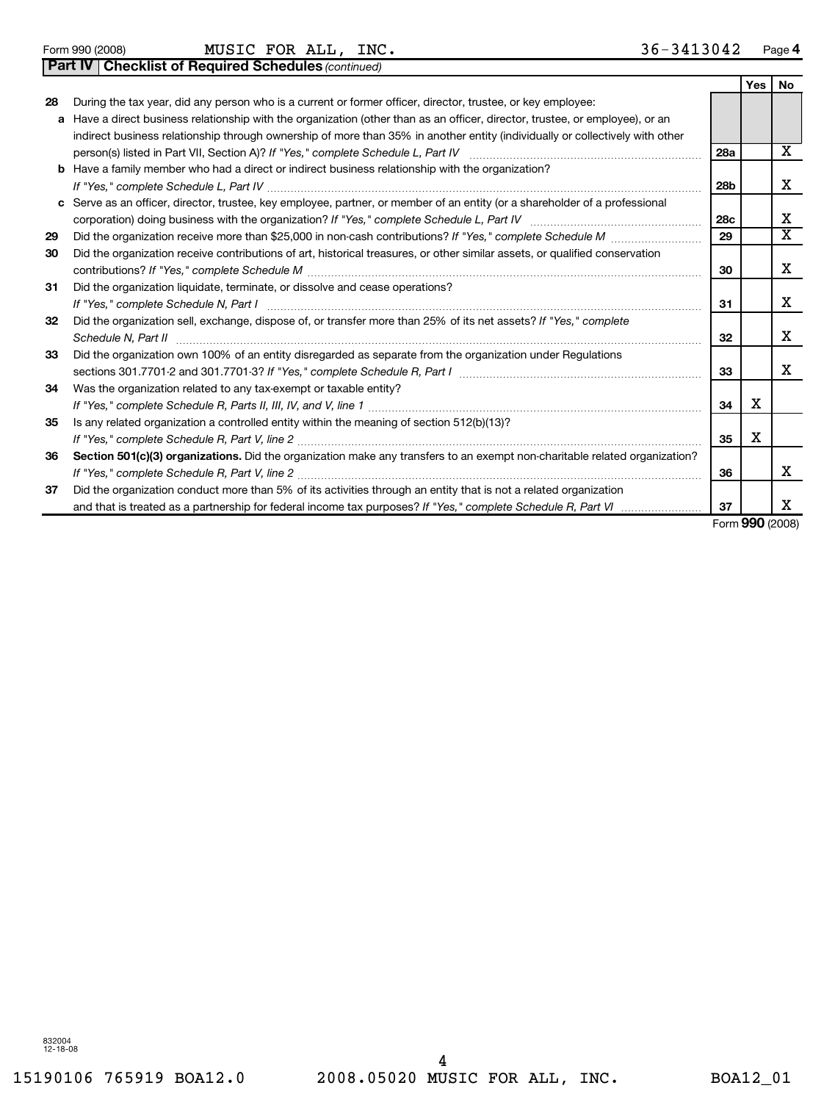Form 990 (2008) Page **4** MUSIC FOR ALL, INC. 36-3413042

**Part IV Checklist of Required Schedules** *(continued)*

|    |                                                                                                                              |                 | <b>Yes</b> | No |
|----|------------------------------------------------------------------------------------------------------------------------------|-----------------|------------|----|
| 28 | During the tax year, did any person who is a current or former officer, director, trustee, or key employee:                  |                 |            |    |
| a  | Have a direct business relationship with the organization (other than as an officer, director, trustee, or employee), or an  |                 |            |    |
|    | indirect business relationship through ownership of more than 35% in another entity (individually or collectively with other |                 |            |    |
|    | person(s) listed in Part VII, Section A)? If "Yes," complete Schedule L, Part IV                                             | <b>28a</b>      |            | x  |
|    | <b>b</b> Have a family member who had a direct or indirect business relationship with the organization?                      |                 |            |    |
|    |                                                                                                                              | 28b             |            | x  |
|    | c Serve as an officer, director, trustee, key employee, partner, or member of an entity (or a shareholder of a professional  |                 |            |    |
|    |                                                                                                                              | 28 <sub>c</sub> |            | х  |
| 29 | Did the organization receive more than \$25,000 in non-cash contributions? If "Yes," complete Schedule M                     | 29              |            | X  |
| 30 | Did the organization receive contributions of art, historical treasures, or other similar assets, or qualified conservation  |                 |            |    |
|    |                                                                                                                              | 30              |            | x  |
| 31 | Did the organization liquidate, terminate, or dissolve and cease operations?                                                 |                 |            |    |
|    |                                                                                                                              | 31              |            | x  |
| 32 | Did the organization sell, exchange, dispose of, or transfer more than 25% of its net assets? If "Yes," complete             |                 |            |    |
|    | Schedule N, Part II                                                                                                          | 32              |            | x  |
| 33 | Did the organization own 100% of an entity disregarded as separate from the organization under Regulations                   |                 |            |    |
|    | sections 301.7701-2 and 301.7701-3? If "Yes," complete Schedule R, Part I                                                    | 33              |            | х  |
| 34 | Was the organization related to any tax-exempt or taxable entity?                                                            |                 |            |    |
|    |                                                                                                                              | 34              | x          |    |
| 35 | Is any related organization a controlled entity within the meaning of section 512(b)(13)?                                    |                 |            |    |
|    |                                                                                                                              | 35              | X          |    |
| 36 | Section 501(c)(3) organizations. Did the organization make any transfers to an exempt non-charitable related organization?   |                 |            |    |
|    |                                                                                                                              | 36              |            | х  |
| 37 | Did the organization conduct more than 5% of its activities through an entity that is not a related organization             |                 |            |    |
|    | and that is treated as a partnership for federal income tax purposes? If "Yes," complete Schedule R, Part VI                 | 37              |            | х  |

Form **990** (2008)

832004 12-18-08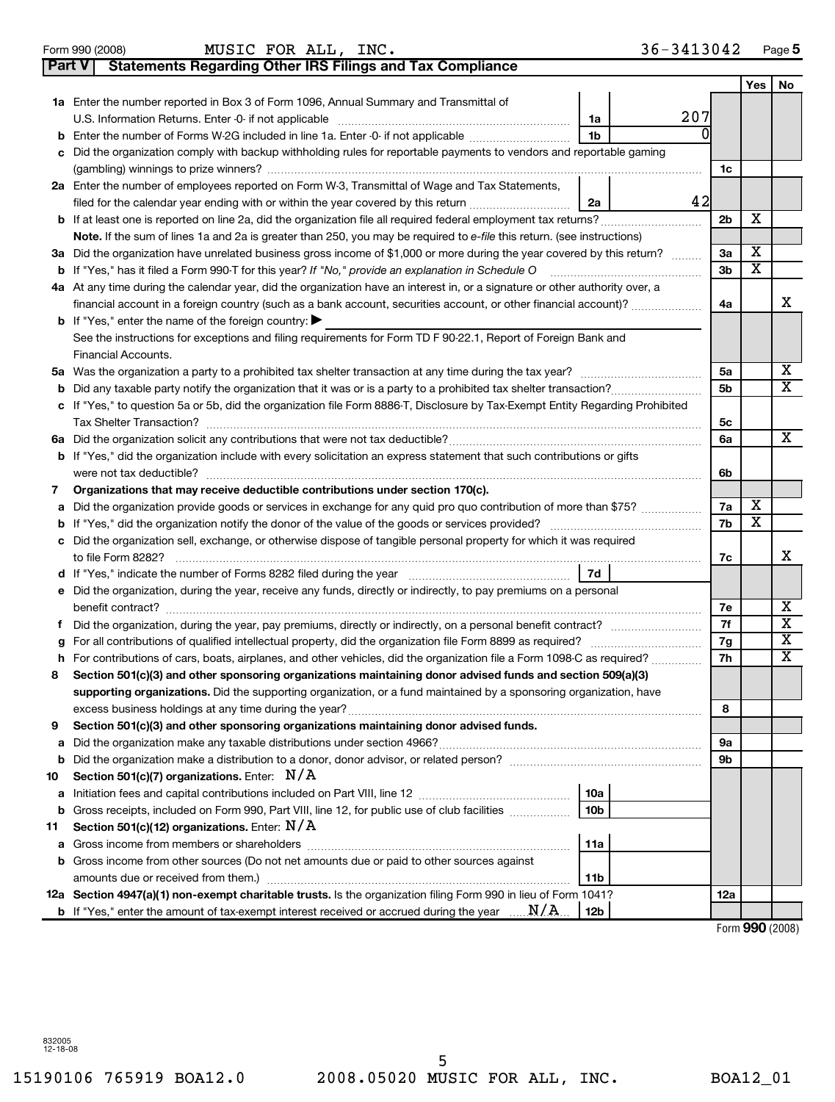|    | 36-3413042<br>MUSIC FOR ALL, INC.<br>Form 990 (2008)                                                                                                 |                |                         | Page 5                  |
|----|------------------------------------------------------------------------------------------------------------------------------------------------------|----------------|-------------------------|-------------------------|
|    | <b>Statements Regarding Other IRS Filings and Tax Compliance</b><br><b>Part V</b>                                                                    |                |                         |                         |
|    |                                                                                                                                                      |                | Yes                     | No                      |
|    | <b>1a</b> Enter the number reported in Box 3 of Form 1096, Annual Summary and Transmittal of                                                         |                |                         |                         |
|    | 207<br>1a                                                                                                                                            |                |                         |                         |
|    | <b>b</b> Enter the number of Forms W-2G included in line 1a. Enter -0- if not applicable<br>1b                                                       |                |                         |                         |
|    | c Did the organization comply with backup withholding rules for reportable payments to vendors and reportable gaming                                 |                |                         |                         |
|    |                                                                                                                                                      | 1c             |                         |                         |
|    | 2a Enter the number of employees reported on Form W-3, Transmittal of Wage and Tax Statements,                                                       |                |                         |                         |
|    | 42<br>filed for the calendar year ending with or within the year covered by this return<br>2a                                                        |                |                         |                         |
|    |                                                                                                                                                      | 2 <sub>b</sub> | х                       |                         |
|    | Note. If the sum of lines 1a and 2a is greater than 250, you may be required to e-file this return. (see instructions)                               |                |                         |                         |
|    | 3a Did the organization have unrelated business gross income of \$1,000 or more during the year covered by this return?                              | За             | Χ                       |                         |
|    |                                                                                                                                                      | Зb             | x                       |                         |
|    | 4a At any time during the calendar year, did the organization have an interest in, or a signature or other authority over, a                         |                |                         |                         |
|    | financial account in a foreign country (such as a bank account, securities account, or other financial account)?                                     | 4a             |                         | х                       |
|    | <b>b</b> If "Yes," enter the name of the foreign country: $\blacktriangleright$                                                                      |                |                         |                         |
|    | See the instructions for exceptions and filing requirements for Form TD F 90-22.1, Report of Foreign Bank and                                        |                |                         |                         |
|    | Financial Accounts.                                                                                                                                  |                |                         | $\overline{\mathbf{X}}$ |
|    |                                                                                                                                                      | 5a             |                         | $\overline{\mathtt{X}}$ |
|    | <b>b</b> Did any taxable party notify the organization that it was or is a party to a prohibited tax shelter transaction?                            | 5b             |                         |                         |
|    | c If "Yes," to question 5a or 5b, did the organization file Form 8886-T, Disclosure by Tax-Exempt Entity Regarding Prohibited                        |                |                         |                         |
|    |                                                                                                                                                      | 5с<br>6a       |                         | X                       |
|    | <b>b</b> If "Yes," did the organization include with every solicitation an express statement that such contributions or gifts                        |                |                         |                         |
|    |                                                                                                                                                      | 6b             |                         |                         |
| 7  | Organizations that may receive deductible contributions under section 170(c).                                                                        |                |                         |                         |
| а  | Did the organization provide goods or services in exchange for any quid pro quo contribution of more than \$75?                                      | 7a             | х                       |                         |
|    |                                                                                                                                                      | 7b             | $\overline{\mathtt{x}}$ |                         |
|    | c Did the organization sell, exchange, or otherwise dispose of tangible personal property for which it was required                                  |                |                         |                         |
|    | to file Form 8282?                                                                                                                                   | 7c             |                         | х                       |
|    | 7d                                                                                                                                                   |                |                         |                         |
|    | e Did the organization, during the year, receive any funds, directly or indirectly, to pay premiums on a personal                                    |                |                         |                         |
|    |                                                                                                                                                      | 7е             |                         | Х                       |
|    |                                                                                                                                                      | 7f             |                         | $\overline{\textbf{x}}$ |
|    |                                                                                                                                                      | 7g             |                         | $\overline{\textbf{x}}$ |
|    | h For contributions of cars, boats, airplanes, and other vehicles, did the organization file a Form 1098-C as required?                              | 7h             |                         | $\overline{\text{x}}$   |
| 8  | Section 501(c)(3) and other sponsoring organizations maintaining donor advised funds and section 509(a)(3)                                           |                |                         |                         |
|    | supporting organizations. Did the supporting organization, or a fund maintained by a sponsoring organization, have                                   |                |                         |                         |
|    |                                                                                                                                                      | 8              |                         |                         |
| 9  | Section 501(c)(3) and other sponsoring organizations maintaining donor advised funds.                                                                |                |                         |                         |
| а  |                                                                                                                                                      | 9а             |                         |                         |
| b  |                                                                                                                                                      | 9b             |                         |                         |
| 10 | Section 501(c)(7) organizations. Enter: $N/A$                                                                                                        |                |                         |                         |
| а  | 10a                                                                                                                                                  |                |                         |                         |
| b  | Gross receipts, included on Form 990, Part VIII, line 12, for public use of club facilities<br>10b                                                   |                |                         |                         |
| 11 | Section 501(c)(12) organizations. Enter: $N/A$                                                                                                       |                |                         |                         |
| а  | 11a                                                                                                                                                  |                |                         |                         |
| b  | Gross income from other sources (Do not net amounts due or paid to other sources against<br>11 <sub>b</sub>                                          |                |                         |                         |
|    | 12a Section 4947(a)(1) non-exempt charitable trusts. Is the organization filing Form 990 in lieu of Form 1041?                                       | 12a            |                         |                         |
|    | <b>b</b> If "Yes," enter the amount of tax-exempt interest received or accrued during the year $\ldots$ $\mathbf{N}/\mathbf{A}$ .<br>12 <sub>b</sub> |                |                         |                         |
|    |                                                                                                                                                      |                | Form 990 (2008)         |                         |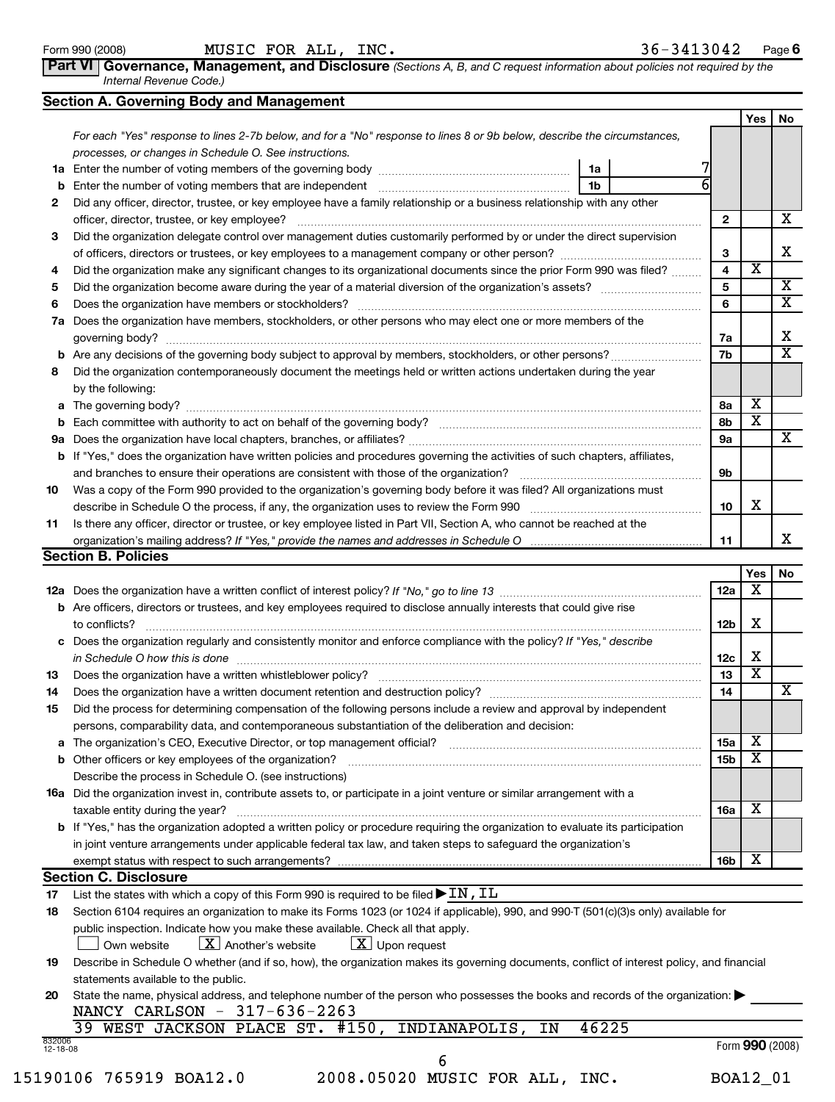| Part VI   Governance, Management, and Disclosure (Sections A, B, and C request information about policies not required by the |
|-------------------------------------------------------------------------------------------------------------------------------|
| Internal Revenue Code.)                                                                                                       |

|  |  | Section A. Governing Body and Management |
|--|--|------------------------------------------|
|  |  |                                          |

|    | Section A. Governing Body and Management                                                                                                 |    |  |  |            |            |                         |  |
|----|------------------------------------------------------------------------------------------------------------------------------------------|----|--|--|------------|------------|-------------------------|--|
|    |                                                                                                                                          |    |  |  |            | <b>Yes</b> | No                      |  |
|    | For each "Yes" response to lines 2-7b below, and for a "No" response to lines 8 or 9b below, describe the circumstances,                 |    |  |  |            |            |                         |  |
|    | processes, or changes in Schedule O. See instructions.                                                                                   |    |  |  |            |            |                         |  |
| 1a |                                                                                                                                          | 1a |  |  |            |            |                         |  |
| b  | Enter the number of voting members that are independent material contains an according to the number of voting                           | 1b |  |  |            |            |                         |  |
| 2  | Did any officer, director, trustee, or key employee have a family relationship or a business relationship with any other                 |    |  |  |            |            |                         |  |
|    | officer, director, trustee, or key employee?                                                                                             |    |  |  | 2          |            | x                       |  |
| З  | Did the organization delegate control over management duties customarily performed by or under the direct supervision                    |    |  |  |            |            |                         |  |
|    |                                                                                                                                          |    |  |  | 3          |            | x                       |  |
| 4  | Did the organization make any significant changes to its organizational documents since the prior Form 990 was filed?                    |    |  |  | 4          | X          |                         |  |
| 5  |                                                                                                                                          |    |  |  | 5          |            | x                       |  |
| 6  |                                                                                                                                          |    |  |  | 6          |            | X                       |  |
| 7a | Does the organization have members, stockholders, or other persons who may elect one or more members of the                              |    |  |  |            |            |                         |  |
|    | governing body?                                                                                                                          |    |  |  | 7a         |            | x                       |  |
| b  |                                                                                                                                          |    |  |  | 7b         |            | $\overline{\textbf{x}}$ |  |
| 8  | Did the organization contemporaneously document the meetings held or written actions undertaken during the year                          |    |  |  |            |            |                         |  |
|    | by the following:                                                                                                                        |    |  |  |            |            |                         |  |
|    |                                                                                                                                          |    |  |  | 8a         | x          |                         |  |
| b  |                                                                                                                                          |    |  |  | 8b         | х          |                         |  |
| 9а |                                                                                                                                          |    |  |  | 9a         |            | х                       |  |
| b  | If "Yes," does the organization have written policies and procedures governing the activities of such chapters, affiliates,              |    |  |  |            |            |                         |  |
|    |                                                                                                                                          |    |  |  | 9b         |            |                         |  |
| 10 | Was a copy of the Form 990 provided to the organization's governing body before it was filed? All organizations must                     |    |  |  |            |            |                         |  |
|    | describe in Schedule O the process, if any, the organization uses to review the Form 990 [111] manuming manuming manuming description of |    |  |  |            |            |                         |  |
| 11 | Is there any officer, director or trustee, or key employee listed in Part VII, Section A, who cannot be reached at the                   |    |  |  |            |            |                         |  |
|    |                                                                                                                                          |    |  |  | 11         |            | x.                      |  |
|    | <b>Section B. Policies</b>                                                                                                               |    |  |  |            |            |                         |  |
|    |                                                                                                                                          |    |  |  |            | Yes        | No                      |  |
|    |                                                                                                                                          |    |  |  | 12a        | x          |                         |  |
|    | <b>b</b> Are officers, directors or trustees, and key employees required to disclose annually interests that could give rise             |    |  |  |            |            |                         |  |
|    | to conflicts?                                                                                                                            |    |  |  | 12b        | x          |                         |  |
|    | c Does the organization regularly and consistently monitor and enforce compliance with the policy? If "Yes," describe                    |    |  |  |            |            |                         |  |
|    | in Schedule O how this is done encouragement and an architecture of the state of the state of the state of the                           |    |  |  | 12c        | x          |                         |  |
| 13 |                                                                                                                                          |    |  |  | 13         | X          |                         |  |
| 14 |                                                                                                                                          |    |  |  | 14         |            | x                       |  |
| 15 | Did the process for determining compensation of the following persons include a review and approval by independent                       |    |  |  |            |            |                         |  |
|    | persons, comparability data, and contemporaneous substantiation of the deliberation and decision:                                        |    |  |  |            |            |                         |  |
|    |                                                                                                                                          |    |  |  | <b>15a</b> | X          |                         |  |
| b  | Other officers or key employees of the organization?                                                                                     |    |  |  |            |            |                         |  |
|    | Describe the process in Schedule O. (see instructions)                                                                                   |    |  |  |            |            |                         |  |
|    | 16a Did the organization invest in, contribute assets to, or participate in a joint venture or similar arrangement with a                |    |  |  |            |            |                         |  |
|    | taxable entity during the year?                                                                                                          |    |  |  | <b>16a</b> | X          |                         |  |
|    | b If "Yes," has the organization adopted a written policy or procedure requiring the organization to evaluate its participation          |    |  |  |            |            |                         |  |
|    | in joint venture arrangements under applicable federal tax law, and taken steps to safeguard the organization's                          |    |  |  |            |            |                         |  |
|    |                                                                                                                                          |    |  |  | 16b        | х          |                         |  |
|    | <b>Section C. Disclosure</b>                                                                                                             |    |  |  |            |            |                         |  |
| 17 | List the states with which a copy of this Form 990 is required to be filed $\blacktriangleright$ IN, IL                                  |    |  |  |            |            |                         |  |
|    |                                                                                                                                          |    |  |  |            |            |                         |  |

**18** Section 6104 requires an organization to make its Forms 1023 (or 1024 if applicable), 990, and 990-T (501(c)(3)s only) available for public inspection. Indicate how you make these available. Check all that apply. Own website  $\boxed{\textbf{X}}$  Another's website  $\boxed{\textbf{X}}$  Upon request

| 19 Describe in Schedule O whether (and if so, how), the organization makes its governing documents, conflict of interest policy, and financial |
|------------------------------------------------------------------------------------------------------------------------------------------------|
| statements available to the public.                                                                                                            |

**20** State the name, physical address, and telephone number of the person who possesses the books and records of the organization:  $\blacktriangleright$ NANCY CARLSON - 317-636-2263

|                          | NANCY CARLSON - $317-636-2263$ |  |                           |    |       |                 |
|--------------------------|--------------------------------|--|---------------------------|----|-------|-----------------|
| 39                       | WEST JACKSON PLACE ST. #150,   |  | INDIANAPOLIS              | ΙN | 46225 |                 |
| 832006<br>$12 - 18 - 08$ |                                |  |                           |    |       | Form 990 (2008) |
|                          |                                |  |                           |    |       |                 |
| 15190106 765919 BOA12.0  |                                |  | 2008.05020 MUSIC FOR ALL, |    | INC.  | BOA12 01        |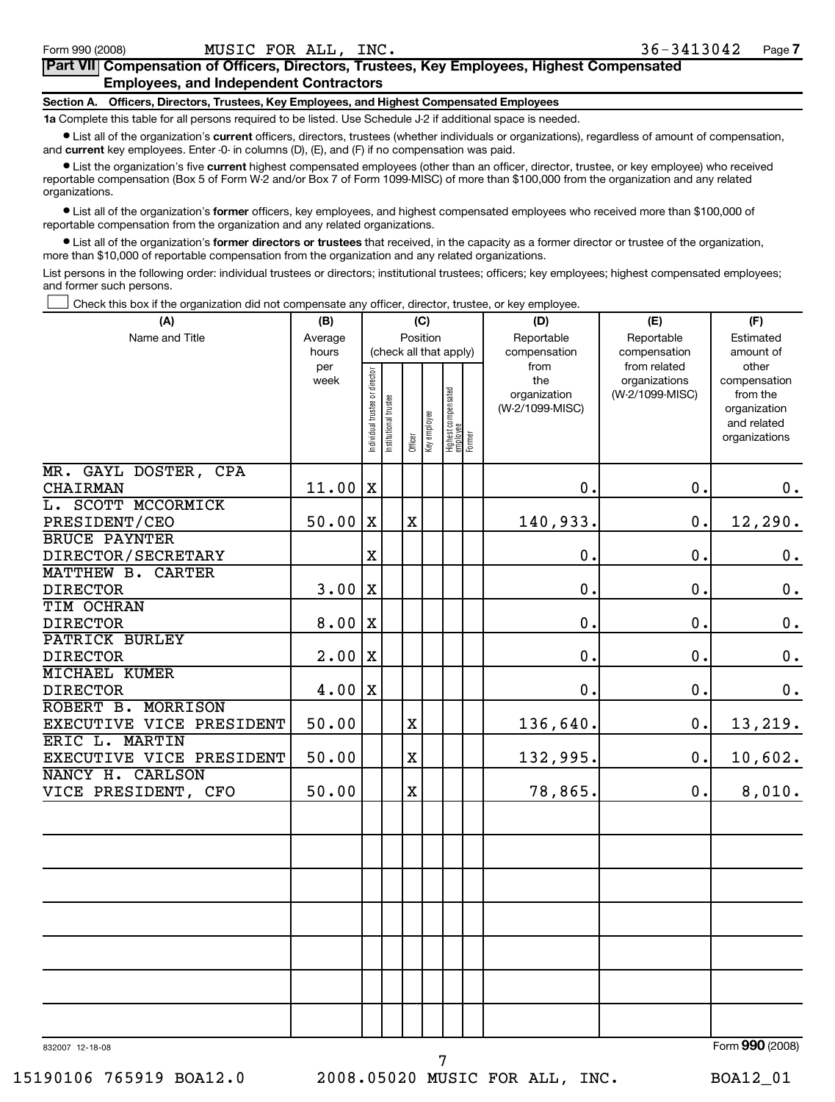#### **Part VII Compensation of Officers, Directors, Trustees, Key Employees, Highest Compensated Employees, and Independent Contractors**

#### **Section A. Officers, Directors, Trustees, Key Employees, and Highest Compensated Employees**

**1a** Complete this table for all persons required to be listed. Use Schedule J-2 if additional space is needed.

• List all of the organization's **current** officers, directors, trustees (whether individuals or organizations), regardless of amount of compensation, and **current** key employees. Enter -0- in columns (D), (E), and (F) if no compensation was paid.

• List the organization's five **current** highest compensated employees (other than an officer, director, trustee, or key employee) who received reportable compensation (Box 5 of Form W-2 and/or Box 7 of Form 1099-MISC) of more than \$100,000 from the organization and any related organizations.

• List all of the organization's **former** officers, key employees, and highest compensated employees who received more than \$100,000 of reportable compensation from the organization and any related organizations.

• List all of the organization's **former directors or trustees** that received, in the capacity as a former director or trustee of the organization, more than \$10,000 of reportable compensation from the organization and any related organizations.

List persons in the following order: individual trustees or directors; institutional trustees; officers; key employees; highest compensated employees; and former such persons.

† Check this box if the organization did not compensate any officer, director, trustee, or key employee.

| (A)                                     | (B)            | (C)                            |                      |                         |  |                                           |  | (D)                                    | (E)                              | (F)                                                                      |
|-----------------------------------------|----------------|--------------------------------|----------------------|-------------------------|--|-------------------------------------------|--|----------------------------------------|----------------------------------|--------------------------------------------------------------------------|
| Name and Title                          | Average        | Position                       |                      |                         |  |                                           |  | Reportable                             | Reportable                       | Estimated                                                                |
|                                         | hours<br>per   |                                |                      |                         |  | (check all that apply)                    |  | compensation<br>from                   | compensation<br>from related     | amount of<br>other                                                       |
|                                         | week           | Individual trustee or director | nstitutional trustee | Officer<br>Key employee |  | Highest compensated<br>employee<br>Former |  | the<br>organization<br>(W-2/1099-MISC) | organizations<br>(W-2/1099-MISC) | compensation<br>from the<br>organization<br>and related<br>organizations |
| MR. GAYL DOSTER, CPA<br><b>CHAIRMAN</b> | $11.00 \,   X$ |                                |                      |                         |  |                                           |  | 0.                                     | $\mathbf 0$ .                    | 0.                                                                       |
| L. SCOTT MCCORMICK                      |                |                                |                      |                         |  |                                           |  |                                        |                                  |                                                                          |
| PRESIDENT/CEO                           | 50.00          | $\mathbf X$                    |                      | $\mathbf X$             |  |                                           |  | 140,933.                               | $\mathbf 0$ .                    | 12,290.                                                                  |
| <b>BRUCE PAYNTER</b>                    |                |                                |                      |                         |  |                                           |  |                                        |                                  |                                                                          |
| DIRECTOR/SECRETARY                      |                | $\mathbf X$                    |                      |                         |  |                                           |  | $\mathbf 0$ .                          | $\mathbf 0$ .                    | $\mathbf 0$ .                                                            |
| MATTHEW B. CARTER                       |                |                                |                      |                         |  |                                           |  |                                        |                                  |                                                                          |
| <b>DIRECTOR</b>                         | 3.00           | $\mathbf X$                    |                      |                         |  |                                           |  | $\mathbf 0$ .                          | $\mathbf 0$ .                    | $\mathbf 0$ .                                                            |
| TIM OCHRAN                              |                |                                |                      |                         |  |                                           |  |                                        |                                  |                                                                          |
| <b>DIRECTOR</b>                         | 8.00           | X                              |                      |                         |  |                                           |  | $\mathbf 0$ .                          | $\mathbf 0$ .                    | $\mathbf 0$ .                                                            |
| <b>PATRICK BURLEY</b>                   |                |                                |                      |                         |  |                                           |  |                                        |                                  |                                                                          |
| <b>DIRECTOR</b>                         | 2.00           | $\mathbf X$                    |                      |                         |  |                                           |  | $\mathbf 0$ .                          | $\mathbf 0$ .                    | $\mathbf 0$ .                                                            |
| <b>MICHAEL KUMER</b>                    |                |                                |                      |                         |  |                                           |  |                                        |                                  |                                                                          |
| <b>DIRECTOR</b>                         | 4.00           | X                              |                      |                         |  |                                           |  | $\mathbf 0$ .                          | $\mathbf 0$ .                    | $\mathbf 0$ .                                                            |
| ROBERT B. MORRISON                      |                |                                |                      |                         |  |                                           |  |                                        |                                  |                                                                          |
| EXECUTIVE VICE PRESIDENT                | 50.00          |                                |                      | $\rm X$                 |  |                                           |  | 136,640.                               | $\mathbf 0$ .                    | 13,219.                                                                  |
| ERIC L. MARTIN                          |                |                                |                      |                         |  |                                           |  |                                        |                                  |                                                                          |
| EXECUTIVE VICE PRESIDENT                | 50.00          |                                |                      | $\overline{\text{X}}$   |  |                                           |  | 132,995.                               | 0.                               | 10,602.                                                                  |
| NANCY H. CARLSON<br>VICE PRESIDENT, CFO | 50.00          |                                |                      | $\rm X$                 |  |                                           |  | 78,865.                                | 0.                               | 8,010.                                                                   |
|                                         |                |                                |                      |                         |  |                                           |  |                                        |                                  |                                                                          |
|                                         |                |                                |                      |                         |  |                                           |  |                                        |                                  |                                                                          |
|                                         |                |                                |                      |                         |  |                                           |  |                                        |                                  |                                                                          |
|                                         |                |                                |                      |                         |  |                                           |  |                                        |                                  |                                                                          |
|                                         |                |                                |                      |                         |  |                                           |  |                                        |                                  |                                                                          |
|                                         |                |                                |                      |                         |  |                                           |  |                                        |                                  |                                                                          |
|                                         |                |                                |                      |                         |  |                                           |  |                                        |                                  |                                                                          |
| 832007 12-18-08                         |                |                                |                      |                         |  |                                           |  |                                        |                                  | Form 990 (2008)                                                          |

7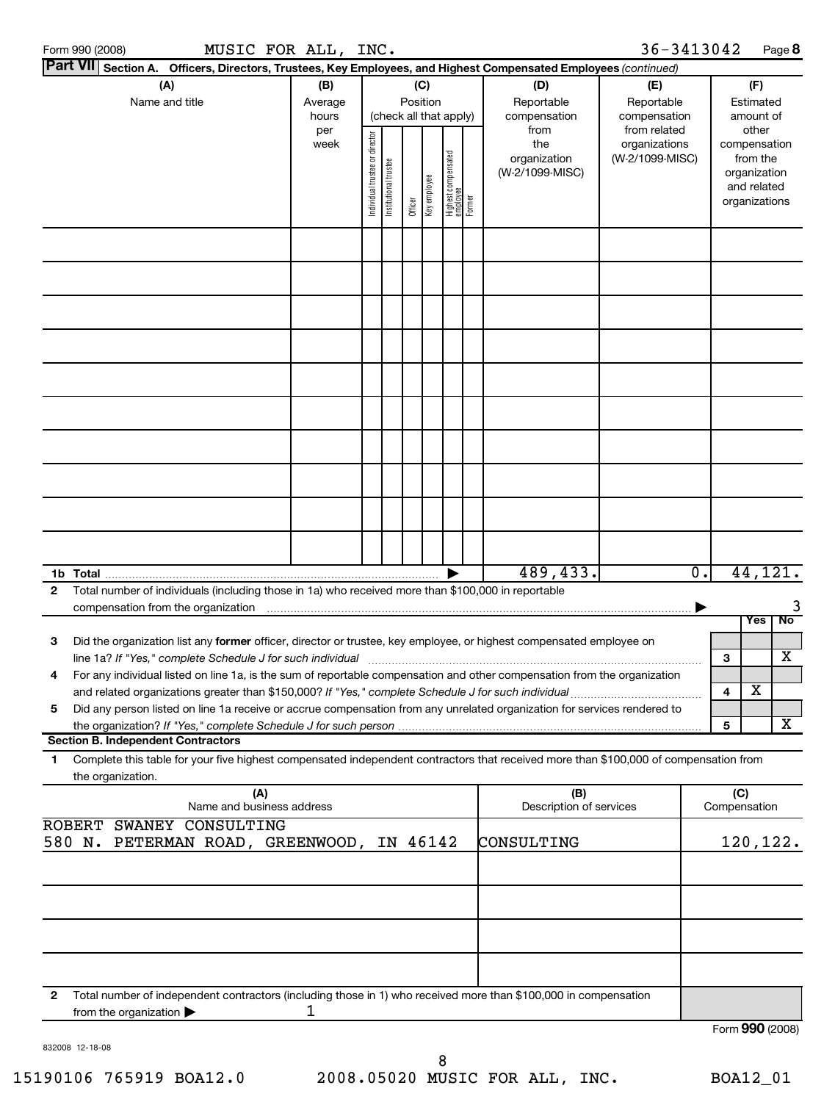|                 | Form 990 (2008)   |                                                                                                      |                           | MUSIC FOR ALL, INC. |                                |                       |          |              |                                           |                                                                                                                                      | 36-3413042      |                  |              |                             | Page 8          |
|-----------------|-------------------|------------------------------------------------------------------------------------------------------|---------------------------|---------------------|--------------------------------|-----------------------|----------|--------------|-------------------------------------------|--------------------------------------------------------------------------------------------------------------------------------------|-----------------|------------------|--------------|-----------------------------|-----------------|
| <b>Part VII</b> |                   |                                                                                                      |                           |                     |                                |                       |          |              |                                           | Section A. Officers, Directors, Trustees, Key Employees, and Highest Compensated Employees (continued)                               |                 |                  |              |                             |                 |
|                 |                   | (A)                                                                                                  |                           | (B)                 |                                |                       |          | (C)          |                                           | (D)                                                                                                                                  | (E)             |                  |              | (F)                         |                 |
|                 |                   | Name and title                                                                                       |                           | Average             |                                |                       | Position |              |                                           | Reportable                                                                                                                           | Reportable      |                  |              | Estimated                   |                 |
|                 |                   |                                                                                                      |                           | hours               |                                |                       |          |              | (check all that apply)                    | compensation                                                                                                                         | compensation    |                  |              | amount of                   |                 |
|                 |                   |                                                                                                      |                           | per                 |                                |                       |          |              |                                           | from                                                                                                                                 | from related    |                  |              | other                       |                 |
|                 |                   |                                                                                                      |                           | week                |                                |                       |          |              |                                           | the                                                                                                                                  | organizations   |                  |              | compensation                |                 |
|                 |                   |                                                                                                      |                           |                     |                                |                       |          |              |                                           | organization                                                                                                                         | (W-2/1099-MISC) |                  |              | from the                    |                 |
|                 |                   |                                                                                                      |                           |                     |                                |                       |          |              |                                           | (W-2/1099-MISC)                                                                                                                      |                 |                  |              | organization<br>and related |                 |
|                 |                   |                                                                                                      |                           |                     | Individual trustee or director | Institutional trustee |          | Key employee |                                           |                                                                                                                                      |                 |                  |              | organizations               |                 |
|                 |                   |                                                                                                      |                           |                     |                                |                       | Officer  |              | Highest compensated<br>employee<br>Former |                                                                                                                                      |                 |                  |              |                             |                 |
|                 |                   |                                                                                                      |                           |                     |                                |                       |          |              |                                           |                                                                                                                                      |                 |                  |              |                             |                 |
|                 |                   |                                                                                                      |                           |                     |                                |                       |          |              |                                           |                                                                                                                                      |                 |                  |              |                             |                 |
|                 |                   |                                                                                                      |                           |                     |                                |                       |          |              |                                           |                                                                                                                                      |                 |                  |              |                             |                 |
|                 |                   |                                                                                                      |                           |                     |                                |                       |          |              |                                           |                                                                                                                                      |                 |                  |              |                             |                 |
|                 |                   |                                                                                                      |                           |                     |                                |                       |          |              |                                           |                                                                                                                                      |                 |                  |              |                             |                 |
|                 |                   |                                                                                                      |                           |                     |                                |                       |          |              |                                           |                                                                                                                                      |                 |                  |              |                             |                 |
|                 |                   |                                                                                                      |                           |                     |                                |                       |          |              |                                           |                                                                                                                                      |                 |                  |              |                             |                 |
|                 |                   |                                                                                                      |                           |                     |                                |                       |          |              |                                           |                                                                                                                                      |                 |                  |              |                             |                 |
|                 |                   |                                                                                                      |                           |                     |                                |                       |          |              |                                           |                                                                                                                                      |                 |                  |              |                             |                 |
|                 |                   |                                                                                                      |                           |                     |                                |                       |          |              |                                           |                                                                                                                                      |                 |                  |              |                             |                 |
|                 |                   |                                                                                                      |                           |                     |                                |                       |          |              |                                           |                                                                                                                                      |                 |                  |              |                             |                 |
|                 |                   |                                                                                                      |                           |                     |                                |                       |          |              |                                           |                                                                                                                                      |                 |                  |              |                             |                 |
|                 |                   |                                                                                                      |                           |                     |                                |                       |          |              |                                           |                                                                                                                                      |                 |                  |              |                             |                 |
|                 |                   |                                                                                                      |                           |                     |                                |                       |          |              |                                           |                                                                                                                                      |                 |                  |              |                             |                 |
|                 |                   |                                                                                                      |                           |                     |                                |                       |          |              |                                           |                                                                                                                                      |                 |                  |              |                             |                 |
|                 |                   |                                                                                                      |                           |                     |                                |                       |          |              |                                           |                                                                                                                                      |                 |                  |              |                             |                 |
|                 |                   |                                                                                                      |                           |                     |                                |                       |          |              |                                           |                                                                                                                                      |                 |                  |              |                             |                 |
|                 |                   |                                                                                                      |                           |                     |                                |                       |          |              |                                           | 489,433.                                                                                                                             |                 | $\overline{0}$ . |              |                             | 44, 121.        |
| $\mathbf{2}$    |                   | Total number of individuals (including those in 1a) who received more than \$100,000 in reportable   |                           |                     |                                |                       |          |              |                                           |                                                                                                                                      |                 |                  |              |                             |                 |
|                 |                   | compensation from the organization                                                                   |                           |                     |                                |                       |          |              |                                           |                                                                                                                                      |                 |                  |              |                             |                 |
|                 |                   |                                                                                                      |                           |                     |                                |                       |          |              |                                           |                                                                                                                                      |                 |                  |              | <b>Yes</b>                  | No              |
| 3               |                   |                                                                                                      |                           |                     |                                |                       |          |              |                                           | Did the organization list any former officer, director or trustee, key employee, or highest compensated employee on                  |                 |                  |              |                             |                 |
|                 |                   |                                                                                                      |                           |                     |                                |                       |          |              |                                           |                                                                                                                                      |                 |                  | З            |                             | X               |
|                 |                   |                                                                                                      |                           |                     |                                |                       |          |              |                                           | For any individual listed on line 1a, is the sum of reportable compensation and other compensation from the organization             |                 |                  |              |                             |                 |
|                 |                   | and related organizations greater than \$150,000? If "Yes," complete Schedule J for such individual. |                           |                     |                                |                       |          |              |                                           |                                                                                                                                      |                 |                  | 4            | Χ                           |                 |
| 5               |                   |                                                                                                      |                           |                     |                                |                       |          |              |                                           | Did any person listed on line 1a receive or accrue compensation from any unrelated organization for services rendered to             |                 |                  |              |                             |                 |
|                 |                   |                                                                                                      |                           |                     |                                |                       |          |              |                                           |                                                                                                                                      |                 |                  | 5            |                             | X               |
|                 |                   | <b>Section B. Independent Contractors</b>                                                            |                           |                     |                                |                       |          |              |                                           |                                                                                                                                      |                 |                  |              |                             |                 |
| 1.              |                   |                                                                                                      |                           |                     |                                |                       |          |              |                                           | Complete this table for your five highest compensated independent contractors that received more than \$100,000 of compensation from |                 |                  |              |                             |                 |
|                 | the organization. |                                                                                                      | (A)                       |                     |                                |                       |          |              |                                           | (B)                                                                                                                                  |                 |                  | (C)          |                             |                 |
|                 |                   |                                                                                                      | Name and business address |                     |                                |                       |          |              |                                           | Description of services                                                                                                              |                 |                  | Compensation |                             |                 |
|                 |                   | ROBERT SWANEY CONSULTING                                                                             |                           |                     |                                |                       |          |              |                                           |                                                                                                                                      |                 |                  |              |                             |                 |
|                 |                   | 580 N. PETERMAN ROAD, GREENWOOD, IN 46142                                                            |                           |                     |                                |                       |          |              |                                           | CONSULTING                                                                                                                           |                 |                  |              |                             | 120,122.        |
|                 |                   |                                                                                                      |                           |                     |                                |                       |          |              |                                           |                                                                                                                                      |                 |                  |              |                             |                 |
|                 |                   |                                                                                                      |                           |                     |                                |                       |          |              |                                           |                                                                                                                                      |                 |                  |              |                             |                 |
|                 |                   |                                                                                                      |                           |                     |                                |                       |          |              |                                           |                                                                                                                                      |                 |                  |              |                             |                 |
|                 |                   |                                                                                                      |                           |                     |                                |                       |          |              |                                           |                                                                                                                                      |                 |                  |              |                             |                 |
|                 |                   |                                                                                                      |                           |                     |                                |                       |          |              |                                           |                                                                                                                                      |                 |                  |              |                             |                 |
|                 |                   |                                                                                                      |                           |                     |                                |                       |          |              |                                           |                                                                                                                                      |                 |                  |              |                             |                 |
| $\mathbf{2}$    |                   |                                                                                                      |                           |                     |                                |                       |          |              |                                           | Total number of independent contractors (including those in 1) who received more than \$100,000 in compensation                      |                 |                  |              |                             |                 |
|                 |                   | from the organization $\blacktriangleright$                                                          |                           | 1                   |                                |                       |          |              |                                           |                                                                                                                                      |                 |                  |              |                             |                 |
|                 |                   |                                                                                                      |                           |                     |                                |                       |          |              |                                           |                                                                                                                                      |                 |                  |              |                             | Form 990 (2008) |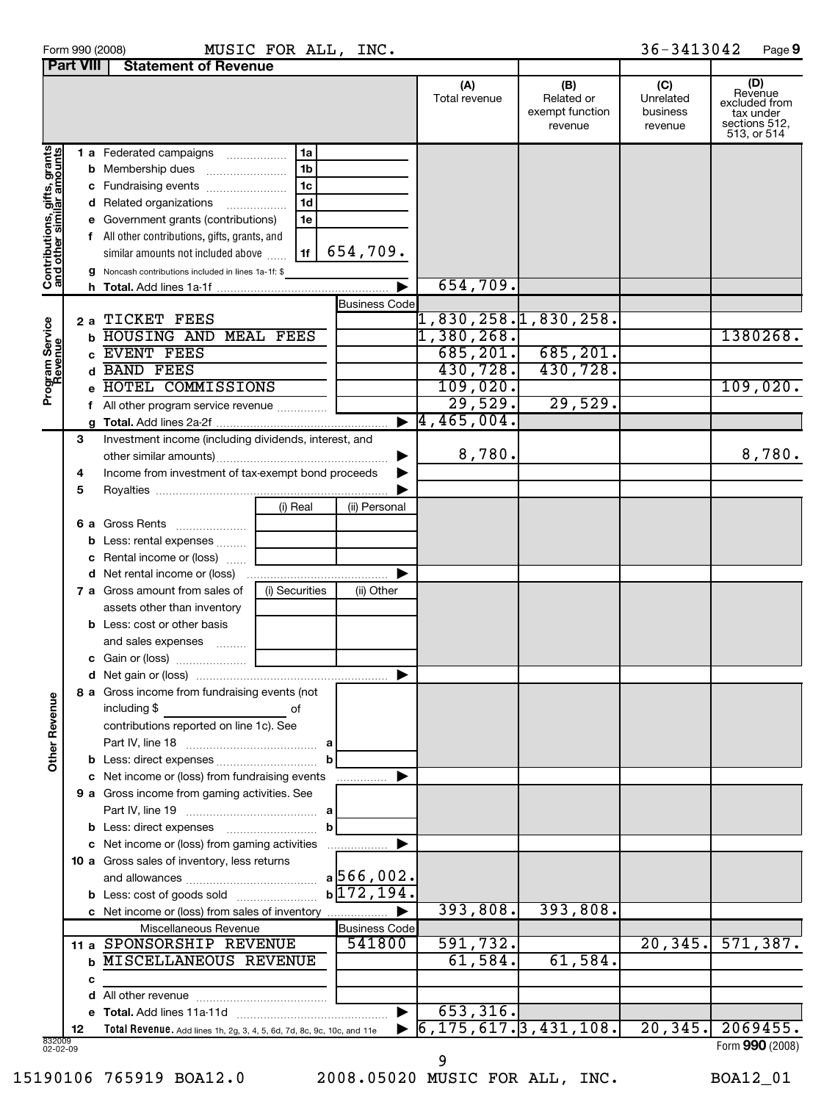|  |  | Form 990 (2008 |  |  |
|--|--|----------------|--|--|
|--|--|----------------|--|--|

Form 990 (2008) **MUSIC\_FOR\_ALL,INC.** 36-3413042 Page **9** MUSIC FOR ALL, INC.  $36-3413042$ 

|                                                           | <b>Part VIII</b><br><b>Statement of Revenue</b> |                                                                        |                |                       |                                   |                                                 |                                         |                                                                              |
|-----------------------------------------------------------|-------------------------------------------------|------------------------------------------------------------------------|----------------|-----------------------|-----------------------------------|-------------------------------------------------|-----------------------------------------|------------------------------------------------------------------------------|
|                                                           |                                                 |                                                                        |                |                       | (A)<br>Total revenue              | (B)<br>Related or<br>exempt function<br>revenue | (C)<br>Unrelated<br>business<br>revenue | (D)<br>Revenue<br>excluded from<br>tax under<br>sections 512,<br>513, or 514 |
|                                                           |                                                 | 1 a Federated campaigns                                                | 1a             |                       |                                   |                                                 |                                         |                                                                              |
|                                                           |                                                 | <b>b</b> Membership dues                                               | 1 <sub>b</sub> |                       |                                   |                                                 |                                         |                                                                              |
|                                                           |                                                 | c Fundraising events                                                   | 1c             |                       |                                   |                                                 |                                         |                                                                              |
|                                                           |                                                 | d Related organizations                                                | 1d             |                       |                                   |                                                 |                                         |                                                                              |
|                                                           |                                                 | e Government grants (contributions)                                    | 1e             |                       |                                   |                                                 |                                         |                                                                              |
|                                                           |                                                 | f All other contributions, gifts, grants, and                          |                |                       |                                   |                                                 |                                         |                                                                              |
|                                                           |                                                 | similar amounts not included above                                     | 1f             | 654,709.              |                                   |                                                 |                                         |                                                                              |
| Contributions, gifts, grants<br>and other similar amounts |                                                 | g Noncash contributions included in lines 1a-1f: \$                    |                |                       |                                   |                                                 |                                         |                                                                              |
|                                                           |                                                 |                                                                        |                |                       | 654,709.                          |                                                 |                                         |                                                                              |
|                                                           |                                                 |                                                                        |                | <b>Business Code</b>  |                                   |                                                 |                                         |                                                                              |
|                                                           | 2а                                              | TICKET FEES                                                            |                |                       | 1,830,258.1,830,258.              |                                                 |                                         |                                                                              |
|                                                           |                                                 | <b>b HOUSING AND MEAL FEES</b>                                         |                |                       | 1,380,268.                        |                                                 |                                         | 1380268.                                                                     |
| Program Service<br>Revenue                                | c.                                              | EVENT FEES                                                             |                |                       | 685, 201.                         | 685, 201.                                       |                                         |                                                                              |
|                                                           |                                                 | d BAND FEES                                                            |                |                       | 430,728.                          | 430,728.                                        |                                         |                                                                              |
|                                                           |                                                 | e HOTEL COMMISSIONS                                                    |                |                       | 109,020.                          |                                                 |                                         | 109,020.                                                                     |
|                                                           |                                                 | f All other program service revenue                                    |                |                       | 29,529.                           | 29,529.                                         |                                         |                                                                              |
|                                                           |                                                 |                                                                        |                | ▶                     | 4, 465, 004.                      |                                                 |                                         |                                                                              |
|                                                           | 3                                               | Investment income (including dividends, interest, and                  |                |                       |                                   |                                                 |                                         |                                                                              |
|                                                           |                                                 |                                                                        |                |                       | 8,780.                            |                                                 |                                         | 8,780.                                                                       |
|                                                           | 4                                               | Income from investment of tax-exempt bond proceeds                     |                |                       |                                   |                                                 |                                         |                                                                              |
|                                                           | 5                                               |                                                                        |                |                       |                                   |                                                 |                                         |                                                                              |
|                                                           |                                                 |                                                                        | (i) Real       | (ii) Personal         |                                   |                                                 |                                         |                                                                              |
|                                                           |                                                 | 6 a Gross Rents                                                        |                |                       |                                   |                                                 |                                         |                                                                              |
|                                                           |                                                 | <b>b</b> Less: rental expenses                                         |                |                       |                                   |                                                 |                                         |                                                                              |
|                                                           |                                                 | c Rental income or (loss)                                              |                |                       |                                   |                                                 |                                         |                                                                              |
|                                                           |                                                 |                                                                        |                |                       |                                   |                                                 |                                         |                                                                              |
|                                                           |                                                 | 7 a Gross amount from sales of                                         | (i) Securities | (ii) Other            |                                   |                                                 |                                         |                                                                              |
|                                                           |                                                 | assets other than inventory                                            |                |                       |                                   |                                                 |                                         |                                                                              |
|                                                           |                                                 | <b>b</b> Less: cost or other basis                                     |                |                       |                                   |                                                 |                                         |                                                                              |
|                                                           |                                                 | and sales expenses                                                     |                |                       |                                   |                                                 |                                         |                                                                              |
|                                                           |                                                 |                                                                        |                |                       |                                   |                                                 |                                         |                                                                              |
|                                                           |                                                 |                                                                        |                |                       |                                   |                                                 |                                         |                                                                              |
|                                                           |                                                 | 8 a Gross income from fundraising events (not                          |                |                       |                                   |                                                 |                                         |                                                                              |
| <b>Other Revenue</b>                                      |                                                 | including \$                                                           | of             |                       |                                   |                                                 |                                         |                                                                              |
|                                                           |                                                 | contributions reported on line 1c). See                                |                |                       |                                   |                                                 |                                         |                                                                              |
|                                                           |                                                 |                                                                        |                |                       |                                   |                                                 |                                         |                                                                              |
|                                                           |                                                 |                                                                        |                |                       |                                   |                                                 |                                         |                                                                              |
|                                                           |                                                 | c Net income or (loss) from fundraising events                         |                |                       |                                   |                                                 |                                         |                                                                              |
|                                                           |                                                 | 9 a Gross income from gaming activities. See                           |                |                       |                                   |                                                 |                                         |                                                                              |
|                                                           |                                                 |                                                                        |                |                       |                                   |                                                 |                                         |                                                                              |
|                                                           |                                                 | <b>b</b> Less: direct expenses                                         | b              |                       |                                   |                                                 |                                         |                                                                              |
|                                                           |                                                 | c Net income or (loss) from gaming activities                          |                |                       |                                   |                                                 |                                         |                                                                              |
|                                                           |                                                 | 10 a Gross sales of inventory, less returns                            |                |                       |                                   |                                                 |                                         |                                                                              |
|                                                           |                                                 |                                                                        |                | a 566,002.            |                                   |                                                 |                                         |                                                                              |
|                                                           |                                                 |                                                                        |                | $b\sqrt{172, 194}$ .  |                                   |                                                 |                                         |                                                                              |
|                                                           |                                                 | c Net income or (loss) from sales of inventory                         |                | ▶                     | 393,808.                          | 393,808.                                        |                                         |                                                                              |
|                                                           |                                                 | Miscellaneous Revenue                                                  |                | <b>Business Code</b>  |                                   |                                                 |                                         |                                                                              |
|                                                           |                                                 | 11 a SPONSORSHIP REVENUE                                               |                | 541800                | 591,732.                          |                                                 | 20, 345.                                | 571,387.                                                                     |
|                                                           |                                                 | <b>b MISCELLANEOUS REVENUE</b>                                         |                |                       | 61,584.                           | 61,584.                                         |                                         |                                                                              |
|                                                           | с                                               |                                                                        |                |                       |                                   |                                                 |                                         |                                                                              |
|                                                           |                                                 |                                                                        |                |                       |                                   |                                                 |                                         |                                                                              |
|                                                           |                                                 |                                                                        |                | $\blacktriangleright$ | 653, 316.                         |                                                 |                                         |                                                                              |
|                                                           | 12                                              | Total Revenue. Add lines 1h, 2g, 3, 4, 5, 6d, 7d, 8c, 9c, 10c, and 11e |                |                       | $\overline{6,175,617.3,431,108.}$ |                                                 | 20, 345.                                | 2069455.                                                                     |
| 832009<br>02-02-09                                        |                                                 |                                                                        |                |                       |                                   |                                                 |                                         | Form 990 (2008)                                                              |

9

15190106 765919 BOA12.0 2008.05020 MUSIC FOR ALL, INC. BOA12\_01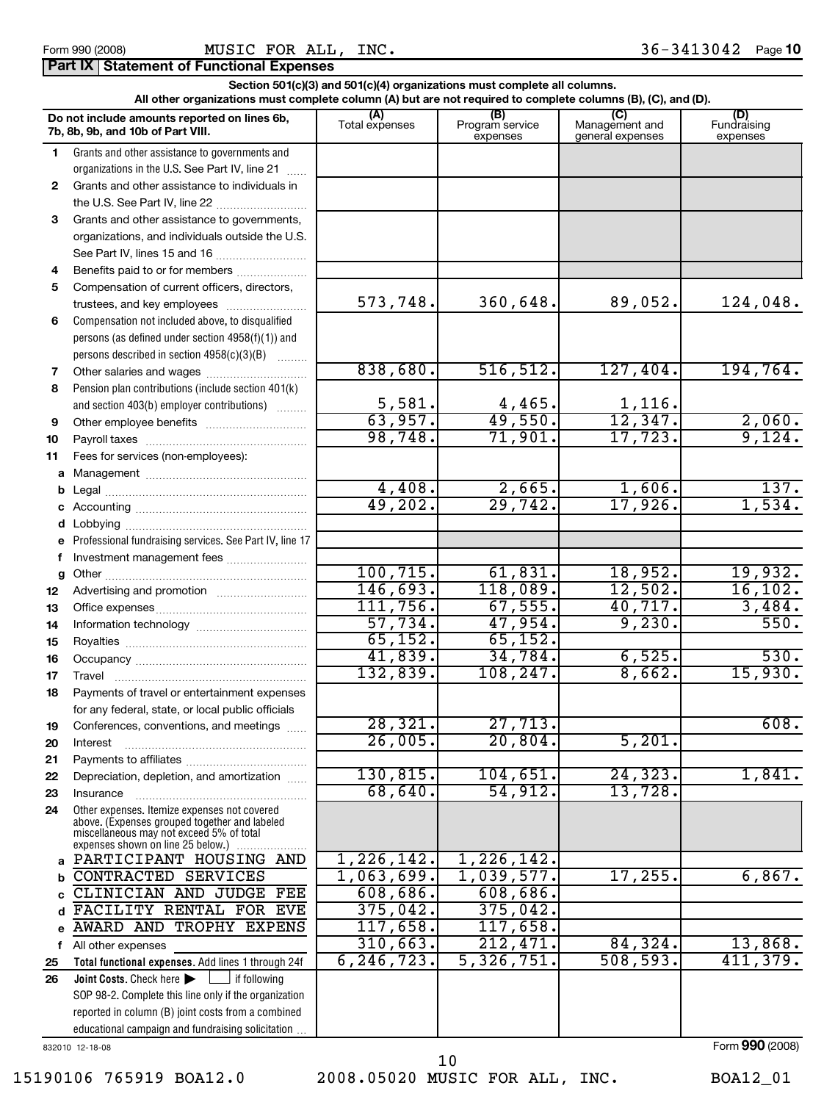|              | Section 501(c)(3) and 501(c)(4) organizations must complete all columns.<br>All other organizations must complete column (A) but are not required to complete columns (B), (C), and (D). |                          |                             |                                    |                                |  |  |  |  |  |  |
|--------------|------------------------------------------------------------------------------------------------------------------------------------------------------------------------------------------|--------------------------|-----------------------------|------------------------------------|--------------------------------|--|--|--|--|--|--|
|              | Do not include amounts reported on lines 6b,                                                                                                                                             | (A)                      | (B)                         | $\mathcal{C}$                      |                                |  |  |  |  |  |  |
|              | 7b, 8b, 9b, and 10b of Part VIII.                                                                                                                                                        | Total expenses           | Program service<br>expenses | Management and<br>general expenses | (D)<br>Fundraising<br>expenses |  |  |  |  |  |  |
| 1            | Grants and other assistance to governments and                                                                                                                                           |                          |                             |                                    |                                |  |  |  |  |  |  |
|              | organizations in the U.S. See Part IV, line 21                                                                                                                                           |                          |                             |                                    |                                |  |  |  |  |  |  |
| $\mathbf{2}$ | Grants and other assistance to individuals in                                                                                                                                            |                          |                             |                                    |                                |  |  |  |  |  |  |
|              |                                                                                                                                                                                          |                          |                             |                                    |                                |  |  |  |  |  |  |
| 3            | Grants and other assistance to governments,                                                                                                                                              |                          |                             |                                    |                                |  |  |  |  |  |  |
|              | organizations, and individuals outside the U.S.                                                                                                                                          |                          |                             |                                    |                                |  |  |  |  |  |  |
|              | See Part IV, lines 15 and 16                                                                                                                                                             |                          |                             |                                    |                                |  |  |  |  |  |  |
| 4            | Benefits paid to or for members                                                                                                                                                          |                          |                             |                                    |                                |  |  |  |  |  |  |
| 5            | Compensation of current officers, directors,                                                                                                                                             |                          |                             |                                    |                                |  |  |  |  |  |  |
|              | trustees, and key employees                                                                                                                                                              | 573,748.                 | 360,648.                    | 89,052.                            | 124,048.                       |  |  |  |  |  |  |
| 6            | Compensation not included above, to disqualified                                                                                                                                         |                          |                             |                                    |                                |  |  |  |  |  |  |
|              | persons (as defined under section 4958(f)(1)) and                                                                                                                                        |                          |                             |                                    |                                |  |  |  |  |  |  |
|              | persons described in section 4958(c)(3)(B)                                                                                                                                               | 838,680.                 | 516, 512.                   | 127,404.                           | 194, 764.                      |  |  |  |  |  |  |
| 7<br>8       | Other salaries and wages<br>Pension plan contributions (include section 401(k)                                                                                                           |                          |                             |                                    |                                |  |  |  |  |  |  |
|              | and section 403(b) employer contributions)                                                                                                                                               | 5,581.                   | 4,465.                      |                                    |                                |  |  |  |  |  |  |
| 9            |                                                                                                                                                                                          | 63,957.                  | 49,550.                     | $\frac{1,116}{12,347}$             |                                |  |  |  |  |  |  |
| 10           |                                                                                                                                                                                          | 98,748.                  | 71,901.                     | 17.723.                            | $\frac{2,060}{9,124}$          |  |  |  |  |  |  |
| 11           | Fees for services (non-employees):                                                                                                                                                       |                          |                             |                                    |                                |  |  |  |  |  |  |
|              |                                                                                                                                                                                          |                          |                             |                                    |                                |  |  |  |  |  |  |
|              |                                                                                                                                                                                          | 4,408.                   | 2,665.                      | 1,606.                             | 137.                           |  |  |  |  |  |  |
|              |                                                                                                                                                                                          | 49,202.                  | 29,742.                     | 17,926.                            | 1,534.                         |  |  |  |  |  |  |
| d            |                                                                                                                                                                                          |                          |                             |                                    |                                |  |  |  |  |  |  |
| е            | Professional fundraising services. See Part IV, line 17                                                                                                                                  |                          |                             |                                    |                                |  |  |  |  |  |  |
| f            | Investment management fees                                                                                                                                                               |                          |                             |                                    |                                |  |  |  |  |  |  |
| g            |                                                                                                                                                                                          | 100, 715.                | 61,831.                     | 18,952.                            | 19,932.                        |  |  |  |  |  |  |
| 12           |                                                                                                                                                                                          | 146,693.<br>111,756.     | 118,089.                    | 12,502.                            | 16, 102.                       |  |  |  |  |  |  |
| 13           |                                                                                                                                                                                          | 57,734.                  | 67,555.<br>47,954.          | 40,717.<br>9,230.                  | 3,484.<br>550.                 |  |  |  |  |  |  |
| 14<br>15     |                                                                                                                                                                                          | 65, 152.                 | 65, 152.                    |                                    |                                |  |  |  |  |  |  |
| 16           |                                                                                                                                                                                          | 41,839.                  | 34,784.                     | 6,525.                             | 530.                           |  |  |  |  |  |  |
| 17           |                                                                                                                                                                                          | 132,839.                 | 108, 247.                   | 8,662.                             | 15,930.                        |  |  |  |  |  |  |
| 18           | Payments of travel or entertainment expenses                                                                                                                                             |                          |                             |                                    |                                |  |  |  |  |  |  |
|              | for any federal, state, or local public officials                                                                                                                                        |                          |                             |                                    |                                |  |  |  |  |  |  |
| 19           | Conferences, conventions, and meetings                                                                                                                                                   | 28,321.                  | 27,713.                     |                                    | 608.                           |  |  |  |  |  |  |
| 20           | Interest                                                                                                                                                                                 | 26,005.                  | 20,804.                     | 5,201.                             |                                |  |  |  |  |  |  |
| 21           |                                                                                                                                                                                          |                          |                             |                                    |                                |  |  |  |  |  |  |
| 22           | Depreciation, depletion, and amortization                                                                                                                                                | 130, 815.                | 104,651.                    | 24, 323.                           | 1,841.                         |  |  |  |  |  |  |
| 23           | Insurance                                                                                                                                                                                | 68,640.                  | 54,912.                     | 13,728.                            |                                |  |  |  |  |  |  |
| 24           | Other expenses. Itemize expenses not covered<br>above. (Expenses grouped together and labeled                                                                                            |                          |                             |                                    |                                |  |  |  |  |  |  |
|              | miscellaneous may not exceed 5% of total                                                                                                                                                 |                          |                             |                                    |                                |  |  |  |  |  |  |
|              | expenses shown on line 25 below.)                                                                                                                                                        |                          |                             |                                    |                                |  |  |  |  |  |  |
|              | a PARTICIPANT HOUSING AND<br><b>CONTRACTED SERVICES</b>                                                                                                                                  | 1,226,142.<br>1,063,699. | 1,226,142.<br>1,039,577.    | 17, 255.                           | 6,867.                         |  |  |  |  |  |  |
|              | CLINICIAN AND JUDGE<br>FEE                                                                                                                                                               | 608,686.                 | 608,686.                    |                                    |                                |  |  |  |  |  |  |
|              | FACILITY RENTAL FOR<br>EVE                                                                                                                                                               | 375,042.                 | 375,042.                    |                                    |                                |  |  |  |  |  |  |
|              | AWARD AND<br>TROPHY EXPENS                                                                                                                                                               | 117,658.                 | 117,658.                    |                                    |                                |  |  |  |  |  |  |
| f            | All other expenses                                                                                                                                                                       | 310,663.                 | 212,471.                    | 84, 324.                           | 13,868.                        |  |  |  |  |  |  |
| 25           | Total functional expenses. Add lines 1 through 24f                                                                                                                                       | 6, 246, 723.             | 5,326,751.                  | 508, 593.                          | 411,379.                       |  |  |  |  |  |  |
| 26           | Joint Costs. Check here<br>l if following                                                                                                                                                |                          |                             |                                    |                                |  |  |  |  |  |  |
|              | SOP 98-2. Complete this line only if the organization                                                                                                                                    |                          |                             |                                    |                                |  |  |  |  |  |  |
|              | reported in column (B) joint costs from a combined                                                                                                                                       |                          |                             |                                    |                                |  |  |  |  |  |  |
|              | educational campaign and fundraising solicitation.                                                                                                                                       |                          |                             |                                    |                                |  |  |  |  |  |  |
|              | 832010 12-18-08                                                                                                                                                                          |                          |                             |                                    | Form 990 (2008)                |  |  |  |  |  |  |

10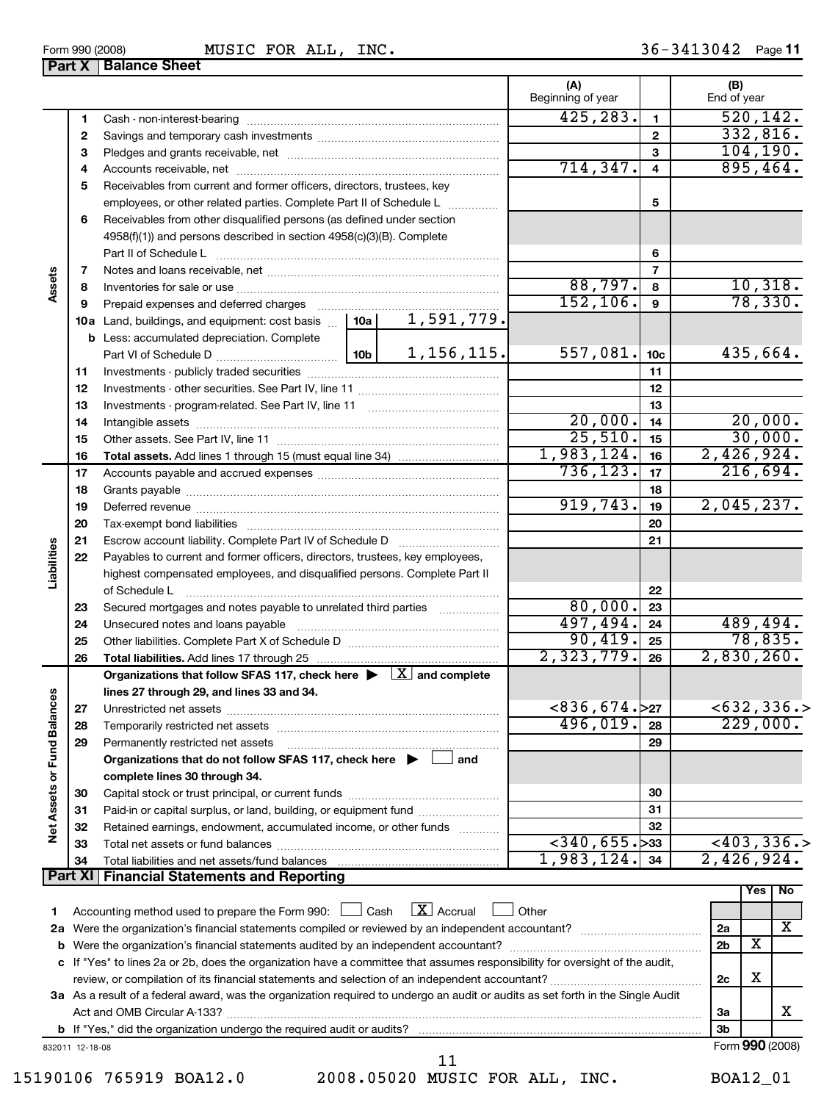| 832011 12-18-08         |                                   | Form 990 (2008) |
|-------------------------|-----------------------------------|-----------------|
|                         |                                   |                 |
| 15190106 765919 BOA12.0 | 2008.05020 MUSIC FOR ALL,<br>INC. | <b>BOA12 01</b> |

**b** If "Yes," did the organization undergo the required audit or audits?

| 2008.05020 MUSIC FOR ALL, INC. |  |  | <b>BOA12 01</b> |  |
|--------------------------------|--|--|-----------------|--|

425,283. 520,142. 332,816.

|        |   | ו טטטאן טטט ווויט<br>$1001C$ I ON $11D$ , INC:                                                                                                                                                                       |                          |          |                    |
|--------|---|----------------------------------------------------------------------------------------------------------------------------------------------------------------------------------------------------------------------|--------------------------|----------|--------------------|
|        |   | <b>Part X   Balance Sheet</b>                                                                                                                                                                                        |                          |          |                    |
|        |   |                                                                                                                                                                                                                      | (A)<br>Beginning of year |          | (B)<br>End of year |
|        |   | Cash - non-interest-bearing                                                                                                                                                                                          | 425,283.                 |          | 520,               |
|        | 2 |                                                                                                                                                                                                                      |                          | 2        | 332,               |
|        | 3 |                                                                                                                                                                                                                      |                          | з        | 104,               |
|        | 4 |                                                                                                                                                                                                                      | 714, 347.                | 4        | 895,               |
|        | 5 | Receivables from current and former officers, directors, trustees, key                                                                                                                                               |                          | 5        |                    |
|        | 6 | employees, or other related parties. Complete Part II of Schedule L<br>Receivables from other disqualified persons (as defined under section<br>4958(f)(1)) and persons described in section 4958(c)(3)(B). Complete |                          | 6        |                    |
|        |   | Part II of Schedule Latin and Communication of Schedule Latin and Communication of Schedule Latin and Communication                                                                                                  |                          |          |                    |
| Assets | 8 |                                                                                                                                                                                                                      | 88,797.                  | 8        | 10,                |
|        | a | Pranzid avnances and deferred charges                                                                                                                                                                                | 52.                      | $\Omega$ | 7 R                |

|                      | З              |                                                                                                                                                                                                                               |          |                   |                                      | 104, 190.      |                |                           |               |  |  |
|----------------------|----------------|-------------------------------------------------------------------------------------------------------------------------------------------------------------------------------------------------------------------------------|----------|-------------------|--------------------------------------|----------------|----------------|---------------------------|---------------|--|--|
|                      | 4              |                                                                                                                                                                                                                               |          |                   | 714, 347.                            | 4              |                | 895,464.                  |               |  |  |
|                      | 5              | Receivables from current and former officers, directors, trustees, key                                                                                                                                                        |          |                   |                                      |                |                |                           |               |  |  |
|                      |                | employees, or other related parties. Complete Part II of Schedule L                                                                                                                                                           |          |                   |                                      | 5              |                |                           |               |  |  |
|                      | 6              | Receivables from other disqualified persons (as defined under section                                                                                                                                                         |          |                   |                                      |                |                |                           |               |  |  |
|                      |                | 4958(f)(1)) and persons described in section 4958(c)(3)(B). Complete                                                                                                                                                          |          |                   |                                      |                |                |                           |               |  |  |
|                      |                |                                                                                                                                                                                                                               |          |                   |                                      | 6              |                |                           |               |  |  |
|                      | 7              |                                                                                                                                                                                                                               |          |                   |                                      | $\overline{7}$ |                |                           |               |  |  |
| Assets               | 8              |                                                                                                                                                                                                                               |          |                   | $\frac{88,797.}{152,106.}$           | 8              |                | $\frac{10,318.}{78,330.}$ |               |  |  |
|                      | 9              | Prepaid expenses and deferred charges [11] [11] Drepaid expenses and deferred charges [11] [11] Martin Martin Martin Martin Martin Martin Martin Martin Martin Martin Martin Martin Martin Martin Martin Martin Martin Martin |          |                   |                                      | $\mathbf{9}$   |                |                           |               |  |  |
|                      |                | <b>10a</b> Land, buildings, and equipment: cost basis $\ldots$   <b>10a</b>                                                                                                                                                   |          | <u>1,591,779.</u> |                                      |                |                |                           |               |  |  |
|                      |                | <b>b</b> Less: accumulated depreciation. Complete                                                                                                                                                                             |          |                   |                                      |                |                |                           |               |  |  |
|                      |                |                                                                                                                                                                                                                               |          | $557,081$ . 10c   |                                      |                | 435,664.       |                           |               |  |  |
|                      | 11             |                                                                                                                                                                                                                               |          |                   |                                      | 11             |                |                           |               |  |  |
|                      | 12             |                                                                                                                                                                                                                               |          |                   |                                      | 12             |                |                           |               |  |  |
|                      | 13             |                                                                                                                                                                                                                               |          |                   |                                      | 13             |                |                           |               |  |  |
|                      | 14             |                                                                                                                                                                                                                               |          |                   | 20,000.                              | 14             |                | 20,000.                   |               |  |  |
|                      | 15             |                                                                                                                                                                                                                               | 25,510.  | 15                |                                      | 30,000.        |                |                           |               |  |  |
|                      | 16             |                                                                                                                                                                                                                               |          |                   | 1,983,124.                           | 16             | 2,426,924.     |                           |               |  |  |
|                      | 17             |                                                                                                                                                                                                                               |          |                   | 736, 123.                            | 17             |                | 216,694.                  |               |  |  |
|                      | 18             |                                                                                                                                                                                                                               |          | 18                |                                      |                |                |                           |               |  |  |
|                      | 19             |                                                                                                                                                                                                                               | 919,743. | 19                | 2,045,237.                           |                |                |                           |               |  |  |
|                      | 20             |                                                                                                                                                                                                                               |          |                   |                                      | 20             |                |                           |               |  |  |
|                      | 21             | Escrow account liability. Complete Part IV of Schedule D [111] [11] [12] [12] [13] [13] [13] [14] [14] [15] [1                                                                                                                |          |                   |                                      | 21             |                |                           |               |  |  |
| Liabilities          | 22             | Payables to current and former officers, directors, trustees, key employees,                                                                                                                                                  |          |                   |                                      |                |                |                           |               |  |  |
|                      |                | highest compensated employees, and disqualified persons. Complete Part II                                                                                                                                                     |          |                   |                                      |                |                |                           |               |  |  |
|                      |                | of Schedule L                                                                                                                                                                                                                 | 80,000.  | 22<br>23          |                                      |                |                |                           |               |  |  |
|                      | 23<br>24       | Secured mortgages and notes payable to unrelated third parties<br>Unsecured notes and loans payable                                                                                                                           |          | 497,494.          | 24                                   |                | 489,494.       |                           |               |  |  |
|                      | 25             |                                                                                                                                                                                                                               |          |                   | 90,419.                              | 25             |                | 78,835.                   |               |  |  |
|                      | 26             |                                                                                                                                                                                                                               |          |                   | 2,323,779.                           | 26             | 2,830,260.     |                           |               |  |  |
|                      |                | Organizations that follow SFAS 117, check here $\blacktriangleright \Box X$ and complete                                                                                                                                      |          |                   |                                      |                |                |                           |               |  |  |
|                      |                | lines 27 through 29, and lines 33 and 34.                                                                                                                                                                                     |          |                   |                                      |                |                |                           |               |  |  |
|                      | 27             |                                                                                                                                                                                                                               |          |                   | $< 836, 674.$ >27                    |                |                |                           | $<$ 632,336.> |  |  |
|                      | 28             | Temporarily restricted net assets [111] Temporarily restricted net assets [11] Temporarily restricted net assets [11] Temporarily restricted net assets [11] Temporarily restricted net assets [11] Temporarily restrictions. |          |                   | 496,019.                             | 28             |                | 229,000.                  |               |  |  |
|                      | 29             | Permanently restricted net assets                                                                                                                                                                                             |          |                   |                                      | 29             |                |                           |               |  |  |
| <b>Fund Balances</b> |                | Organizations that do not follow SFAS 117, check here $\blacktriangleright \Box$ and                                                                                                                                          |          |                   |                                      |                |                |                           |               |  |  |
|                      |                | complete lines 30 through 34.                                                                                                                                                                                                 |          |                   |                                      |                |                |                           |               |  |  |
| Net Assets or        | 30             |                                                                                                                                                                                                                               |          |                   |                                      | 30             |                |                           |               |  |  |
|                      | 31             | Paid-in or capital surplus, or land, building, or equipment fund                                                                                                                                                              |          |                   |                                      | 31             |                |                           |               |  |  |
|                      | 32             | Retained earnings, endowment, accumulated income, or other funds                                                                                                                                                              |          |                   |                                      | 32             |                |                           |               |  |  |
|                      | 33             | Total net assets or fund balances                                                                                                                                                                                             |          |                   | $\left  \frac{1}{2}340, 655 \right $ |                |                |                           | < 403, 336.   |  |  |
|                      | 34             |                                                                                                                                                                                                                               |          |                   | 1,983,124.                           | 34             | 2,426,924.     |                           |               |  |  |
|                      | <b>Part XI</b> | <b>Financial Statements and Reporting</b>                                                                                                                                                                                     |          |                   |                                      |                |                |                           |               |  |  |
|                      |                |                                                                                                                                                                                                                               |          |                   |                                      |                |                | Yes                       | No            |  |  |
| 1.                   |                | Accounting method used to prepare the Form 990:                                                                                                                                                                               | Cash     | $X$ Accrual       | Other                                |                |                |                           |               |  |  |
| 2a                   |                |                                                                                                                                                                                                                               |          |                   | 2a                                   |                | х              |                           |               |  |  |
| b                    |                |                                                                                                                                                                                                                               |          |                   |                                      |                | 2 <sub>b</sub> | х                         |               |  |  |
| с                    |                | If "Yes" to lines 2a or 2b, does the organization have a committee that assumes responsibility for oversight of the audit,                                                                                                    |          |                   |                                      |                |                |                           |               |  |  |
|                      |                |                                                                                                                                                                                                                               |          |                   |                                      |                | 2c             | х                         |               |  |  |
|                      |                | 3a As a result of a federal award, was the organization required to undergo an audit or audits as set forth in the Single Audit                                                                                               |          |                   |                                      |                | За             |                           | х             |  |  |
|                      |                | Act and OMB Circular A-133?                                                                                                                                                                                                   |          |                   |                                      |                |                |                           |               |  |  |

Form 990 (2008) **MUSIC FOR ALL, INC.** 36 - 3413042 Page 11 MUSIC FOR ALL

**3b**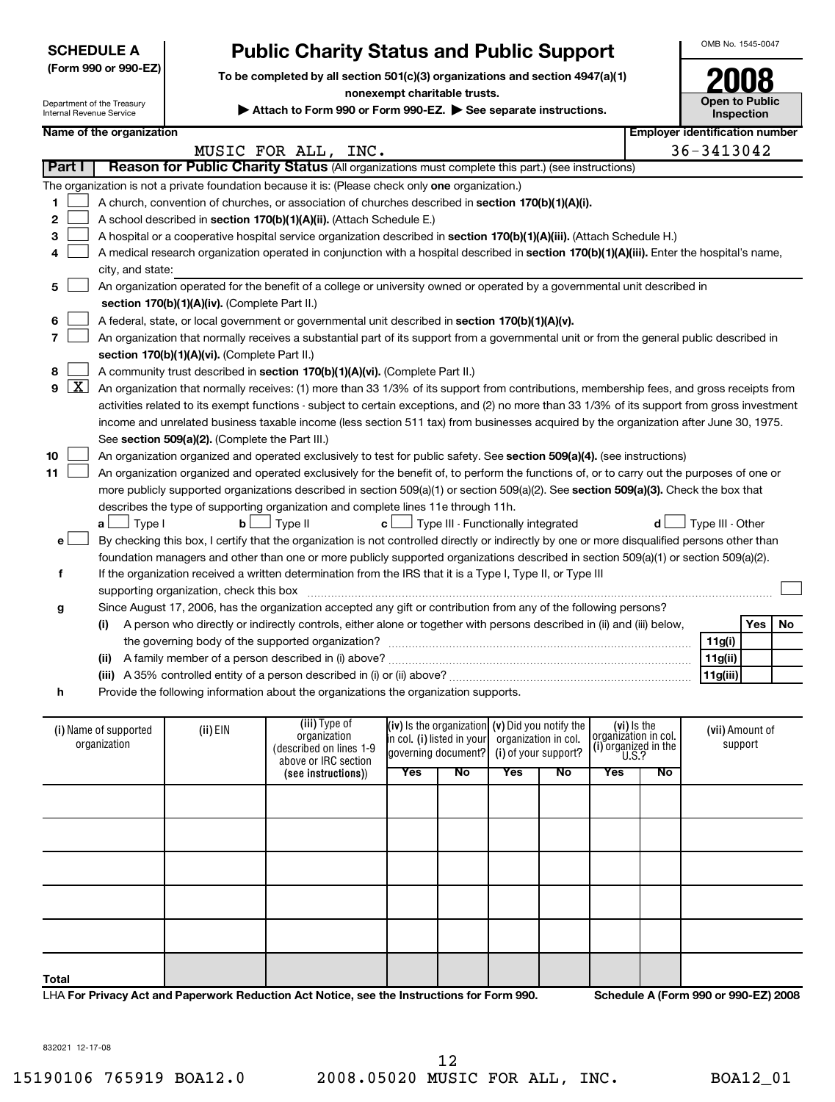|  |  | (Form 990 or 990-EZ |
|--|--|---------------------|
|--|--|---------------------|

Department of the Treasury

# **Public Charity Status and Public Support**  $\frac{1}{2}$ <sup>OMB No. 1545-0047</sup>

 $\begin{array}{c|c} \text{To be completed by all section 501(c)(3) organizations and section 4947(a)(1)} \\\text{nonexempt charitable trusts.} \end{array} \hspace{1cm} \begin{array}{c} \text{To be completed by all section 501(c)(3) organizations.} \end{array}$ 

**nonexempt charitable trusts.**

**Inspection**

| Department of the Treasury<br>Attach to Form 990 or Form 990-EZ. See separate instructions.<br>Internal Revenue Service |                                               |                                                 |                                                                                                                                               |     |                                                     |                      | <b>Open to Public</b> | <b>Inspection</b>    |             |                                       |         |    |
|-------------------------------------------------------------------------------------------------------------------------|-----------------------------------------------|-------------------------------------------------|-----------------------------------------------------------------------------------------------------------------------------------------------|-----|-----------------------------------------------------|----------------------|-----------------------|----------------------|-------------|---------------------------------------|---------|----|
|                                                                                                                         | Name of the organization                      |                                                 |                                                                                                                                               |     |                                                     |                      |                       |                      |             | <b>Employer identification number</b> |         |    |
|                                                                                                                         |                                               |                                                 | MUSIC FOR ALL, INC.                                                                                                                           |     |                                                     |                      |                       |                      |             | 36-3413042                            |         |    |
| Part I                                                                                                                  |                                               |                                                 | Reason for Public Charity Status (All organizations must complete this part.) (see instructions)                                              |     |                                                     |                      |                       |                      |             |                                       |         |    |
|                                                                                                                         |                                               |                                                 | The organization is not a private foundation because it is: (Please check only one organization.)                                             |     |                                                     |                      |                       |                      |             |                                       |         |    |
| 1                                                                                                                       |                                               |                                                 | A church, convention of churches, or association of churches described in section 170(b)(1)(A)(i).                                            |     |                                                     |                      |                       |                      |             |                                       |         |    |
| 2                                                                                                                       |                                               |                                                 | A school described in section 170(b)(1)(A)(ii). (Attach Schedule E.)                                                                          |     |                                                     |                      |                       |                      |             |                                       |         |    |
| 3                                                                                                                       |                                               |                                                 | A hospital or a cooperative hospital service organization described in section 170(b)(1)(A)(iii). (Attach Schedule H.)                        |     |                                                     |                      |                       |                      |             |                                       |         |    |
| 4                                                                                                                       |                                               |                                                 | A medical research organization operated in conjunction with a hospital described in section 170(b)(1)(A)(iii). Enter the hospital's name,    |     |                                                     |                      |                       |                      |             |                                       |         |    |
|                                                                                                                         | city, and state:                              |                                                 |                                                                                                                                               |     |                                                     |                      |                       |                      |             |                                       |         |    |
| 5                                                                                                                       |                                               |                                                 | An organization operated for the benefit of a college or university owned or operated by a governmental unit described in                     |     |                                                     |                      |                       |                      |             |                                       |         |    |
|                                                                                                                         | section 170(b)(1)(A)(iv). (Complete Part II.) |                                                 |                                                                                                                                               |     |                                                     |                      |                       |                      |             |                                       |         |    |
| 6                                                                                                                       |                                               |                                                 | A federal, state, or local government or governmental unit described in section 170(b)(1)(A)(v).                                              |     |                                                     |                      |                       |                      |             |                                       |         |    |
| 7                                                                                                                       |                                               |                                                 | An organization that normally receives a substantial part of its support from a governmental unit or from the general public described in     |     |                                                     |                      |                       |                      |             |                                       |         |    |
|                                                                                                                         |                                               | section 170(b)(1)(A)(vi). (Complete Part II.)   |                                                                                                                                               |     |                                                     |                      |                       |                      |             |                                       |         |    |
| 8                                                                                                                       |                                               |                                                 | A community trust described in section 170(b)(1)(A)(vi). (Complete Part II.)                                                                  |     |                                                     |                      |                       |                      |             |                                       |         |    |
| $\lfloor x \rfloor$<br>9                                                                                                |                                               |                                                 | An organization that normally receives: (1) more than 33 1/3% of its support from contributions, membership fees, and gross receipts from     |     |                                                     |                      |                       |                      |             |                                       |         |    |
|                                                                                                                         |                                               |                                                 | activities related to its exempt functions - subject to certain exceptions, and (2) no more than 33 1/3% of its support from gross investment |     |                                                     |                      |                       |                      |             |                                       |         |    |
|                                                                                                                         |                                               |                                                 | income and unrelated business taxable income (less section 511 tax) from businesses acquired by the organization after June 30, 1975.         |     |                                                     |                      |                       |                      |             |                                       |         |    |
|                                                                                                                         |                                               | See section 509(a)(2). (Complete the Part III.) |                                                                                                                                               |     |                                                     |                      |                       |                      |             |                                       |         |    |
| 10                                                                                                                      |                                               |                                                 | An organization organized and operated exclusively to test for public safety. See section 509(a)(4). (see instructions)                       |     |                                                     |                      |                       |                      |             |                                       |         |    |
| 11                                                                                                                      |                                               |                                                 | An organization organized and operated exclusively for the benefit of, to perform the functions of, or to carry out the purposes of one or    |     |                                                     |                      |                       |                      |             |                                       |         |    |
|                                                                                                                         |                                               |                                                 | more publicly supported organizations described in section 509(a)(1) or section 509(a)(2). See section 509(a)(3). Check the box that          |     |                                                     |                      |                       |                      |             |                                       |         |    |
|                                                                                                                         |                                               |                                                 | describes the type of supporting organization and complete lines 11e through 11h.                                                             |     |                                                     |                      |                       |                      |             |                                       |         |    |
|                                                                                                                         | Type I<br>a L                                 | b                                               | Type II                                                                                                                                       | c L | Type III - Functionally integrated                  |                      |                       |                      | d           | Type III - Other                      |         |    |
| e                                                                                                                       |                                               |                                                 | By checking this box, I certify that the organization is not controlled directly or indirectly by one or more disqualified persons other than |     |                                                     |                      |                       |                      |             |                                       |         |    |
|                                                                                                                         |                                               |                                                 | foundation managers and other than one or more publicly supported organizations described in section 509(a)(1) or section 509(a)(2).          |     |                                                     |                      |                       |                      |             |                                       |         |    |
| f                                                                                                                       |                                               |                                                 | If the organization received a written determination from the IRS that it is a Type I, Type II, or Type III                                   |     |                                                     |                      |                       |                      |             |                                       |         |    |
|                                                                                                                         |                                               | supporting organization, check this box         |                                                                                                                                               |     |                                                     |                      |                       |                      |             |                                       |         |    |
| g                                                                                                                       |                                               |                                                 | Since August 17, 2006, has the organization accepted any gift or contribution from any of the following persons?                              |     |                                                     |                      |                       |                      |             |                                       |         |    |
|                                                                                                                         | (i)                                           |                                                 | A person who directly or indirectly controls, either alone or together with persons described in (ii) and (iii) below,                        |     |                                                     |                      |                       |                      |             |                                       | Yes     | No |
|                                                                                                                         |                                               |                                                 |                                                                                                                                               |     |                                                     |                      |                       |                      |             | 11g(i)                                |         |    |
|                                                                                                                         | (ii)                                          |                                                 |                                                                                                                                               |     |                                                     |                      |                       |                      |             | 11g(ii)                               |         |    |
|                                                                                                                         |                                               |                                                 |                                                                                                                                               |     |                                                     |                      |                       |                      |             | 11g(iii)                              |         |    |
| h                                                                                                                       |                                               |                                                 | Provide the following information about the organizations the organization supports.                                                          |     |                                                     |                      |                       |                      |             |                                       |         |    |
|                                                                                                                         |                                               |                                                 |                                                                                                                                               |     |                                                     |                      |                       |                      |             |                                       |         |    |
|                                                                                                                         | (i) Name of supported                         | (ii) EIN                                        | (iii) Type of<br>organization                                                                                                                 |     | $(iv)$ is the organization $(v)$ Did you notify the |                      |                       | organizátion in col. | (vi) is the | (vii) Amount of                       |         |    |
|                                                                                                                         | organization                                  |                                                 | (described on lines 1-9                                                                                                                       |     | in col. (i) listed in your<br>governing document?   | organization in col. | (i) of your support?  | (i) organized in the |             |                                       | support |    |
|                                                                                                                         |                                               |                                                 | above or IRC section                                                                                                                          |     |                                                     |                      |                       | $\overline{U.S.}$ ?  |             |                                       |         |    |
|                                                                                                                         |                                               |                                                 | (see instructions))                                                                                                                           | Yes | $\overline{N_{0}}$                                  | Yes                  | No                    | <b>Yes</b>           | No          |                                       |         |    |
|                                                                                                                         |                                               |                                                 |                                                                                                                                               |     |                                                     |                      |                       |                      |             |                                       |         |    |
|                                                                                                                         |                                               |                                                 |                                                                                                                                               |     |                                                     |                      |                       |                      |             |                                       |         |    |
|                                                                                                                         |                                               |                                                 |                                                                                                                                               |     |                                                     |                      |                       |                      |             |                                       |         |    |
|                                                                                                                         |                                               |                                                 |                                                                                                                                               |     |                                                     |                      |                       |                      |             |                                       |         |    |
|                                                                                                                         |                                               |                                                 |                                                                                                                                               |     |                                                     |                      |                       |                      |             |                                       |         |    |
|                                                                                                                         |                                               |                                                 |                                                                                                                                               |     |                                                     |                      |                       |                      |             |                                       |         |    |
|                                                                                                                         |                                               |                                                 |                                                                                                                                               |     |                                                     |                      |                       |                      |             |                                       |         |    |

LHA **For Privacy Act and Paperwork Reduction Act Notice, see the Instructions for Form 990. Schedule A (Form 990 or 990-EZ) 2008**

**Total**

832021 12-17-08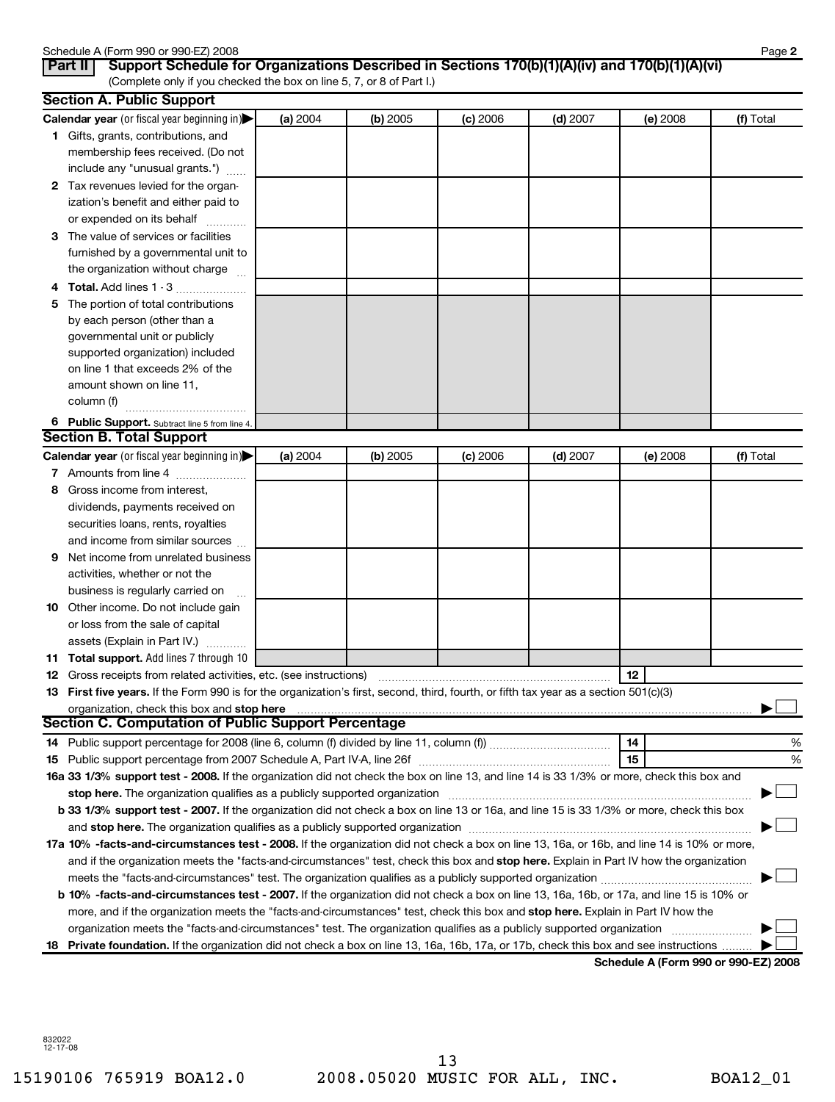|              | Schedule A (Form 990 or 990-EZ) 2008                                                                                                                                                                                           |          |          |          |            |            | Page 2    |
|--------------|--------------------------------------------------------------------------------------------------------------------------------------------------------------------------------------------------------------------------------|----------|----------|----------|------------|------------|-----------|
|              | Support Schedule for Organizations Described in Sections 170(b)(1)(A)(iv) and 170(b)(1)(A)(vi)<br>Part II<br>(Complete only if you checked the box on line 5, 7, or 8 of Part I.)                                              |          |          |          |            |            |           |
|              | <b>Section A. Public Support</b>                                                                                                                                                                                               |          |          |          |            |            |           |
|              | Calendar year (or fiscal year beginning in)                                                                                                                                                                                    | (a) 2004 | (b) 2005 | (c) 2006 | $(d)$ 2007 | $(e)$ 2008 | (f) Total |
|              | 1 Gifts, grants, contributions, and                                                                                                                                                                                            |          |          |          |            |            |           |
|              | membership fees received. (Do not                                                                                                                                                                                              |          |          |          |            |            |           |
|              | include any "unusual grants.")                                                                                                                                                                                                 |          |          |          |            |            |           |
| $\mathbf{2}$ | Tax revenues levied for the organ-                                                                                                                                                                                             |          |          |          |            |            |           |
|              | ization's benefit and either paid to                                                                                                                                                                                           |          |          |          |            |            |           |
|              | or expended on its behalf                                                                                                                                                                                                      |          |          |          |            |            |           |
| 3            | The value of services or facilities                                                                                                                                                                                            |          |          |          |            |            |           |
|              | furnished by a governmental unit to                                                                                                                                                                                            |          |          |          |            |            |           |
|              | the organization without charge                                                                                                                                                                                                |          |          |          |            |            |           |
|              | <b>Total.</b> Add lines 1 - 3                                                                                                                                                                                                  |          |          |          |            |            |           |
| 5            | The portion of total contributions                                                                                                                                                                                             |          |          |          |            |            |           |
|              | by each person (other than a                                                                                                                                                                                                   |          |          |          |            |            |           |
|              | governmental unit or publicly                                                                                                                                                                                                  |          |          |          |            |            |           |
|              | supported organization) included                                                                                                                                                                                               |          |          |          |            |            |           |
|              | on line 1 that exceeds 2% of the                                                                                                                                                                                               |          |          |          |            |            |           |
|              | amount shown on line 11,                                                                                                                                                                                                       |          |          |          |            |            |           |
|              | column (f)                                                                                                                                                                                                                     |          |          |          |            |            |           |
|              | 6 Public Support. Subtract line 5 from line 4.                                                                                                                                                                                 |          |          |          |            |            |           |
|              | <b>Section B. Total Support</b>                                                                                                                                                                                                |          |          |          |            |            |           |
|              | Calendar year (or fiscal year beginning in)                                                                                                                                                                                    | (a) 2004 | (b) 2005 | (c) 2006 | $(d)$ 2007 | $(e)$ 2008 | (f) Total |
|              | 7 Amounts from line 4                                                                                                                                                                                                          |          |          |          |            |            |           |
| 8            | Gross income from interest,                                                                                                                                                                                                    |          |          |          |            |            |           |
|              | dividends, payments received on                                                                                                                                                                                                |          |          |          |            |            |           |
|              | securities loans, rents, royalties                                                                                                                                                                                             |          |          |          |            |            |           |
|              | and income from similar sources                                                                                                                                                                                                |          |          |          |            |            |           |
| 9            | Net income from unrelated business                                                                                                                                                                                             |          |          |          |            |            |           |
|              | activities, whether or not the                                                                                                                                                                                                 |          |          |          |            |            |           |
|              | business is regularly carried on<br>$\ddotsc$                                                                                                                                                                                  |          |          |          |            |            |           |
|              | 10 Other income. Do not include gain                                                                                                                                                                                           |          |          |          |            |            |           |
|              | or loss from the sale of capital                                                                                                                                                                                               |          |          |          |            |            |           |
|              | assets (Explain in Part IV.)                                                                                                                                                                                                   |          |          |          |            |            |           |
|              | 11 Total support. Add lines 7 through 10                                                                                                                                                                                       |          |          |          |            |            |           |
|              |                                                                                                                                                                                                                                |          |          |          |            |            |           |
|              | 13 First five years. If the Form 990 is for the organization's first, second, third, fourth, or fifth tax year as a section 501(c)(3)                                                                                          |          |          |          |            |            |           |
|              | organization, check this box and stop here                                                                                                                                                                                     |          |          |          |            |            |           |
|              | <b>Section C. Computation of Public Support Percentage</b>                                                                                                                                                                     |          |          |          |            |            |           |
| 14           |                                                                                                                                                                                                                                |          |          |          |            | 14         | %         |
| 15           |                                                                                                                                                                                                                                |          |          |          |            | 15         | %         |
|              | 16a 33 1/3% support test - 2008. If the organization did not check the box on line 13, and line 14 is 33 1/3% or more, check this box and                                                                                      |          |          |          |            |            |           |
|              | stop here. The organization qualifies as a publicly supported organization manufaction manufacture content or the organization manufacture content of the content of the state of the state of the state of the state of the s |          |          |          |            |            |           |
|              | b 33 1/3% support test - 2007. If the organization did not check a box on line 13 or 16a, and line 15 is 33 1/3% or more, check this box                                                                                       |          |          |          |            |            |           |
|              |                                                                                                                                                                                                                                |          |          |          |            |            |           |
|              | 17a 10% -facts-and-circumstances test - 2008. If the organization did not check a box on line 13, 16a, or 16b, and line 14 is 10% or more,                                                                                     |          |          |          |            |            |           |
|              | and if the organization meets the "facts-and-circumstances" test, check this box and stop here. Explain in Part IV how the organization                                                                                        |          |          |          |            |            |           |
|              |                                                                                                                                                                                                                                |          |          |          |            |            |           |
|              | b 10% -facts-and-circumstances test - 2007. If the organization did not check a box on line 13, 16a, 16b, or 17a, and line 15 is 10% or                                                                                        |          |          |          |            |            |           |
|              | more, and if the organization meets the "facts-and-circumstances" test, check this box and stop here. Explain in Part IV how the                                                                                               |          |          |          |            |            |           |
|              |                                                                                                                                                                                                                                |          |          |          |            |            |           |
| 18.          | Private foundation. If the organization did not check a box on line 13, 16a, 16b, 17a, or 17b, check this box and see instructions                                                                                             |          |          |          |            |            |           |

**Schedule A (Form 990 or 990-EZ) 2008**

832022 12-17-08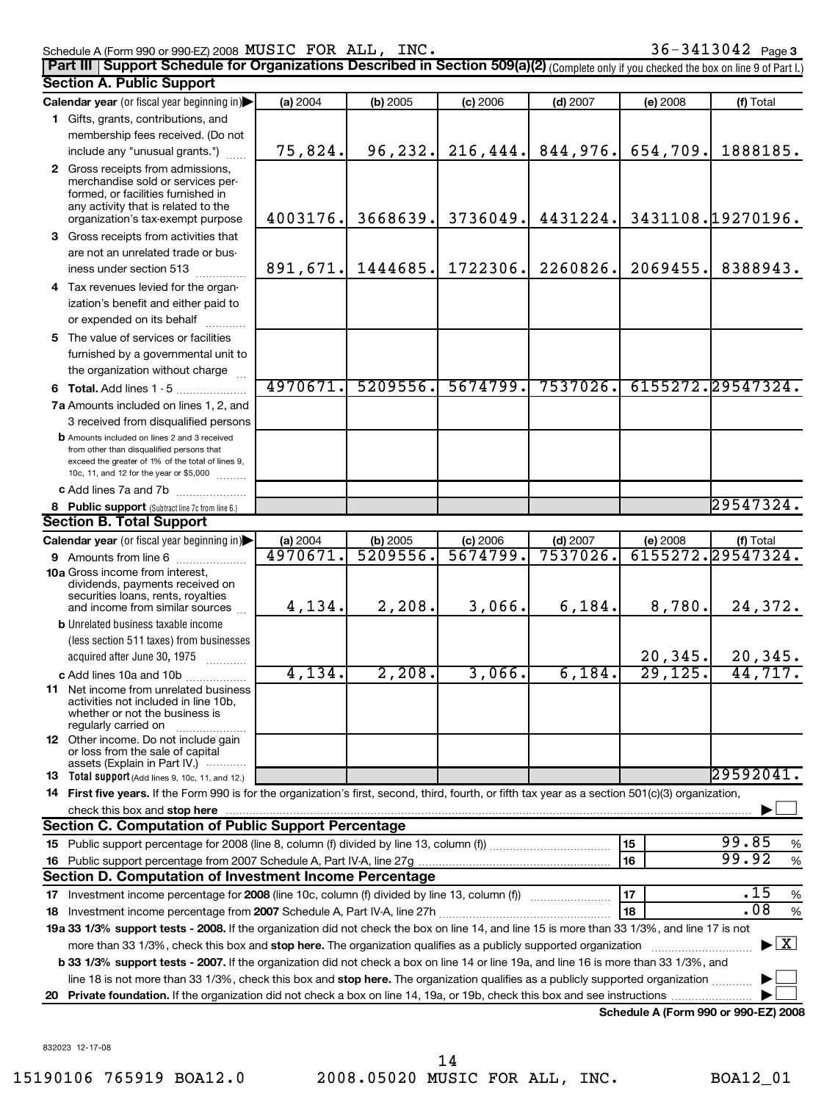## Schedule A (Form 990 or 990-EZ) 2008  ${\rm MUSIC}$   ${\rm FOR}$   ${\rm ALL}$  ,  ${\rm INC}$  .  ${\rm SU}(36)$   ${\rm SU}(36)$   ${\rm SU}(36)$   ${\rm SU}(36)$   ${\rm SU}(36)$ **Part III** Support Schedule for Organizations Described in Section 509(a)(2) (Complete only if you checked the box on line 9 of Part I.)

|    | <b>Section A. Public Support</b>                                                                                                                                                                                               |          |            |            |            |          |                                          |
|----|--------------------------------------------------------------------------------------------------------------------------------------------------------------------------------------------------------------------------------|----------|------------|------------|------------|----------|------------------------------------------|
|    | Calendar year (or fiscal year beginning in)                                                                                                                                                                                    | (a) 2004 | $(b)$ 2005 | $(c)$ 2006 | $(d)$ 2007 | (e) 2008 | (f) Total                                |
|    | 1 Gifts, grants, contributions, and                                                                                                                                                                                            |          |            |            |            |          |                                          |
|    | membership fees received. (Do not                                                                                                                                                                                              |          |            |            |            |          |                                          |
|    | include any "unusual grants.")                                                                                                                                                                                                 | 75,824.  | 96, 232.   | 216, 444.  | 844,976.   | 654,709. | 1888185.                                 |
|    | 2 Gross receipts from admissions,<br>merchandise sold or services per-<br>formed, or facilities furnished in<br>any activity that is related to the<br>organization's tax-exempt purpose                                       | 4003176. | 3668639.   | 3736049.   | 4431224.   |          | 3431108.19270196.                        |
|    | 3 Gross receipts from activities that                                                                                                                                                                                          |          |            |            |            |          |                                          |
|    | are not an unrelated trade or bus-                                                                                                                                                                                             |          |            |            |            |          |                                          |
|    | iness under section 513                                                                                                                                                                                                        | 891,671. | 1444685.   | 1722306.   | 2260826.   | 2069455. | 8388943.                                 |
|    | 4 Tax revenues levied for the organ-                                                                                                                                                                                           |          |            |            |            |          |                                          |
|    | ization's benefit and either paid to<br>or expended on its behalf                                                                                                                                                              |          |            |            |            |          |                                          |
|    | 5 The value of services or facilities                                                                                                                                                                                          |          |            |            |            |          |                                          |
|    | furnished by a governmental unit to<br>the organization without charge                                                                                                                                                         |          |            |            |            |          |                                          |
|    | 6 Total. Add lines 1 - 5                                                                                                                                                                                                       | 4970671  | 5209556.   | 5674799.   | 7537026.   |          | 6155272.29547324.                        |
|    | 7a Amounts included on lines 1, 2, and                                                                                                                                                                                         |          |            |            |            |          |                                          |
|    | 3 received from disqualified persons                                                                                                                                                                                           |          |            |            |            |          |                                          |
|    | <b>b</b> Amounts included on lines 2 and 3 received<br>from other than disqualified persons that<br>exceed the greater of 1% of the total of lines 9,<br>10c, 11, and 12 for the year or \$5,000                               |          |            |            |            |          |                                          |
|    | c Add lines 7a and 7b                                                                                                                                                                                                          |          |            |            |            |          |                                          |
|    | 8 Public support (Subtract line 7c from line 6.)                                                                                                                                                                               |          |            |            |            |          | 29547324.                                |
|    | <b>Section B. Total Support</b>                                                                                                                                                                                                |          |            |            |            |          |                                          |
|    | Calendar year (or fiscal year beginning in)                                                                                                                                                                                    | (a) 2004 | $(b)$ 2005 | $(c)$ 2006 | $(d)$ 2007 | (e) 2008 | (f) Total                                |
|    | 9 Amounts from line 6                                                                                                                                                                                                          | 4970671  | 5209556    | 5674799.   | 7537026    |          | 6155272.29547324.                        |
|    | <b>10a</b> Gross income from interest,<br>dividends, payments received on<br>securities loans, rents, royalties                                                                                                                |          |            |            |            |          |                                          |
|    | and income from similar sources                                                                                                                                                                                                | 4,134.   | 2,208.     | 3,066.     | 6, 184.    | 8,780.   | 24,372.                                  |
|    | <b>b</b> Unrelated business taxable income                                                                                                                                                                                     |          |            |            |            |          |                                          |
|    | (less section 511 taxes) from businesses                                                                                                                                                                                       |          |            |            |            |          |                                          |
|    | acquired after June 30, 1975                                                                                                                                                                                                   |          |            |            |            | 20, 345. | $\frac{20,345}{44,717}$                  |
|    | c Add lines 10a and 10b                                                                                                                                                                                                        | 4,134.   | 2,208.     | 3,066.     | 6,184.     | 29, 125. |                                          |
|    | 11 Net income from unrelated business<br>activities not included in line 10b,<br>whether or not the business is<br>regularly carried on                                                                                        |          |            |            |            |          |                                          |
|    | 12 Other income. Do not include gain<br>or loss from the sale of capital<br>assets (Explain in Part IV.)                                                                                                                       |          |            |            |            |          |                                          |
|    | <b>13</b> Total support (Add lines 9, 10c, 11, and 12.)                                                                                                                                                                        |          |            |            |            |          | 29592041.                                |
|    | 14 First five years. If the Form 990 is for the organization's first, second, third, fourth, or fifth tax year as a section 501(c)(3) organization,                                                                            |          |            |            |            |          |                                          |
|    | check this box and stop here with the continuum control of the control of the change of the change of the change of the change of the change of the change of the change of the change of the change of the change of the chan |          |            |            |            |          |                                          |
|    | Section C. Computation of Public Support Percentage                                                                                                                                                                            |          |            |            |            |          |                                          |
|    |                                                                                                                                                                                                                                |          |            |            |            | 15       | 99.85<br>%                               |
|    |                                                                                                                                                                                                                                |          |            |            |            | 16       | 99.92<br>%                               |
|    | Section D. Computation of Investment Income Percentage                                                                                                                                                                         |          |            |            |            |          |                                          |
|    |                                                                                                                                                                                                                                |          |            |            |            | 17       | .15<br>%                                 |
|    |                                                                                                                                                                                                                                |          |            |            |            | 18       | .08<br>%                                 |
|    | 19a 33 1/3% support tests - 2008. If the organization did not check the box on line 14, and line 15 is more than 33 1/3%, and line 17 is not                                                                                   |          |            |            |            |          |                                          |
|    | more than 33 1/3%, check this box and stop here. The organization qualifies as a publicly supported organization                                                                                                               |          |            |            |            |          | $\blacktriangleright$ $\boxed{\text{X}}$ |
|    | <b>b 33 1/3% support tests - 2007.</b> If the organization did not check a box on line 14 or line 19a, and line 16 is more than 33 1/3%, and                                                                                   |          |            |            |            |          |                                          |
|    | line 18 is not more than 33 1/3%, check this box and stop here. The organization qualifies as a publicly supported organization                                                                                                |          |            |            |            |          |                                          |
| 20 |                                                                                                                                                                                                                                |          |            |            |            |          |                                          |

**Schedule A (Form 990 or 990-EZ) 2008**

832023 12-17-08

15190106 765919 BOA12.0 2008.05020 MUSIC FOR ALL, INC. BOA12\_01 14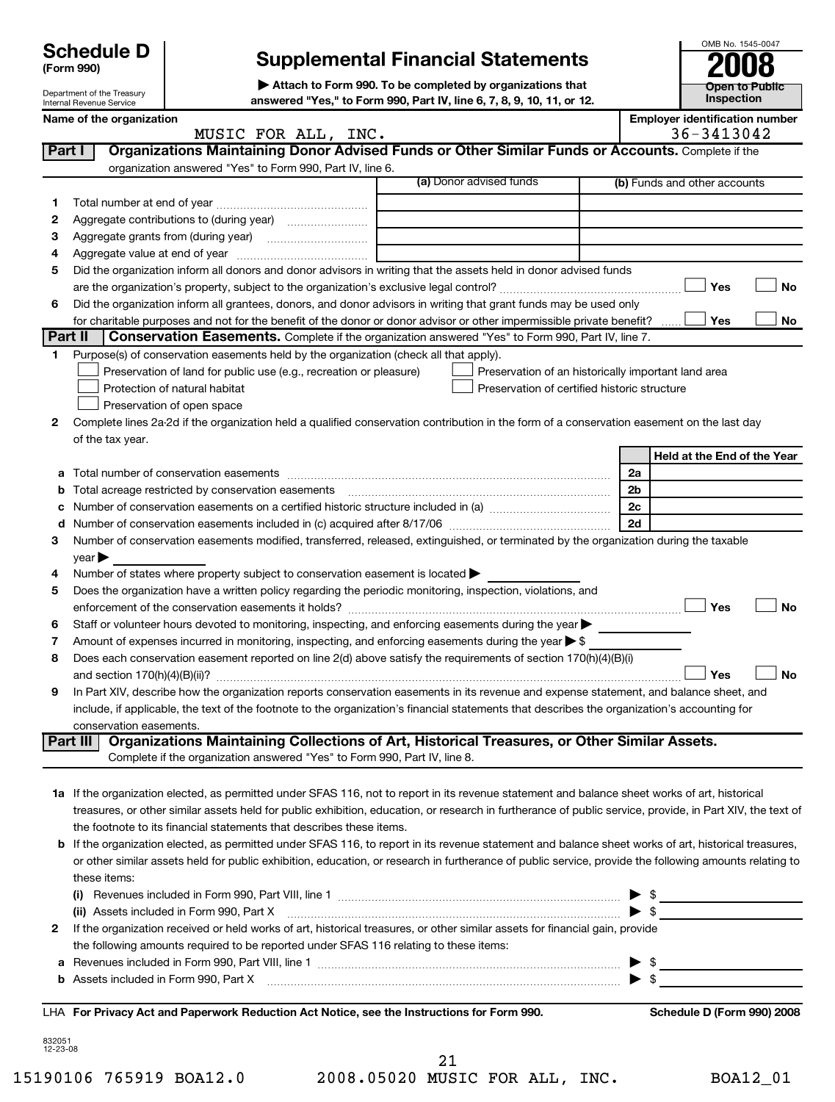| <b>Schedule D</b> |  |  |
|-------------------|--|--|
|-------------------|--|--|

# **Schedule D Supplemental Financial Statements 2008**

**| Attach to Form 990. To be completed by organizations that** Department of the Treasury<br>Internal Revenue Service **Department of the Treasury answered "Yes," to Form 990, Part IV, line 6, 7, 8, 9, 10, 11, or 12.** 

|                    | Department of the Treasury                                                                                                                                                                                                                                                                                     | $\blacktriangleright$ Attach to Form 990. To be completed by organizations that<br>answered "Yes," to Form 990, Part IV, line 6, 7, 8, 9, 10, 11, or 12.                                                                          |  |                                                     |    | <b>Open to Public</b><br>Inspection |  |
|--------------------|----------------------------------------------------------------------------------------------------------------------------------------------------------------------------------------------------------------------------------------------------------------------------------------------------------------|-----------------------------------------------------------------------------------------------------------------------------------------------------------------------------------------------------------------------------------|--|-----------------------------------------------------|----|-------------------------------------|--|
|                    | Internal Revenue Service<br><b>Employer identification number</b><br>Name of the organization                                                                                                                                                                                                                  |                                                                                                                                                                                                                                   |  |                                                     |    |                                     |  |
|                    |                                                                                                                                                                                                                                                                                                                | MUSIC FOR ALL, INC.                                                                                                                                                                                                               |  |                                                     |    | 36-3413042                          |  |
| Part I             |                                                                                                                                                                                                                                                                                                                | Organizations Maintaining Donor Advised Funds or Other Similar Funds or Accounts. Complete if the                                                                                                                                 |  |                                                     |    |                                     |  |
|                    |                                                                                                                                                                                                                                                                                                                | organization answered "Yes" to Form 990, Part IV, line 6.                                                                                                                                                                         |  |                                                     |    |                                     |  |
|                    |                                                                                                                                                                                                                                                                                                                |                                                                                                                                                                                                                                   |  | (a) Donor advised funds                             |    | (b) Funds and other accounts        |  |
| 1                  |                                                                                                                                                                                                                                                                                                                |                                                                                                                                                                                                                                   |  |                                                     |    |                                     |  |
| 2                  |                                                                                                                                                                                                                                                                                                                |                                                                                                                                                                                                                                   |  |                                                     |    |                                     |  |
| 3                  |                                                                                                                                                                                                                                                                                                                |                                                                                                                                                                                                                                   |  |                                                     |    |                                     |  |
| 4                  |                                                                                                                                                                                                                                                                                                                |                                                                                                                                                                                                                                   |  |                                                     |    |                                     |  |
| 5                  |                                                                                                                                                                                                                                                                                                                | Did the organization inform all donors and donor advisors in writing that the assets held in donor advised funds                                                                                                                  |  |                                                     |    |                                     |  |
|                    |                                                                                                                                                                                                                                                                                                                |                                                                                                                                                                                                                                   |  |                                                     |    | Yes<br>No                           |  |
| 6                  |                                                                                                                                                                                                                                                                                                                | Did the organization inform all grantees, donors, and donor advisors in writing that grant funds may be used only                                                                                                                 |  |                                                     |    |                                     |  |
|                    |                                                                                                                                                                                                                                                                                                                | for charitable purposes and not for the benefit of the donor or donor advisor or other impermissible private benefit?                                                                                                             |  |                                                     |    | Yes<br>No                           |  |
| Part II            |                                                                                                                                                                                                                                                                                                                | <b>Conservation Easements.</b> Complete if the organization answered "Yes" to Form 990, Part IV, line 7.                                                                                                                          |  |                                                     |    |                                     |  |
| 1                  |                                                                                                                                                                                                                                                                                                                | Purpose(s) of conservation easements held by the organization (check all that apply).                                                                                                                                             |  |                                                     |    |                                     |  |
|                    |                                                                                                                                                                                                                                                                                                                | Preservation of land for public use (e.g., recreation or pleasure)                                                                                                                                                                |  | Preservation of an historically important land area |    |                                     |  |
|                    |                                                                                                                                                                                                                                                                                                                | Protection of natural habitat                                                                                                                                                                                                     |  | Preservation of certified historic structure        |    |                                     |  |
|                    |                                                                                                                                                                                                                                                                                                                | Preservation of open space                                                                                                                                                                                                        |  |                                                     |    |                                     |  |
| 2                  |                                                                                                                                                                                                                                                                                                                | Complete lines 2a-2d if the organization held a qualified conservation contribution in the form of a conservation easement on the last day                                                                                        |  |                                                     |    |                                     |  |
|                    | of the tax year.                                                                                                                                                                                                                                                                                               |                                                                                                                                                                                                                                   |  |                                                     |    | Held at the End of the Year         |  |
|                    |                                                                                                                                                                                                                                                                                                                |                                                                                                                                                                                                                                   |  |                                                     | 2a |                                     |  |
| b                  |                                                                                                                                                                                                                                                                                                                | Total acreage restricted by conservation easements                                                                                                                                                                                |  |                                                     | 2b |                                     |  |
| c                  |                                                                                                                                                                                                                                                                                                                |                                                                                                                                                                                                                                   |  |                                                     | 2c |                                     |  |
| d                  |                                                                                                                                                                                                                                                                                                                |                                                                                                                                                                                                                                   |  |                                                     | 2d |                                     |  |
| З                  |                                                                                                                                                                                                                                                                                                                | Number of conservation easements modified, transferred, released, extinguished, or terminated by the organization during the taxable                                                                                              |  |                                                     |    |                                     |  |
|                    | year                                                                                                                                                                                                                                                                                                           |                                                                                                                                                                                                                                   |  |                                                     |    |                                     |  |
| 4                  |                                                                                                                                                                                                                                                                                                                | Number of states where property subject to conservation easement is located                                                                                                                                                       |  |                                                     |    |                                     |  |
| 5                  |                                                                                                                                                                                                                                                                                                                | Does the organization have a written policy regarding the periodic monitoring, inspection, violations, and                                                                                                                        |  |                                                     |    |                                     |  |
|                    |                                                                                                                                                                                                                                                                                                                |                                                                                                                                                                                                                                   |  |                                                     |    | Yes<br><b>No</b>                    |  |
| 6                  |                                                                                                                                                                                                                                                                                                                | Staff or volunteer hours devoted to monitoring, inspecting, and enforcing easements during the year                                                                                                                               |  |                                                     |    |                                     |  |
| 7                  |                                                                                                                                                                                                                                                                                                                | Amount of expenses incurred in monitoring, inspecting, and enforcing easements during the year $\triangleright$ \$                                                                                                                |  |                                                     |    |                                     |  |
| 8                  |                                                                                                                                                                                                                                                                                                                | Does each conservation easement reported on line 2(d) above satisfy the requirements of section 170(h)(4)(B)(i)                                                                                                                   |  |                                                     |    |                                     |  |
|                    |                                                                                                                                                                                                                                                                                                                |                                                                                                                                                                                                                                   |  |                                                     |    | <b>No</b><br>Yes                    |  |
| 9                  |                                                                                                                                                                                                                                                                                                                | In Part XIV, describe how the organization reports conservation easements in its revenue and expense statement, and balance sheet, and                                                                                            |  |                                                     |    |                                     |  |
|                    |                                                                                                                                                                                                                                                                                                                | include, if applicable, the text of the footnote to the organization's financial statements that describes the organization's accounting for                                                                                      |  |                                                     |    |                                     |  |
|                    | conservation easements.                                                                                                                                                                                                                                                                                        |                                                                                                                                                                                                                                   |  |                                                     |    |                                     |  |
|                    | Part III                                                                                                                                                                                                                                                                                                       | Organizations Maintaining Collections of Art, Historical Treasures, or Other Similar Assets.                                                                                                                                      |  |                                                     |    |                                     |  |
|                    |                                                                                                                                                                                                                                                                                                                | Complete if the organization answered "Yes" to Form 990, Part IV, line 8.                                                                                                                                                         |  |                                                     |    |                                     |  |
|                    |                                                                                                                                                                                                                                                                                                                |                                                                                                                                                                                                                                   |  |                                                     |    |                                     |  |
|                    |                                                                                                                                                                                                                                                                                                                | 1a If the organization elected, as permitted under SFAS 116, not to report in its revenue statement and balance sheet works of art, historical                                                                                    |  |                                                     |    |                                     |  |
|                    |                                                                                                                                                                                                                                                                                                                | treasures, or other similar assets held for public exhibition, education, or research in furtherance of public service, provide, in Part XIV, the text of<br>the footnote to its financial statements that describes these items. |  |                                                     |    |                                     |  |
|                    |                                                                                                                                                                                                                                                                                                                |                                                                                                                                                                                                                                   |  |                                                     |    |                                     |  |
|                    | b If the organization elected, as permitted under SFAS 116, to report in its revenue statement and balance sheet works of art, historical treasures,<br>or other similar assets held for public exhibition, education, or research in furtherance of public service, provide the following amounts relating to |                                                                                                                                                                                                                                   |  |                                                     |    |                                     |  |
|                    | these items:                                                                                                                                                                                                                                                                                                   |                                                                                                                                                                                                                                   |  |                                                     |    |                                     |  |
|                    |                                                                                                                                                                                                                                                                                                                |                                                                                                                                                                                                                                   |  |                                                     |    |                                     |  |
|                    | - \$<br>$\blacktriangleright$ \$<br>(ii) Assets included in Form 990, Part X                                                                                                                                                                                                                                   |                                                                                                                                                                                                                                   |  |                                                     |    |                                     |  |
| 2                  |                                                                                                                                                                                                                                                                                                                | If the organization received or held works of art, historical treasures, or other similar assets for financial gain, provide                                                                                                      |  |                                                     |    |                                     |  |
|                    |                                                                                                                                                                                                                                                                                                                | the following amounts required to be reported under SFAS 116 relating to these items:                                                                                                                                             |  |                                                     |    |                                     |  |
| а                  |                                                                                                                                                                                                                                                                                                                |                                                                                                                                                                                                                                   |  |                                                     |    |                                     |  |
| b                  |                                                                                                                                                                                                                                                                                                                |                                                                                                                                                                                                                                   |  |                                                     |    |                                     |  |
|                    |                                                                                                                                                                                                                                                                                                                |                                                                                                                                                                                                                                   |  |                                                     |    |                                     |  |
|                    |                                                                                                                                                                                                                                                                                                                | LHA For Privacy Act and Paperwork Reduction Act Notice, see the Instructions for Form 990.                                                                                                                                        |  |                                                     |    | Schedule D (Form 990) 2008          |  |
|                    |                                                                                                                                                                                                                                                                                                                |                                                                                                                                                                                                                                   |  |                                                     |    |                                     |  |
| 832051<br>12-23-08 |                                                                                                                                                                                                                                                                                                                |                                                                                                                                                                                                                                   |  |                                                     |    |                                     |  |

15190106 765919 BOA12.0 2008.05020 MUSIC FOR ALL, INC. BOA12\_01 21

**Open to Public**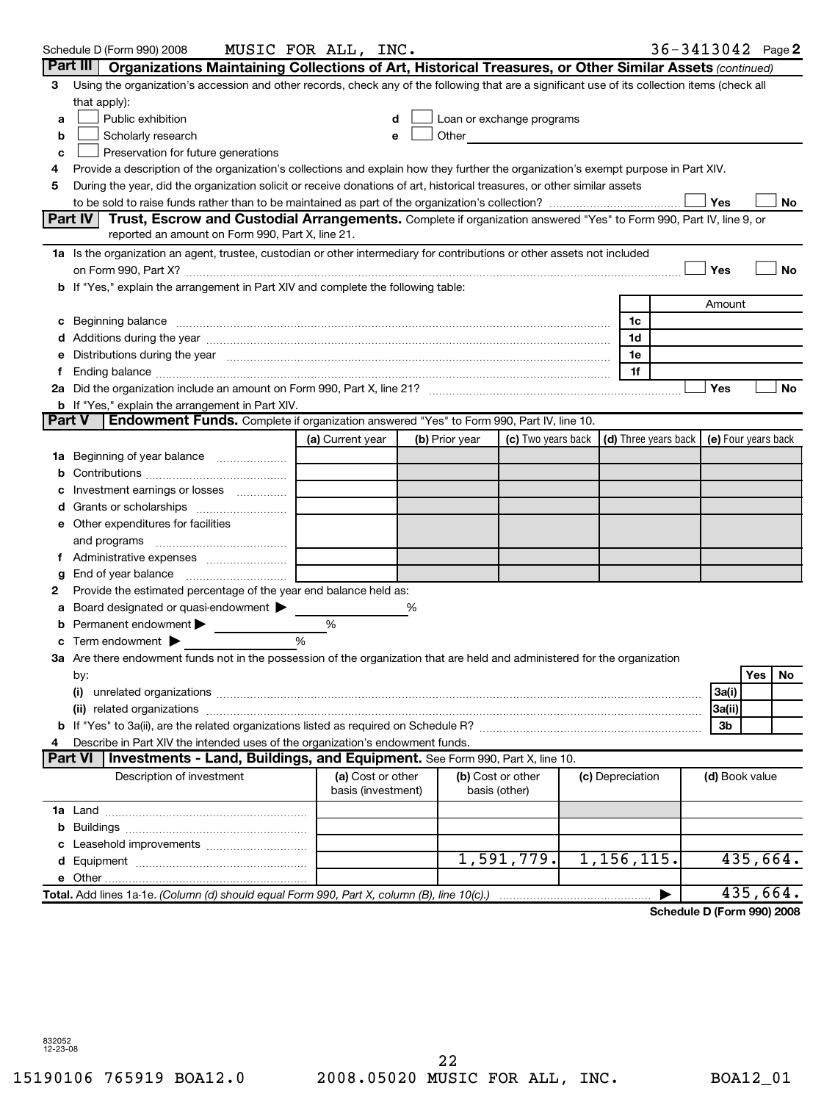|   | Schedule D (Form 990) 2008                                                                                                                                                                                                     | MUSIC FOR ALL, INC.                     |   |                |                                    |                      |        | $36 - 3413042$ Page 2      |
|---|--------------------------------------------------------------------------------------------------------------------------------------------------------------------------------------------------------------------------------|-----------------------------------------|---|----------------|------------------------------------|----------------------|--------|----------------------------|
|   | Part III   Organizations Maintaining Collections of Art, Historical Treasures, or Other Similar Assets (continued)                                                                                                             |                                         |   |                |                                    |                      |        |                            |
| 3 | Using the organization's accession and other records, check any of the following that are a significant use of its collection items (check all                                                                                 |                                         |   |                |                                    |                      |        |                            |
|   | that apply):                                                                                                                                                                                                                   |                                         |   |                |                                    |                      |        |                            |
| а | Public exhibition                                                                                                                                                                                                              |                                         | d |                | Loan or exchange programs          |                      |        |                            |
| b | Scholarly research                                                                                                                                                                                                             |                                         | e | Other          |                                    |                      |        |                            |
| c | Preservation for future generations                                                                                                                                                                                            |                                         |   |                |                                    |                      |        |                            |
| 4 | Provide a description of the organization's collections and explain how they further the organization's exempt purpose in Part XIV.                                                                                            |                                         |   |                |                                    |                      |        |                            |
| 5 | During the year, did the organization solicit or receive donations of art, historical treasures, or other similar assets                                                                                                       |                                         |   |                |                                    |                      |        |                            |
|   |                                                                                                                                                                                                                                |                                         |   |                |                                    |                      | Yes    | No                         |
|   | Part IV   Trust, Escrow and Custodial Arrangements. Complete if organization answered "Yes" to Form 990, Part IV, line 9, or                                                                                                   |                                         |   |                |                                    |                      |        |                            |
|   | reported an amount on Form 990, Part X, line 21.                                                                                                                                                                               |                                         |   |                |                                    |                      |        |                            |
|   | 1a Is the organization an agent, trustee, custodian or other intermediary for contributions or other assets not included                                                                                                       |                                         |   |                |                                    |                      |        |                            |
|   |                                                                                                                                                                                                                                |                                         |   |                |                                    |                      | Yes    | <b>No</b>                  |
|   | <b>b</b> If "Yes," explain the arrangement in Part XIV and complete the following table:                                                                                                                                       |                                         |   |                |                                    |                      |        |                            |
|   |                                                                                                                                                                                                                                |                                         |   |                |                                    |                      | Amount |                            |
|   | c Beginning balance measurements and the contract of Beginning balance measurements are all the contract of the contract of the contract of the contract of the contract of the contract of the contract of the contract of th |                                         |   |                |                                    | 1c                   |        |                            |
|   |                                                                                                                                                                                                                                |                                         |   |                |                                    | 1d                   |        |                            |
|   | e Distributions during the year measurement contained and all the year measurement of the year measurement of                                                                                                                  |                                         |   |                |                                    | 1e                   |        |                            |
|   |                                                                                                                                                                                                                                |                                         |   |                |                                    | 1f                   |        |                            |
|   |                                                                                                                                                                                                                                |                                         |   |                |                                    |                      | Yes    | <b>No</b>                  |
|   | <b>b</b> If "Yes," explain the arrangement in Part XIV.                                                                                                                                                                        |                                         |   |                |                                    |                      |        |                            |
|   | Part V<br>Endowment Funds. Complete if organization answered "Yes" to Form 990, Part IV, line 10.                                                                                                                              |                                         |   |                |                                    |                      |        |                            |
|   |                                                                                                                                                                                                                                | (a) Current year                        |   | (b) Prior year | (c) Two years back                 | (d) Three years back |        | (e) Four years back        |
|   | <b>1a</b> Beginning of year balance <i>manumum</i>                                                                                                                                                                             |                                         |   |                |                                    |                      |        |                            |
|   |                                                                                                                                                                                                                                |                                         |   |                |                                    |                      |        |                            |
| с | Investment earnings or losses                                                                                                                                                                                                  |                                         |   |                |                                    |                      |        |                            |
|   |                                                                                                                                                                                                                                |                                         |   |                |                                    |                      |        |                            |
|   | e Other expenditures for facilities                                                                                                                                                                                            |                                         |   |                |                                    |                      |        |                            |
|   |                                                                                                                                                                                                                                |                                         |   |                |                                    |                      |        |                            |
|   |                                                                                                                                                                                                                                |                                         |   |                |                                    |                      |        |                            |
| g |                                                                                                                                                                                                                                |                                         |   |                |                                    |                      |        |                            |
| 2 | Provide the estimated percentage of the year end balance held as:                                                                                                                                                              |                                         |   |                |                                    |                      |        |                            |
|   | a Board designated or quasi-endowment >                                                                                                                                                                                        |                                         | % |                |                                    |                      |        |                            |
|   | <b>b</b> Permanent endowment $\blacktriangleright$                                                                                                                                                                             | %                                       |   |                |                                    |                      |        |                            |
|   | <b>c</b> Term endowment $\blacktriangleright$                                                                                                                                                                                  | $\frac{0}{6}$                           |   |                |                                    |                      |        |                            |
|   | 3a Are there endowment funds not in the possession of the organization that are held and administered for the organization                                                                                                     |                                         |   |                |                                    |                      |        |                            |
|   | by:                                                                                                                                                                                                                            |                                         |   |                |                                    |                      |        | Yes   No                   |
|   |                                                                                                                                                                                                                                |                                         |   |                |                                    |                      | 3a(i)  |                            |
|   |                                                                                                                                                                                                                                |                                         |   |                |                                    |                      | 3a(ii) |                            |
|   |                                                                                                                                                                                                                                |                                         |   |                |                                    |                      | 3b     |                            |
| 4 | Describe in Part XIV the intended uses of the organization's endowment funds.<br>Part VI<br>Investments - Land, Buildings, and Equipment. See Form 990, Part X, line 10.                                                       |                                         |   |                |                                    |                      |        |                            |
|   |                                                                                                                                                                                                                                |                                         |   |                |                                    |                      |        |                            |
|   | Description of investment                                                                                                                                                                                                      | (a) Cost or other<br>basis (investment) |   |                | (b) Cost or other<br>basis (other) | (c) Depreciation     |        | (d) Book value             |
|   |                                                                                                                                                                                                                                |                                         |   |                |                                    |                      |        |                            |
|   |                                                                                                                                                                                                                                |                                         |   |                |                                    |                      |        |                            |
|   |                                                                                                                                                                                                                                |                                         |   |                |                                    |                      |        |                            |
|   |                                                                                                                                                                                                                                |                                         |   |                | 1,591,779.                         | 1,156,115.           |        | 435,664.                   |
|   |                                                                                                                                                                                                                                |                                         |   |                |                                    |                      |        |                            |
|   | Total. Add lines 1a-1e. (Column (d) should equal Form 990, Part X, column (B), line 10(c).)                                                                                                                                    |                                         |   |                |                                    |                      |        | 435,664.                   |
|   |                                                                                                                                                                                                                                |                                         |   |                |                                    |                      |        | Schedule D (Form 990) 2008 |
|   |                                                                                                                                                                                                                                |                                         |   |                |                                    |                      |        |                            |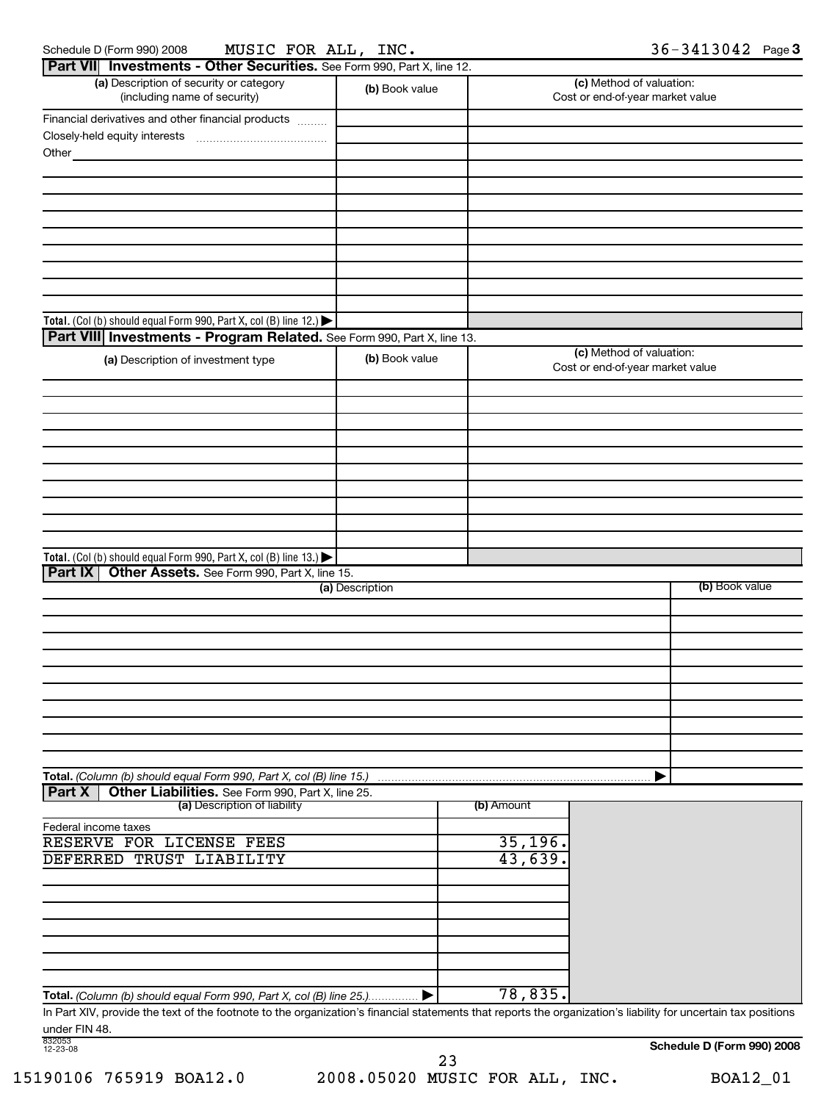| Schedule D (Form 990) 200 |
|---------------------------|
|---------------------------|

Schedule D (Form 990) 2008 MUSIC FOR ALL, INC.  $36-3413042$  Page 3

| Part VII Investments - Other Securities. See Form 990, Part X, line 12. |                 |            |                                                              |
|-------------------------------------------------------------------------|-----------------|------------|--------------------------------------------------------------|
| (a) Description of security or category<br>(including name of security) | (b) Book value  |            | (c) Method of valuation:<br>Cost or end-of-year market value |
| Financial derivatives and other financial products                      |                 |            |                                                              |
|                                                                         |                 |            |                                                              |
| Other                                                                   |                 |            |                                                              |
|                                                                         |                 |            |                                                              |
|                                                                         |                 |            |                                                              |
|                                                                         |                 |            |                                                              |
|                                                                         |                 |            |                                                              |
|                                                                         |                 |            |                                                              |
|                                                                         |                 |            |                                                              |
|                                                                         |                 |            |                                                              |
|                                                                         |                 |            |                                                              |
|                                                                         |                 |            |                                                              |
|                                                                         |                 |            |                                                              |
| Total. (Col (b) should equal Form 990, Part X, col (B) line 12.)        |                 |            |                                                              |
| Part VIII Investments - Program Related. See Form 990, Part X, line 13. |                 |            |                                                              |
| (a) Description of investment type                                      | (b) Book value  |            | (c) Method of valuation:<br>Cost or end-of-year market value |
|                                                                         |                 |            |                                                              |
|                                                                         |                 |            |                                                              |
|                                                                         |                 |            |                                                              |
|                                                                         |                 |            |                                                              |
|                                                                         |                 |            |                                                              |
|                                                                         |                 |            |                                                              |
|                                                                         |                 |            |                                                              |
|                                                                         |                 |            |                                                              |
|                                                                         |                 |            |                                                              |
|                                                                         |                 |            |                                                              |
|                                                                         |                 |            |                                                              |
| Total. (Col (b) should equal Form 990, Part X, col (B) line 13.)        |                 |            |                                                              |
| Part IX   Other Assets. See Form 990, Part X, line 15.                  |                 |            | (b) Book value                                               |
|                                                                         | (a) Description |            |                                                              |
|                                                                         |                 |            |                                                              |
|                                                                         |                 |            |                                                              |
|                                                                         |                 |            |                                                              |
|                                                                         |                 |            |                                                              |
|                                                                         |                 |            |                                                              |
|                                                                         |                 |            |                                                              |
|                                                                         |                 |            |                                                              |
|                                                                         |                 |            |                                                              |
|                                                                         |                 |            |                                                              |
|                                                                         |                 |            |                                                              |
| Total. (Column (b) should equal Form 990, Part X, col (B) line 15.)     |                 |            |                                                              |
| Part X<br>Other Liabilities. See Form 990, Part X, line 25.             |                 |            |                                                              |
| (a) Description of liability                                            |                 | (b) Amount |                                                              |
| Federal income taxes                                                    |                 |            |                                                              |
| RESERVE FOR LICENSE FEES                                                |                 | 35,196.    |                                                              |
| DEFERRED TRUST LIABILITY                                                |                 | 43,639.    |                                                              |
|                                                                         |                 |            |                                                              |
|                                                                         |                 |            |                                                              |
|                                                                         |                 |            |                                                              |
|                                                                         |                 |            |                                                              |
|                                                                         |                 |            |                                                              |
|                                                                         |                 |            |                                                              |
|                                                                         |                 |            |                                                              |
|                                                                         |                 |            |                                                              |
| Total. (Column (b) should equal Form 990, Part X, col (B) line 25.)     |                 | 78,835.    |                                                              |

In Part XIV, provide the text of the footnote to the organization's financial statements that reports the organization's liability for uncertain tax positions under FIN 48.

15190106 765919 BOA12.0 2008.05020 MUSIC FOR ALL, INC. BOA12\_01 23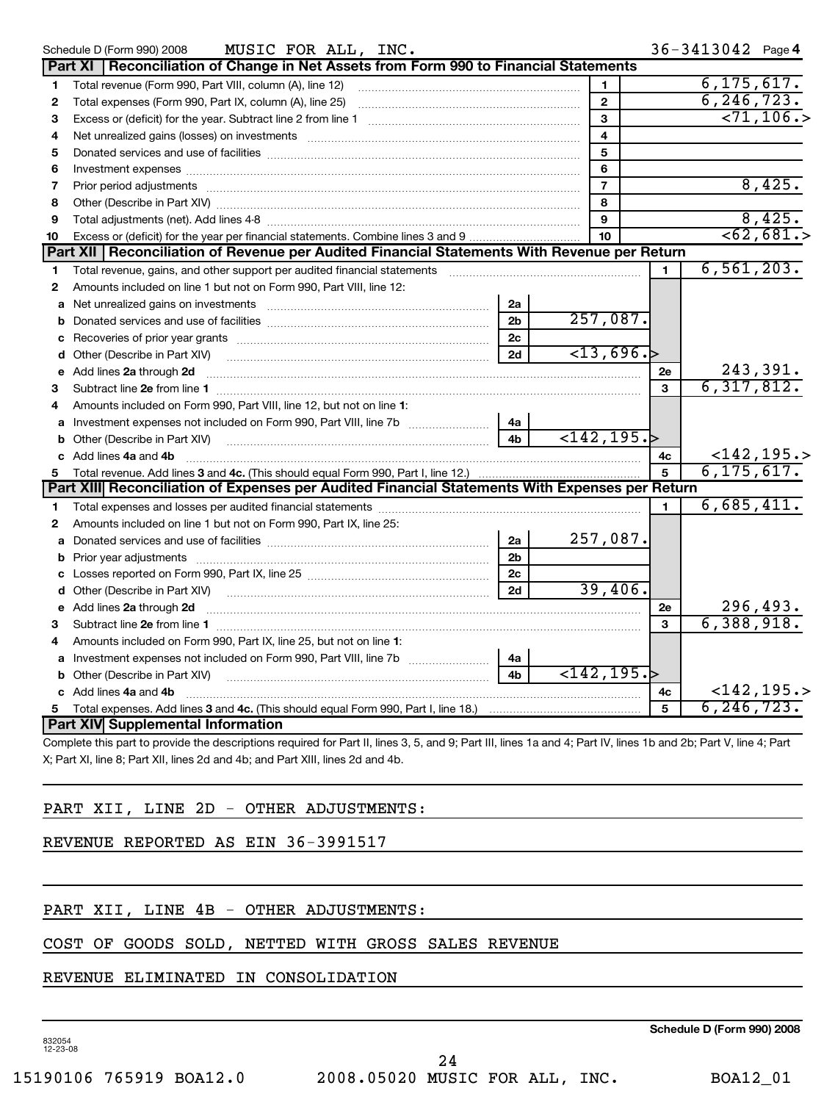|    | MUSIC FOR ALL, INC.<br>Schedule D (Form 990) 2008                                                                                                                                                                                   |                |                             |              | $36 - 3413042$ Page 4         |
|----|-------------------------------------------------------------------------------------------------------------------------------------------------------------------------------------------------------------------------------------|----------------|-----------------------------|--------------|-------------------------------|
|    | Part XI   Reconciliation of Change in Net Assets from Form 990 to Financial Statements                                                                                                                                              |                |                             |              |                               |
| 1  |                                                                                                                                                                                                                                     |                | $\mathbf{1}$                |              | 6, 175, 617.                  |
| 2  | Total expenses (Form 990, Part IX, column (A), line 25) [11] [12] manufacture in the system of the system of the system of the system of the system of the system of the system of the system of the system of the system of t      |                | $\mathbf{2}$                |              | 6, 246, 723.                  |
| 3  |                                                                                                                                                                                                                                     |                | 3                           |              | $-71, 106.$                   |
| 4  | Net unrealized gains (losses) on investments [11] matter continuum matter and all the set of the set of the set of the set of the set of the set of the set of the set of the set of the set of the set of the set of the set       |                | $\overline{4}$              |              |                               |
| 5  |                                                                                                                                                                                                                                     |                | 5                           |              |                               |
| 6  |                                                                                                                                                                                                                                     |                | 6                           |              |                               |
| 7  |                                                                                                                                                                                                                                     |                | $\overline{7}$              |              | 8,425.                        |
| 8  |                                                                                                                                                                                                                                     |                | 8                           |              |                               |
| 9  |                                                                                                                                                                                                                                     |                | 9                           |              | $\frac{8,425.}{8}$            |
| 10 | Excess or (deficit) for the year per financial statements. Combine lines 3 and 9                                                                                                                                                    |                | 10                          |              | $\sqrt{62,681.}$              |
|    | Part XII   Reconciliation of Revenue per Audited Financial Statements With Revenue per Return                                                                                                                                       |                |                             |              |                               |
| 1  | Total revenue, gains, and other support per audited financial statements [11, 11] matter controller and the support per audited financial statements [11] matter controller and the support of the statements [11] matter cont      |                |                             | $\mathbf{1}$ | 6, 561, 203.                  |
| 2  | Amounts included on line 1 but not on Form 990, Part VIII, line 12:                                                                                                                                                                 |                |                             |              |                               |
| a  | Net unrealized gains on investments [11] Martin Martin Martin Martin Martin Martin Martin Martin Martin Martin                                                                                                                      | 2a             |                             |              |                               |
| b  |                                                                                                                                                                                                                                     | 2 <sub>b</sub> | 257,087.                    |              |                               |
|    |                                                                                                                                                                                                                                     | 2c             |                             |              |                               |
|    | <b>d</b> Other (Describe in Part XIV)                                                                                                                                                                                               | 2d             | $\overline{<}13,696.$       |              |                               |
|    | e Add lines 2a through 2d                                                                                                                                                                                                           |                |                             | 2e           | 243,391.                      |
| З  |                                                                                                                                                                                                                                     |                |                             | 3            | 6, 317, 812.                  |
| 4  | Amounts included on Form 990, Part VIII, line 12, but not on line 1:                                                                                                                                                                |                |                             |              |                               |
|    |                                                                                                                                                                                                                                     | 4a             |                             |              |                               |
| b  | Other (Describe in Part XIV) <b>Construction Construction</b> Chern Construction Chern Chern Chern Chern Chern Chern Chern Chern Chern Chern Chern Chern Chern Chern Chern Chern Chern Chern Chern Chern Chern Chern Chern Chern Ch | 4 <sub>b</sub> | $\langle 142, 195. \rangle$ |              |                               |
|    | c Add lines 4a and 4b                                                                                                                                                                                                               |                |                             | 4c           | $<$ 142, 195. >               |
| 5  |                                                                                                                                                                                                                                     |                |                             | 5            | 6, 175, 617.                  |
|    | Part XIII Reconciliation of Expenses per Audited Financial Statements With Expenses per Return                                                                                                                                      |                |                             |              |                               |
| 1  |                                                                                                                                                                                                                                     |                |                             | 1            | 6,685,411.                    |
| 2  | Amounts included on line 1 but not on Form 990, Part IX, line 25:                                                                                                                                                                   |                |                             |              |                               |
|    |                                                                                                                                                                                                                                     | 2a             | 257,087.                    |              |                               |
|    |                                                                                                                                                                                                                                     | 2 <sub>b</sub> |                             |              |                               |
|    |                                                                                                                                                                                                                                     | 2c             |                             |              |                               |
|    |                                                                                                                                                                                                                                     | 2d             | 39,406.                     |              |                               |
| е  | Add lines 2a through 2d                                                                                                                                                                                                             |                |                             | 2e           | $\frac{296,493.}{6,388,918.}$ |
| З  |                                                                                                                                                                                                                                     |                |                             | 3            |                               |
| 4  | Amounts included on Form 990, Part IX, line 25, but not on line 1:                                                                                                                                                                  |                |                             |              |                               |
|    | a Investment expenses not included on Form 990, Part VIII, line 7b [11, 111, 111]                                                                                                                                                   | 4a             |                             |              |                               |
|    |                                                                                                                                                                                                                                     | 4 <sub>b</sub> | $\overline{<}142, 195.$     |              |                               |
|    | c Add lines 4a and 4b                                                                                                                                                                                                               |                |                             | 4с           | $<$ 142,195.>                 |
| 5  |                                                                                                                                                                                                                                     |                |                             | 5            | 6, 246, 723.                  |
|    | Part XIV Supplemental Information                                                                                                                                                                                                   |                |                             |              |                               |

Complete this part to provide the descriptions required for Part II, lines 3, 5, and 9; Part III, lines 1a and 4; Part IV, lines 1b and 2b; Part V, line 4; Part X; Part XI, line 8; Part XII, lines 2d and 4b; and Part XIII, lines 2d and 4b.

### PART XII, LINE 2D - OTHER ADJUSTMENTS:

REVENUE REPORTED AS EIN 36-3991517

### PART XII, LINE 4B - OTHER ADJUSTMENTS:

#### COST OF GOODS SOLD, NETTED WITH GROSS SALES REVENUE

#### REVENUE ELIMINATED IN CONSOLIDATION

832054 12-23-08

**Schedule D (Form 990) 2008**

24

15190106 765919 BOA12.0 2008.05020 MUSIC FOR ALL, INC. BOA12\_01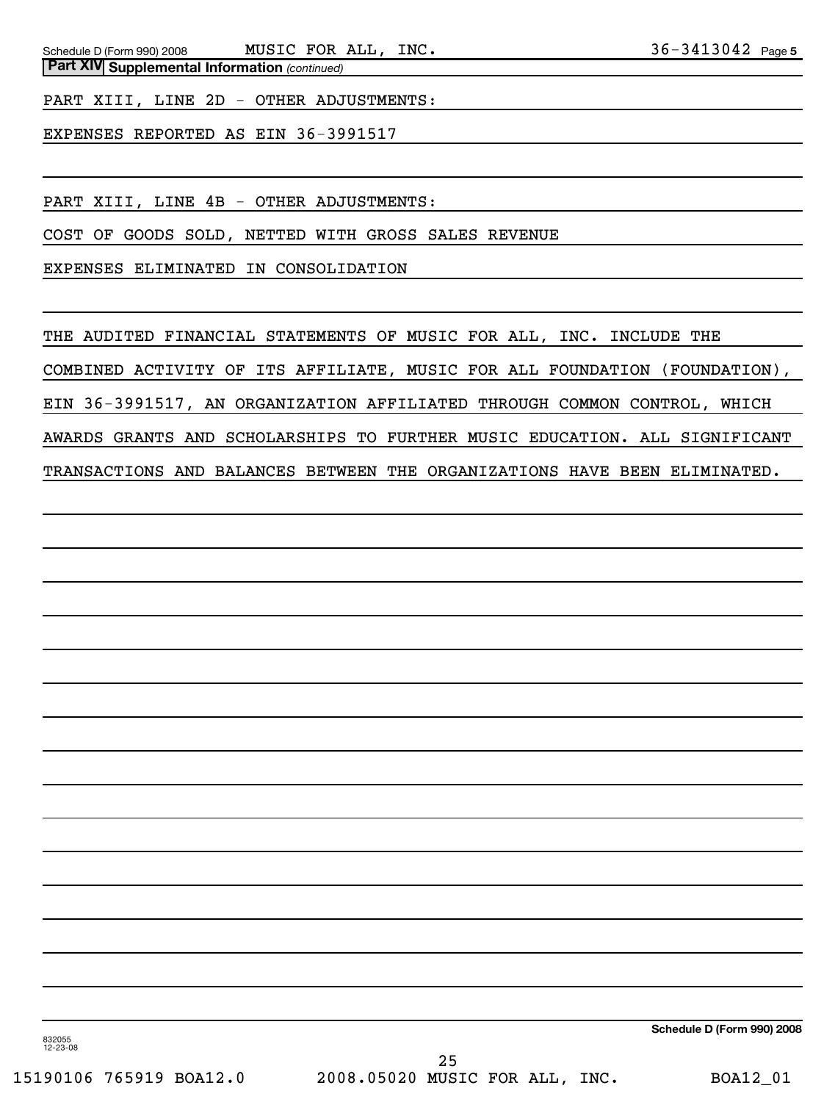PART XIII, LINE 2D - OTHER ADJUSTMENTS:

EXPENSES REPORTED AS EIN 36-3991517

PART XIII, LINE 4B - OTHER ADJUSTMENTS:

COST OF GOODS SOLD, NETTED WITH GROSS SALES REVENUE

EXPENSES ELIMINATED IN CONSOLIDATION

THE AUDITED FINANCIAL STATEMENTS OF MUSIC FOR ALL, INC. INCLUDE THE COMBINED ACTIVITY OF ITS AFFILIATE, MUSIC FOR ALL FOUNDATION (FOUNDATION), EIN 36-3991517, AN ORGANIZATION AFFILIATED THROUGH COMMON CONTROL, WHICH AWARDS GRANTS AND SCHOLARSHIPS TO FURTHER MUSIC EDUCATION. ALL SIGNIFICANT TRANSACTIONS AND BALANCES BETWEEN THE ORGANIZATIONS HAVE BEEN ELIMINATED.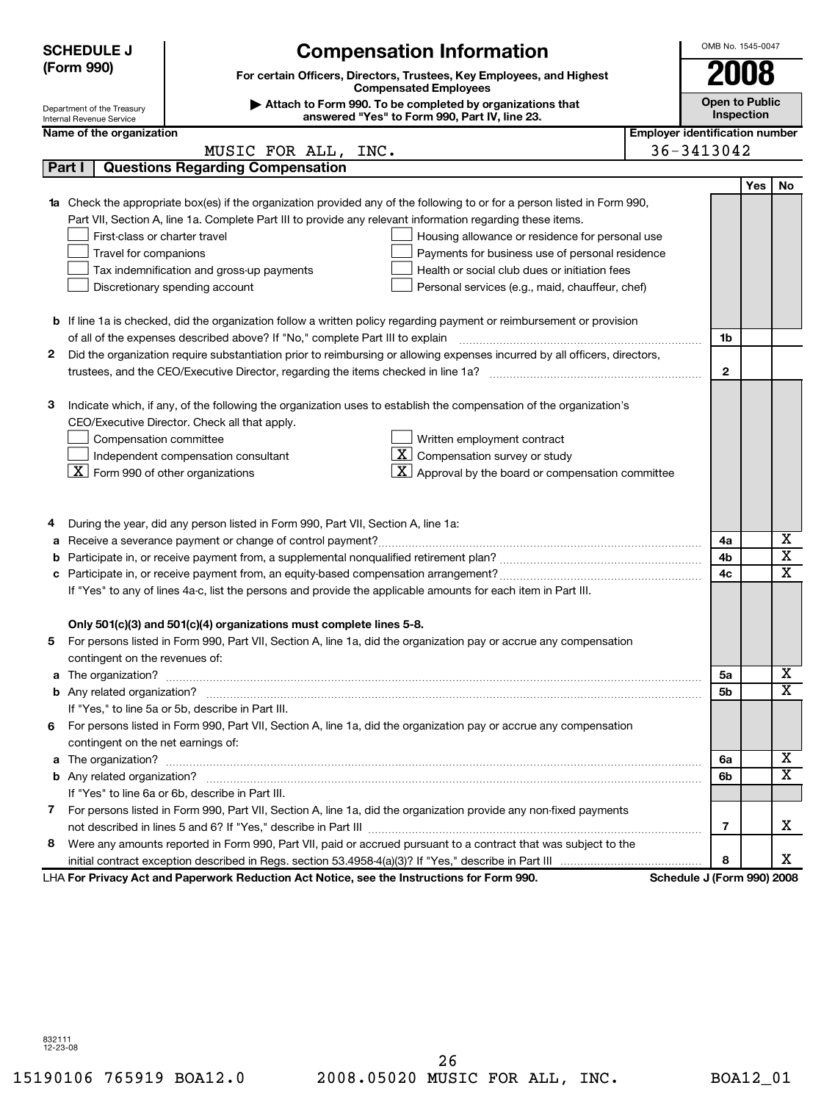|                                                                                                                                                                                      | <b>SCHEDULE J</b><br><b>Compensation Information</b>                                                                |                                                                                                                                                                                                                                                                                                                                                                                                                                                                                                                                         |  |                            | OMB No. 1545-0047                   |    |  |
|--------------------------------------------------------------------------------------------------------------------------------------------------------------------------------------|---------------------------------------------------------------------------------------------------------------------|-----------------------------------------------------------------------------------------------------------------------------------------------------------------------------------------------------------------------------------------------------------------------------------------------------------------------------------------------------------------------------------------------------------------------------------------------------------------------------------------------------------------------------------------|--|----------------------------|-------------------------------------|----|--|
|                                                                                                                                                                                      | (Form 990)<br>For certain Officers, Directors, Trustees, Key Employees, and Highest<br><b>Compensated Employees</b> |                                                                                                                                                                                                                                                                                                                                                                                                                                                                                                                                         |  |                            |                                     |    |  |
|                                                                                                                                                                                      | Department of the Treasury                                                                                          | Attach to Form 990. To be completed by organizations that                                                                                                                                                                                                                                                                                                                                                                                                                                                                               |  |                            | <b>Open to Public</b><br>Inspection |    |  |
|                                                                                                                                                                                      | answered "Yes" to Form 990, Part IV, line 23.<br>Internal Revenue Service                                           |                                                                                                                                                                                                                                                                                                                                                                                                                                                                                                                                         |  |                            |                                     |    |  |
|                                                                                                                                                                                      | <b>Employer identification number</b><br>Name of the organization                                                   |                                                                                                                                                                                                                                                                                                                                                                                                                                                                                                                                         |  |                            |                                     |    |  |
|                                                                                                                                                                                      |                                                                                                                     | MUSIC FOR ALL, INC.                                                                                                                                                                                                                                                                                                                                                                                                                                                                                                                     |  | 36-3413042                 |                                     |    |  |
|                                                                                                                                                                                      | Part I                                                                                                              | <b>Questions Regarding Compensation</b>                                                                                                                                                                                                                                                                                                                                                                                                                                                                                                 |  |                            |                                     |    |  |
|                                                                                                                                                                                      | First-class or charter travel<br>Travel for companions                                                              | <b>1a</b> Check the appropriate box(es) if the organization provided any of the following to or for a person listed in Form 990,<br>Part VII, Section A, line 1a. Complete Part III to provide any relevant information regarding these items.<br>Housing allowance or residence for personal use<br>Payments for business use of personal residence<br>Health or social club dues or initiation fees<br>Tax indemnification and gross-up payments<br>Discretionary spending account<br>Personal services (e.g., maid, chauffeur, chef) |  |                            | Yes l                               | No |  |
|                                                                                                                                                                                      |                                                                                                                     | <b>b</b> If line 1a is checked, did the organization follow a written policy regarding payment or reimbursement or provision                                                                                                                                                                                                                                                                                                                                                                                                            |  |                            |                                     |    |  |
|                                                                                                                                                                                      |                                                                                                                     | of all of the expenses described above? If "No," complete Part III to explain                                                                                                                                                                                                                                                                                                                                                                                                                                                           |  | 1b                         |                                     |    |  |
| 2                                                                                                                                                                                    |                                                                                                                     | Did the organization require substantiation prior to reimbursing or allowing expenses incurred by all officers, directors,                                                                                                                                                                                                                                                                                                                                                                                                              |  |                            |                                     |    |  |
|                                                                                                                                                                                      |                                                                                                                     |                                                                                                                                                                                                                                                                                                                                                                                                                                                                                                                                         |  | $\mathbf{2}$               |                                     |    |  |
| З                                                                                                                                                                                    | Compensation committee<br>$\boxed{\text{X}}$ Form 990 of other organizations                                        | Indicate which, if any, of the following the organization uses to establish the compensation of the organization's<br>CEO/Executive Director. Check all that apply.<br>Written employment contract<br>Compensation survey or study<br>Independent compensation consultant<br>X  <br>Approval by the board or compensation committee                                                                                                                                                                                                     |  |                            |                                     |    |  |
|                                                                                                                                                                                      |                                                                                                                     | During the year, did any person listed in Form 990, Part VII, Section A, line 1a:                                                                                                                                                                                                                                                                                                                                                                                                                                                       |  |                            |                                     |    |  |
| a                                                                                                                                                                                    |                                                                                                                     |                                                                                                                                                                                                                                                                                                                                                                                                                                                                                                                                         |  | 4a                         |                                     | х  |  |
| b                                                                                                                                                                                    |                                                                                                                     |                                                                                                                                                                                                                                                                                                                                                                                                                                                                                                                                         |  | 4b                         |                                     | X  |  |
|                                                                                                                                                                                      |                                                                                                                     |                                                                                                                                                                                                                                                                                                                                                                                                                                                                                                                                         |  | 4c                         |                                     | X  |  |
| If "Yes" to any of lines 4a-c, list the persons and provide the applicable amounts for each item in Part III.<br>Only 501(c)(3) and 501(c)(4) organizations must complete lines 5-8. |                                                                                                                     |                                                                                                                                                                                                                                                                                                                                                                                                                                                                                                                                         |  |                            |                                     |    |  |
|                                                                                                                                                                                      |                                                                                                                     | For persons listed in Form 990, Part VII, Section A, line 1a, did the organization pay or accrue any compensation                                                                                                                                                                                                                                                                                                                                                                                                                       |  |                            |                                     |    |  |
|                                                                                                                                                                                      | contingent on the revenues of:                                                                                      |                                                                                                                                                                                                                                                                                                                                                                                                                                                                                                                                         |  |                            |                                     |    |  |
|                                                                                                                                                                                      |                                                                                                                     |                                                                                                                                                                                                                                                                                                                                                                                                                                                                                                                                         |  | 5a                         |                                     | x  |  |
|                                                                                                                                                                                      |                                                                                                                     |                                                                                                                                                                                                                                                                                                                                                                                                                                                                                                                                         |  | 5b                         |                                     | х  |  |
|                                                                                                                                                                                      |                                                                                                                     | If "Yes," to line 5a or 5b, describe in Part III.                                                                                                                                                                                                                                                                                                                                                                                                                                                                                       |  |                            |                                     |    |  |
| 6                                                                                                                                                                                    |                                                                                                                     | For persons listed in Form 990, Part VII, Section A, line 1a, did the organization pay or accrue any compensation                                                                                                                                                                                                                                                                                                                                                                                                                       |  |                            |                                     |    |  |
|                                                                                                                                                                                      | contingent on the net earnings of:                                                                                  |                                                                                                                                                                                                                                                                                                                                                                                                                                                                                                                                         |  |                            |                                     |    |  |
|                                                                                                                                                                                      |                                                                                                                     |                                                                                                                                                                                                                                                                                                                                                                                                                                                                                                                                         |  | 6a                         |                                     | х  |  |
|                                                                                                                                                                                      |                                                                                                                     |                                                                                                                                                                                                                                                                                                                                                                                                                                                                                                                                         |  | 6b                         |                                     | х  |  |
|                                                                                                                                                                                      |                                                                                                                     | If "Yes" to line 6a or 6b, describe in Part III.                                                                                                                                                                                                                                                                                                                                                                                                                                                                                        |  |                            |                                     |    |  |
| 7                                                                                                                                                                                    |                                                                                                                     | For persons listed in Form 990, Part VII, Section A, line 1a, did the organization provide any non-fixed payments                                                                                                                                                                                                                                                                                                                                                                                                                       |  |                            |                                     |    |  |
|                                                                                                                                                                                      |                                                                                                                     |                                                                                                                                                                                                                                                                                                                                                                                                                                                                                                                                         |  | 7                          |                                     | х  |  |
| 8                                                                                                                                                                                    |                                                                                                                     | Were any amounts reported in Form 990, Part VII, paid or accrued pursuant to a contract that was subject to the                                                                                                                                                                                                                                                                                                                                                                                                                         |  |                            |                                     |    |  |
|                                                                                                                                                                                      |                                                                                                                     |                                                                                                                                                                                                                                                                                                                                                                                                                                                                                                                                         |  | 8                          |                                     | х  |  |
|                                                                                                                                                                                      |                                                                                                                     | LHA For Privacy Act and Paperwork Reduction Act Notice, see the Instructions for Form 990.                                                                                                                                                                                                                                                                                                                                                                                                                                              |  | Schedule J (Form 990) 2008 |                                     |    |  |

832111 12-23-08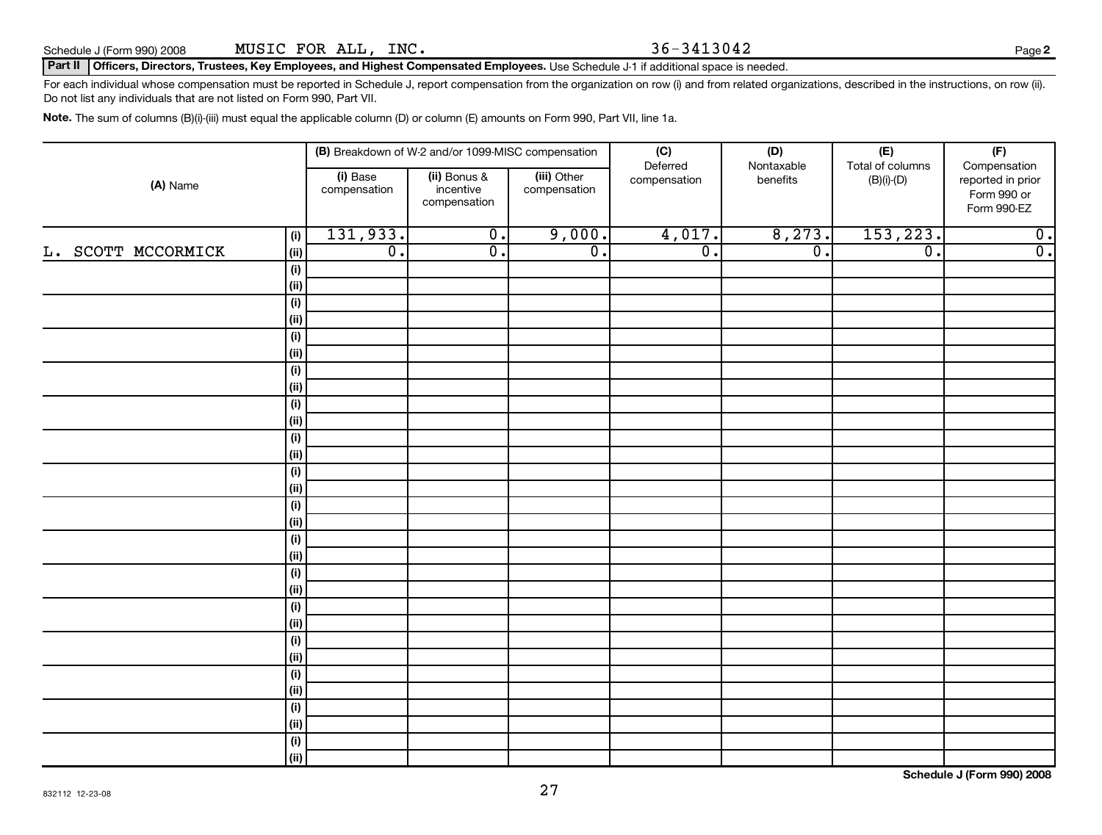Schedule J (Form 990) 2008 Page **2** MUSIC FOR ALL, INC. 36-3413042

**Part II Officers, Directors, Trustees, Key Employees, and Highest Compensated Employees.** Use Schedule J-1 if additional space is needed.

For each individual whose compensation must be reported in Schedule J, report compensation from the organization on row (i) and from related organizations, described in the instructions, on row (ii). Do not list any individuals that are not listed on Form 990, Part VII.

**Note.** The sum of columns (B)(i)-(iii) must equal the applicable column (D) or column (E) amounts on Form 990, Part VII, line 1a.

|                            | (B) Breakdown of W-2 and/or 1099-MISC compensation |                                           |                             | (C)                         | (D)                         | $(\mathsf{E})$<br>Total of columns | (F)                                                             |
|----------------------------|----------------------------------------------------|-------------------------------------------|-----------------------------|-----------------------------|-----------------------------|------------------------------------|-----------------------------------------------------------------|
| (A) Name                   | (i) Base<br>compensation                           | (ii) Bonus &<br>incentive<br>compensation | (iii) Other<br>compensation | Deferred<br>compensation    | Nontaxable<br>benefits      | $(B)(i)-(D)$                       | Compensation<br>reported in prior<br>Form 990 or<br>Form 990-EZ |
| (i)                        | 131,933.                                           | $\overline{\mathfrak{o}}$ .               | 9,000.                      | 4,017.                      | 8,273.                      | 153, 223.                          | $\overline{0}$ .                                                |
| L. SCOTT MCCORMICK<br>(ii) | $\overline{\mathfrak{o}}$ .                        | $\overline{\mathfrak{o}}$ .               | $\overline{\mathfrak{o}}$ . | $\overline{\mathfrak{o}}$ . | $\overline{\mathfrak{o}}$ . | $\overline{\mathfrak{o}}$ .        | $\overline{\mathfrak{o}}$ .                                     |
| (i)                        |                                                    |                                           |                             |                             |                             |                                    |                                                                 |
| (ii)                       |                                                    |                                           |                             |                             |                             |                                    |                                                                 |
| (i)                        |                                                    |                                           |                             |                             |                             |                                    |                                                                 |
| (ii)                       |                                                    |                                           |                             |                             |                             |                                    |                                                                 |
| (i)                        |                                                    |                                           |                             |                             |                             |                                    |                                                                 |
| (ii)                       |                                                    |                                           |                             |                             |                             |                                    |                                                                 |
| (i)                        |                                                    |                                           |                             |                             |                             |                                    |                                                                 |
| (ii)                       |                                                    |                                           |                             |                             |                             |                                    |                                                                 |
| (i)                        |                                                    |                                           |                             |                             |                             |                                    |                                                                 |
| (ii)                       |                                                    |                                           |                             |                             |                             |                                    |                                                                 |
| (i)                        |                                                    |                                           |                             |                             |                             |                                    |                                                                 |
| (ii)                       |                                                    |                                           |                             |                             |                             |                                    |                                                                 |
| (i)                        |                                                    |                                           |                             |                             |                             |                                    |                                                                 |
| (ii)                       |                                                    |                                           |                             |                             |                             |                                    |                                                                 |
| (i)                        |                                                    |                                           |                             |                             |                             |                                    |                                                                 |
| (ii)                       |                                                    |                                           |                             |                             |                             |                                    |                                                                 |
| (i)                        |                                                    |                                           |                             |                             |                             |                                    |                                                                 |
| (ii)                       |                                                    |                                           |                             |                             |                             |                                    |                                                                 |
| (i)                        |                                                    |                                           |                             |                             |                             |                                    |                                                                 |
| (ii)                       |                                                    |                                           |                             |                             |                             |                                    |                                                                 |
| (i)                        |                                                    |                                           |                             |                             |                             |                                    |                                                                 |
| (ii)                       |                                                    |                                           |                             |                             |                             |                                    |                                                                 |
| (i)<br>(ii)                |                                                    |                                           |                             |                             |                             |                                    |                                                                 |
| (i)                        |                                                    |                                           |                             |                             |                             |                                    |                                                                 |
| (ii)                       |                                                    |                                           |                             |                             |                             |                                    |                                                                 |
| (i)                        |                                                    |                                           |                             |                             |                             |                                    |                                                                 |
| (ii)                       |                                                    |                                           |                             |                             |                             |                                    |                                                                 |
| (i)                        |                                                    |                                           |                             |                             |                             |                                    |                                                                 |
| (ii)                       |                                                    |                                           |                             |                             |                             |                                    |                                                                 |

**Schedule J (Form 990) 2008**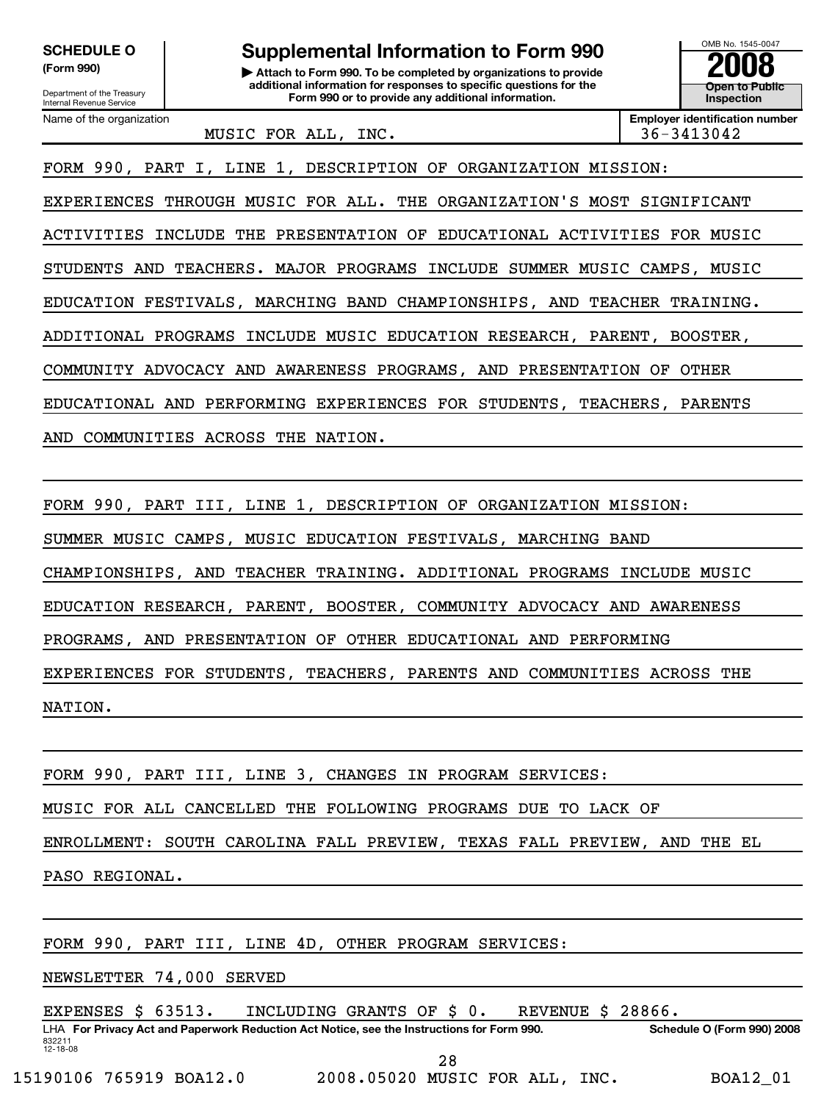**SCHEDULE O comb is a supplemental Information to Form 990** 

**(Form 990) | Attach to Form 990. To be completed by organizations to provide 2008 additional information for responses to specific questions for the Form 990 or to provide any additional information.**<br>
Internal Revenue Service **Inspection Inspection Provide any additional information.** 

MUSIC FOR ALL, INC. 36-3413042

Name of the organization **Employer identification number Employer identification number** 

**Open to Public**

FORM 990, PART I, LINE 1, DESCRIPTION OF ORGANIZATION MISSION:

EXPERIENCES THROUGH MUSIC FOR ALL. THE ORGANIZATION'S MOST SIGNIFICANT

ACTIVITIES INCLUDE THE PRESENTATION OF EDUCATIONAL ACTIVITIES FOR MUSIC

STUDENTS AND TEACHERS. MAJOR PROGRAMS INCLUDE SUMMER MUSIC CAMPS, MUSIC

EDUCATION FESTIVALS, MARCHING BAND CHAMPIONSHIPS, AND TEACHER TRAINING.

ADDITIONAL PROGRAMS INCLUDE MUSIC EDUCATION RESEARCH, PARENT, BOOSTER,

COMMUNITY ADVOCACY AND AWARENESS PROGRAMS, AND PRESENTATION OF OTHER

EDUCATIONAL AND PERFORMING EXPERIENCES FOR STUDENTS, TEACHERS, PARENTS

AND COMMUNITIES ACROSS THE NATION.

FORM 990, PART III, LINE 1, DESCRIPTION OF ORGANIZATION MISSION:

SUMMER MUSIC CAMPS, MUSIC EDUCATION FESTIVALS, MARCHING BAND

CHAMPIONSHIPS, AND TEACHER TRAINING. ADDITIONAL PROGRAMS INCLUDE MUSIC

EDUCATION RESEARCH, PARENT, BOOSTER, COMMUNITY ADVOCACY AND AWARENESS

PROGRAMS, AND PRESENTATION OF OTHER EDUCATIONAL AND PERFORMING

EXPERIENCES FOR STUDENTS, TEACHERS, PARENTS AND COMMUNITIES ACROSS THE

NATION.

FORM 990, PART III, LINE 3, CHANGES IN PROGRAM SERVICES:

MUSIC FOR ALL CANCELLED THE FOLLOWING PROGRAMS DUE TO LACK OF

ENROLLMENT: SOUTH CAROLINA FALL PREVIEW, TEXAS FALL PREVIEW, AND THE EL

PASO REGIONAL.

FORM 990, PART III, LINE 4D, OTHER PROGRAM SERVICES:

NEWSLETTER 74,000 SERVED

EXPENSES \$ 63513. INCLUDING GRANTS OF \$ 0. REVENUE \$ 28866.

LHA **For Privacy Act and Paperwork Reduction Act Notice, see the Instructions for Form 990. Schedule O (Form 990) 2008** 832211 12-18-08 28

15190106 765919 BOA12.0 2008.05020 MUSIC FOR ALL, INC. BOA12\_01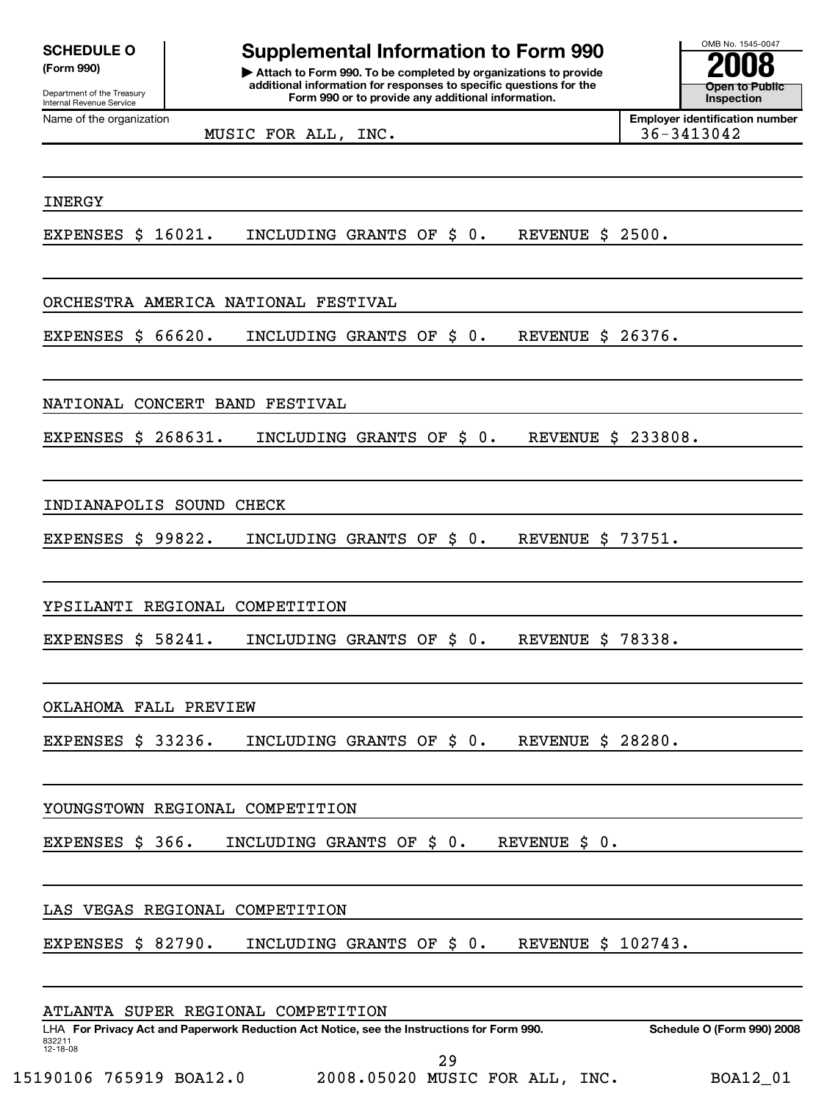# **SCHEDULE O comb is a supplemental Information to Form 990**

**(Form 990) | Attach to Form 990. To be completed by organizations to provide 2008 additional information for responses to specific questions for the Form 990 or to provide any additional information.**<br>
Internal Revenue Service **Inspection Inspection Provide any additional information.** 

**Open to Public**

MUSIC FOR ALL, INC. 36-3413042

Name of the organization **Employer identification number Employer identification number** 

#### INERGY

EXPENSES \$ 16021. INCLUDING GRANTS OF \$ 0. REVENUE \$ 2500.

### ORCHESTRA AMERICA NATIONAL FESTIVAL

EXPENSES \$ 66620. INCLUDING GRANTS OF \$ 0. REVENUE \$ 26376.

### NATIONAL CONCERT BAND FESTIVAL

EXPENSES \$ 268631. INCLUDING GRANTS OF \$ 0. REVENUE \$ 233808.

#### INDIANAPOLIS SOUND CHECK

EXPENSES \$ 99822. INCLUDING GRANTS OF \$ 0. REVENUE \$ 73751.

YPSILANTI REGIONAL COMPETITION

EXPENSES \$ 58241. INCLUDING GRANTS OF \$ 0. REVENUE \$ 78338.

OKLAHOMA FALL PREVIEW

EXPENSES \$ 33236. INCLUDING GRANTS OF \$ 0. REVENUE \$ 28280.

YOUNGSTOWN REGIONAL COMPETITION

EXPENSES \$ 366. INCLUDING GRANTS OF \$ 0. REVENUE \$ 0.

LAS VEGAS REGIONAL COMPETITION

EXPENSES \$ 82790. INCLUDING GRANTS OF \$ 0. REVENUE \$ 102743.

#### ATLANTA SUPER REGIONAL COMPETITION

LHA **For Privacy Act and Paperwork Reduction Act Notice, see the Instructions for Form 990. Schedule O (Form 990) 2008** 832211 12-18-08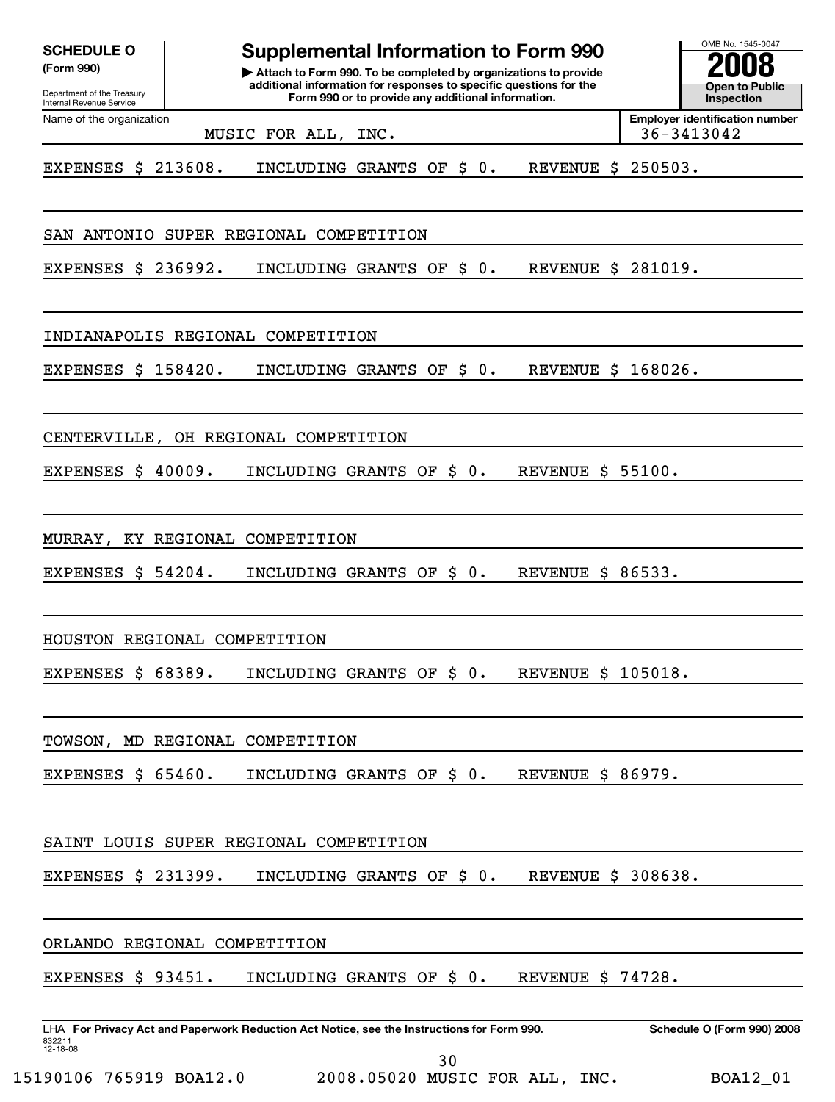| <b>SCHEDULE O</b><br>(Form 990)                        | <b>Supplemental Information to Form 990</b><br>Attach to Form 990. To be completed by organizations to provide<br>additional information for responses to specific questions for the | OMB No. 1545-0047                     |
|--------------------------------------------------------|--------------------------------------------------------------------------------------------------------------------------------------------------------------------------------------|---------------------------------------|
| Department of the Treasury<br>Internal Revenue Service | Form 990 or to provide any additional information.                                                                                                                                   | <b>Open to Public</b><br>Inspection   |
| Name of the organization                               | 36-3413042<br>MUSIC FOR ALL,<br>INC.                                                                                                                                                 | <b>Employer identification number</b> |
| EXPENSES \$                                            | 213608.<br>$0$ .<br>250503.<br>INCLUDING GRANTS OF<br>\$<br><b>REVENUE</b><br>S.                                                                                                     |                                       |
| <b>ANTONIO</b><br>SAN                                  | SUPER REGIONAL COMPETITION                                                                                                                                                           |                                       |
| <b>EXPENSES</b><br>S                                   | <b>REVENUE \$ 281019.</b><br>236992.<br>\$<br>0.<br>INCLUDING GRANTS OF                                                                                                              |                                       |
|                                                        | INDIANAPOLIS REGIONAL COMPETITION                                                                                                                                                    |                                       |
| <b>EXPENSES</b><br>\$                                  | <b>REVENUE \$ 168026.</b><br>158420.<br>\$<br>0.<br>INCLUDING GRANTS OF                                                                                                              |                                       |
| CENTERVILLE,                                           | OH REGIONAL COMPETITION                                                                                                                                                              |                                       |
| <b>EXPENSES</b><br>S                                   | 40009.<br>INCLUDING GRANTS OF<br>\$<br>0.<br>REVENUE \$ 55100.                                                                                                                       |                                       |
| MURRAY,<br>KY.                                         | REGIONAL COMPETITION                                                                                                                                                                 |                                       |
| <b>EXPENSES</b><br>\$.                                 | REVENUE \$ 86533.<br>54204.<br>0.<br>INCLUDING GRANTS OF<br>\$                                                                                                                       |                                       |
|                                                        | HOUSTON REGIONAL COMPETITION                                                                                                                                                         |                                       |
| EXPENSES \$ 68389.                                     | INCLUDING GRANTS OF \$ 0. REVENUE \$ 105018.                                                                                                                                         |                                       |
|                                                        | TOWSON, MD REGIONAL COMPETITION                                                                                                                                                      |                                       |
| EXPENSES $$65460.$                                     | INCLUDING GRANTS OF \$0.<br><b>REVENUE \$ 86979.</b>                                                                                                                                 |                                       |
|                                                        | SAINT LOUIS SUPER REGIONAL COMPETITION                                                                                                                                               |                                       |
| EXPENSES $$231399.$                                    | INCLUDING GRANTS OF \$0.<br>REVENUE \$ 308638.                                                                                                                                       |                                       |
|                                                        | ORLANDO REGIONAL COMPETITION                                                                                                                                                         |                                       |
| EXPENSES $$93451.$                                     | INCLUDING GRANTS OF \$0.<br>REVENUE \$ 74728.                                                                                                                                        |                                       |
| 832211<br>12-18-08                                     | LHA For Privacy Act and Paperwork Reduction Act Notice, see the Instructions for Form 990.                                                                                           | Schedule O (Form 990) 2008            |
|                                                        | 30                                                                                                                                                                                   |                                       |

15190106 765919 BOA12.0 2008.05020 MUSIC FOR ALL, INC. BOA12\_01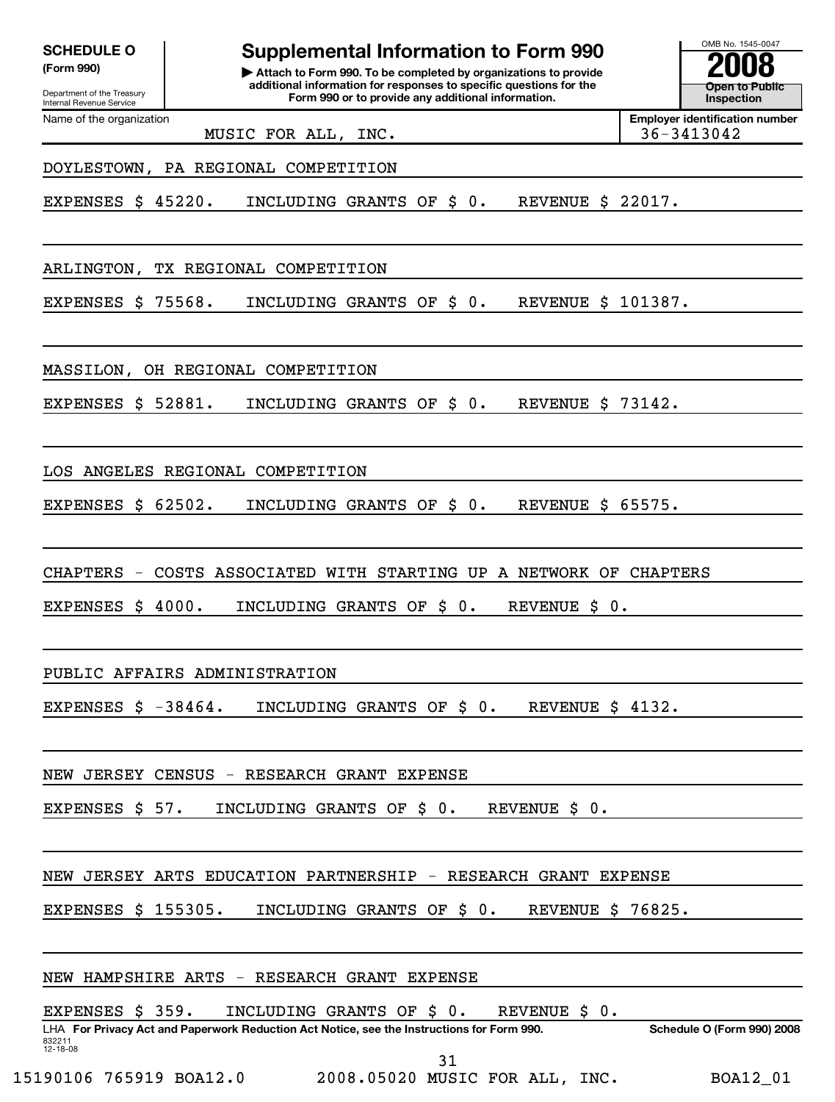| <b>SCHEDULE O</b> |  |
|-------------------|--|
|-------------------|--|

**Supplemental Information to Form 990** 

**(Form 990) | Attach to Form 990. To be completed by organizations to provide 2008 additional information for responses to specific questions for the Form 990 or to provide any additional information.**<br>
Internal Revenue Service **Inspection Inspection Provide any additional information.** 

**Open to Public**

Name of the organization **Employer identification number Employer identification number** MUSIC FOR ALL, INC. 36-3413042

DOYLESTOWN, PA REGIONAL COMPETITION

EXPENSES \$ 45220. INCLUDING GRANTS OF \$ 0. REVENUE \$ 22017.

ARLINGTON, TX REGIONAL COMPETITION

EXPENSES \$ 75568. INCLUDING GRANTS OF \$ 0. REVENUE \$ 101387.

MASSILON, OH REGIONAL COMPETITION

EXPENSES \$ 52881. INCLUDING GRANTS OF \$ 0. REVENUE \$ 73142.

LOS ANGELES REGIONAL COMPETITION

EXPENSES \$ 62502. INCLUDING GRANTS OF \$ 0. REVENUE \$ 65575.

CHAPTERS - COSTS ASSOCIATED WITH STARTING UP A NETWORK OF CHAPTERS

EXPENSES \$ 4000. INCLUDING GRANTS OF \$ 0. REVENUE \$ 0.

PUBLIC AFFAIRS ADMINISTRATION

EXPENSES \$ -38464. INCLUDING GRANTS OF \$0. REVENUE \$4132.

NEW JERSEY CENSUS - RESEARCH GRANT EXPENSE

EXPENSES \$ 57. INCLUDING GRANTS OF \$ 0. REVENUE \$ 0.

NEW JERSEY ARTS EDUCATION PARTNERSHIP - RESEARCH GRANT EXPENSE

EXPENSES \$ 155305. INCLUDING GRANTS OF \$ 0. REVENUE \$ 76825.

| NEW HAMPSHIRE ARTS - RESEARCH GRANT EXPENSE |  |  |  |
|---------------------------------------------|--|--|--|

EXPENSES \$ 359. INCLUDING GRANTS OF \$ 0. REVENUE \$ 0.

LHA **For Privacy Act and Paperwork Reduction Act Notice, see the Instructions for Form 990. Schedule O (Form 990) 2008** 832211 12-18-08

31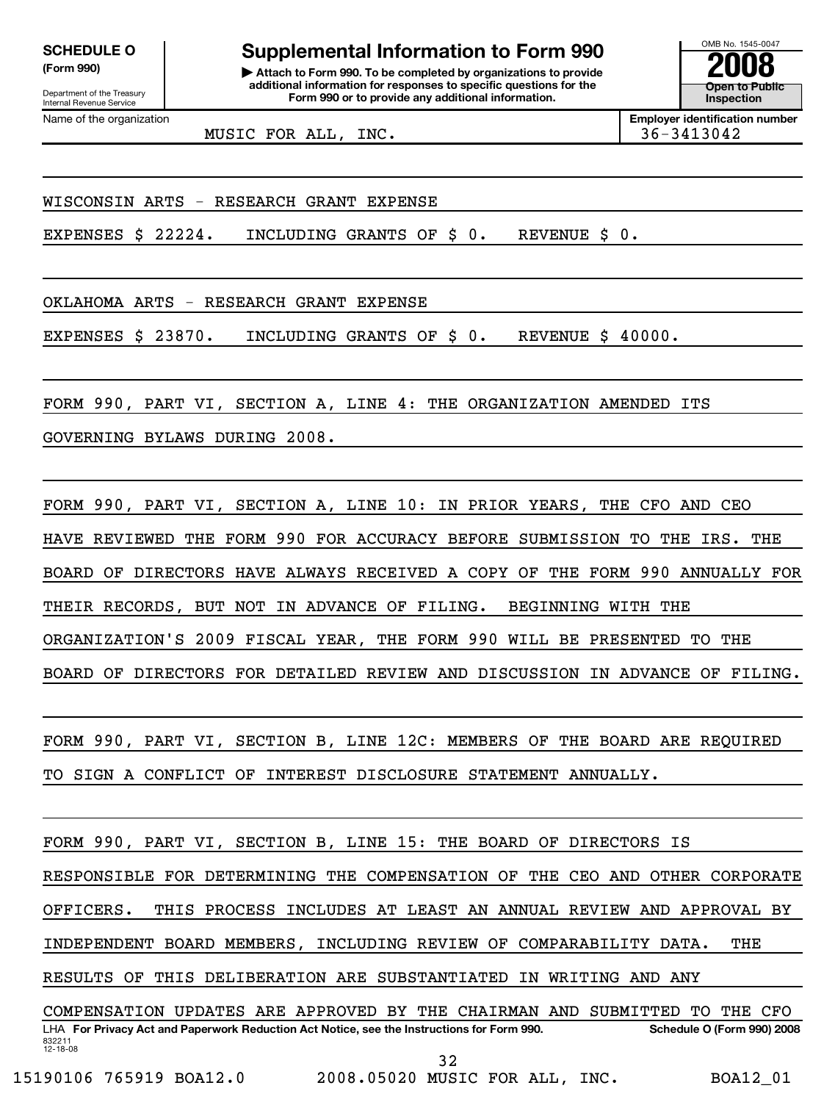# SCHEDULE O **Supplemental Information to Form 990**  $\frac{\text{OMB No. 1545-0047}}{2008}$

**(Form 990) | Attach to Form 990. To be completed by organizations to provide 2008 additional information for responses to specific questions for the Form 990 or to provide any additional information.**<br>
Internal Revenue Service **Inspection Inspection Provide any additional information.** 

**Open to Public**

MUSIC FOR ALL, INC. 36-3413042

Name of the organization **Employer identification number Employer identification number** 

WISCONSIN ARTS - RESEARCH GRANT EXPENSE

EXPENSES \$ 22224. INCLUDING GRANTS OF \$ 0. REVENUE \$ 0.

OKLAHOMA ARTS - RESEARCH GRANT EXPENSE

EXPENSES \$ 23870. INCLUDING GRANTS OF \$ 0. REVENUE \$ 40000.

FORM 990, PART VI, SECTION A, LINE 4: THE ORGANIZATION AMENDED ITS

GOVERNING BYLAWS DURING 2008.

FORM 990, PART VI, SECTION A, LINE 10: IN PRIOR YEARS, THE CFO AND CEO HAVE REVIEWED THE FORM 990 FOR ACCURACY BEFORE SUBMISSION TO THE IRS. THE BOARD OF DIRECTORS HAVE ALWAYS RECEIVED A COPY OF THE FORM 990 ANNUALLY FOR THEIR RECORDS, BUT NOT IN ADVANCE OF FILING. BEGINNING WITH THE ORGANIZATION'S 2009 FISCAL YEAR, THE FORM 990 WILL BE PRESENTED TO THE BOARD OF DIRECTORS FOR DETAILED REVIEW AND DISCUSSION IN ADVANCE OF FILING.

FORM 990, PART VI, SECTION B, LINE 12C: MEMBERS OF THE BOARD ARE REQUIRED TO SIGN A CONFLICT OF INTEREST DISCLOSURE STATEMENT ANNUALLY.

FORM 990, PART VI, SECTION B, LINE 15: THE BOARD OF DIRECTORS IS

RESPONSIBLE FOR DETERMINING THE COMPENSATION OF THE CEO AND OTHER CORPORATE

OFFICERS. THIS PROCESS INCLUDES AT LEAST AN ANNUAL REVIEW AND APPROVAL BY

INDEPENDENT BOARD MEMBERS, INCLUDING REVIEW OF COMPARABILITY DATA. THE

RESULTS OF THIS DELIBERATION ARE SUBSTANTIATED IN WRITING AND ANY

LHA **For Privacy Act and Paperwork Reduction Act Notice, see the Instructions for Form 990. Schedule O (Form 990) 2008** 832211 12-18-08 COMPENSATION UPDATES ARE APPROVED BY THE CHAIRMAN AND SUBMITTED TO THE CFO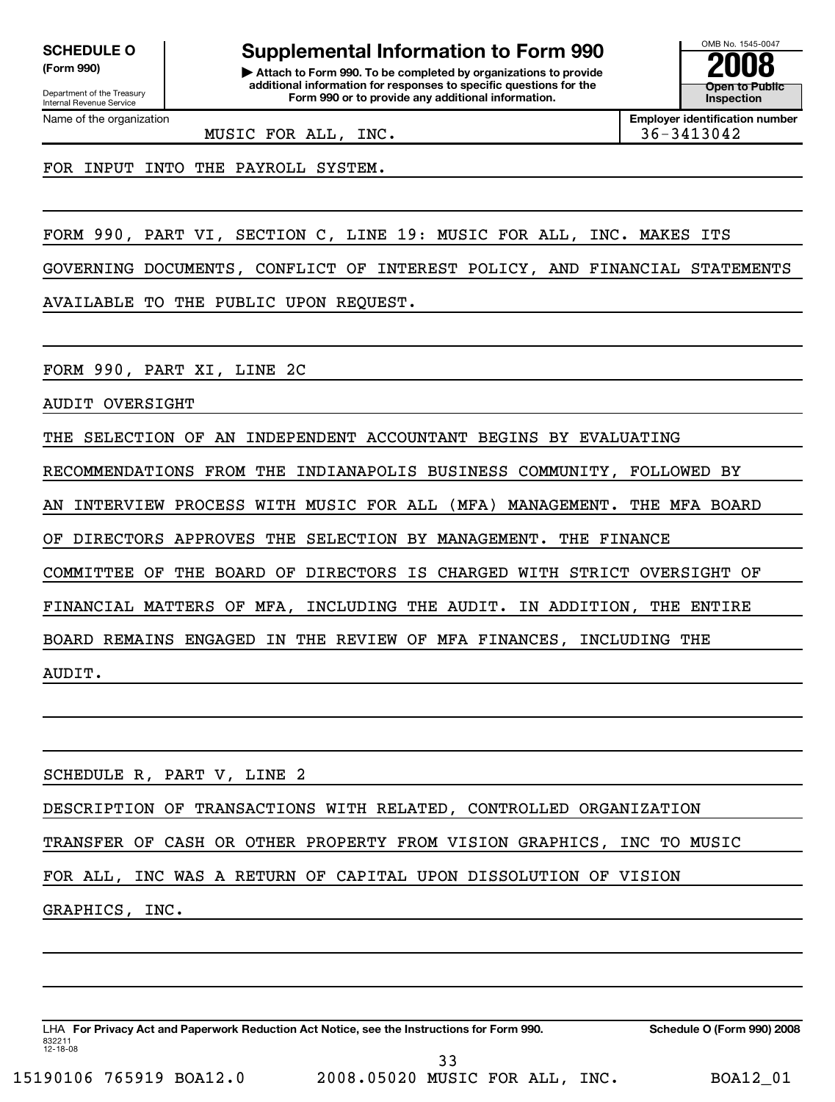**SCHEDULE O comb is a supplemental Information to Form 990** 

**(Form 990) | Attach to Form 990. To be completed by organizations to provide 2008 additional information for responses to specific questions for the Form 990 or to provide any additional information.**<br>
Internal Revenue Service **Inspection Inspection Provide any additional information.** 

**Open to Public**

MUSIC FOR ALL, INC. 36-3413042

Name of the organization **Employer identification number Employer identification number** 

FOR INPUT INTO THE PAYROLL SYSTEM.

FORM 990, PART VI, SECTION C, LINE 19: MUSIC FOR ALL, INC. MAKES ITS

GOVERNING DOCUMENTS, CONFLICT OF INTEREST POLICY, AND FINANCIAL STATEMENTS

AVAILABLE TO THE PUBLIC UPON REQUEST.

FORM 990, PART XI, LINE 2C

AUDIT OVERSIGHT

THE SELECTION OF AN INDEPENDENT ACCOUNTANT BEGINS BY EVALUATING

RECOMMENDATIONS FROM THE INDIANAPOLIS BUSINESS COMMUNITY, FOLLOWED BY

AN INTERVIEW PROCESS WITH MUSIC FOR ALL (MFA) MANAGEMENT. THE MFA BOARD

OF DIRECTORS APPROVES THE SELECTION BY MANAGEMENT. THE FINANCE

COMMITTEE OF THE BOARD OF DIRECTORS IS CHARGED WITH STRICT OVERSIGHT OF

FINANCIAL MATTERS OF MFA, INCLUDING THE AUDIT. IN ADDITION, THE ENTIRE

BOARD REMAINS ENGAGED IN THE REVIEW OF MFA FINANCES, INCLUDING THE

AUDIT.

SCHEDULE R, PART V, LINE 2

DESCRIPTION OF TRANSACTIONS WITH RELATED, CONTROLLED ORGANIZATION

TRANSFER OF CASH OR OTHER PROPERTY FROM VISION GRAPHICS, INC TO MUSIC

FOR ALL, INC WAS A RETURN OF CAPITAL UPON DISSOLUTION OF VISION

GRAPHICS, INC.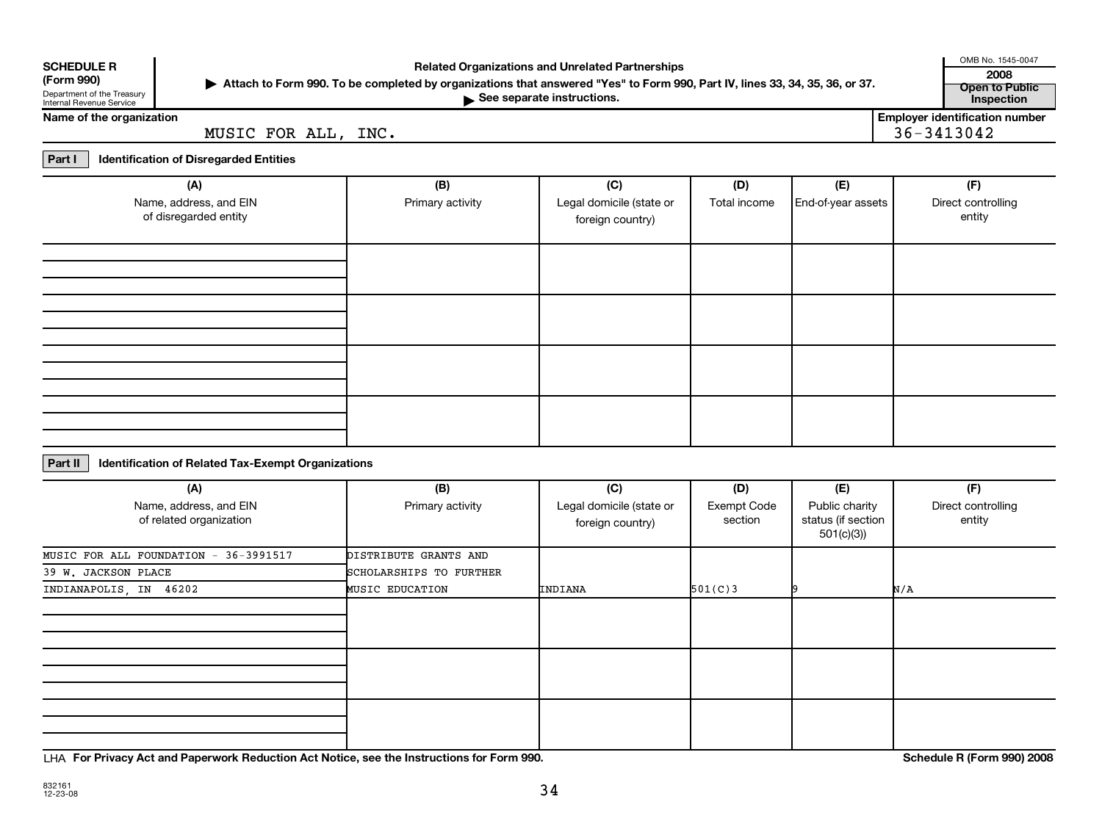| <b>SCHEDULE R</b> |  |
|-------------------|--|
|                   |  |

# **(Form 990)**

Department of the Treasury<br>Internal Revenue Service

# OMB No. 1545-0047 **SCHEDULE R Related Organizations and Unrelated Partnerships <sup>2008</sup>**

**Attach to Form 990. To be completed by organizations that answered "Yes" to Form 990, Part IV, lines 33, 34, 35, 36, or 37.** | **Open to Public**

**See separate instructions.**<br> **Inspection** Department of the Treasury inspection instructions.

**Name of the organization**<br> **Employer identification number**<br> **Employer identification number**<br> **Employer identification number**<br> **Employer identification number**<br> **Employer identification number** MUSIC FOR ALL, INC.

**Part I Identification of Disregarded Entities**

| (A)<br>Name, address, and EIN<br>of disregarded entity | (B)<br>Primary activity | (C)<br>Legal domicile (state or<br>foreign country) | (D)<br>Total income | (E)<br>End-of-year assets | (F)<br>Direct controlling<br>entity |
|--------------------------------------------------------|-------------------------|-----------------------------------------------------|---------------------|---------------------------|-------------------------------------|
|                                                        |                         |                                                     |                     |                           |                                     |
|                                                        |                         |                                                     |                     |                           |                                     |
|                                                        |                         |                                                     |                     |                           |                                     |
|                                                        |                         |                                                     |                     |                           |                                     |

#### **Part II Identification of Related Tax-Exempt Organizations**

| (A)                                               | (B)                     | (C)                                          | (D)                    | (E)                                                | (F)                          |
|---------------------------------------------------|-------------------------|----------------------------------------------|------------------------|----------------------------------------------------|------------------------------|
| Name, address, and EIN<br>of related organization | Primary activity        | Legal domicile (state or<br>foreign country) | Exempt Code<br>section | Public charity<br>status (if section<br>501(c)(3)) | Direct controlling<br>entity |
| MUSIC FOR ALL FOUNDATION - 36-3991517             | DISTRIBUTE GRANTS AND   |                                              |                        |                                                    |                              |
| 39 W. JACKSON PLACE                               | SCHOLARSHIPS TO FURTHER |                                              |                        |                                                    |                              |
| INDIANAPOLIS, IN 46202                            | <b>MUSIC EDUCATION</b>  | INDIANA                                      | 501(C)3                |                                                    | N/A                          |
|                                                   |                         |                                              |                        |                                                    |                              |
|                                                   |                         |                                              |                        |                                                    |                              |
|                                                   |                         |                                              |                        |                                                    |                              |

LHA **For Privacy Act and Paperwork Reduction Act Notice, see the Instructions for Form 990. Schedule R (Form 990) 2008**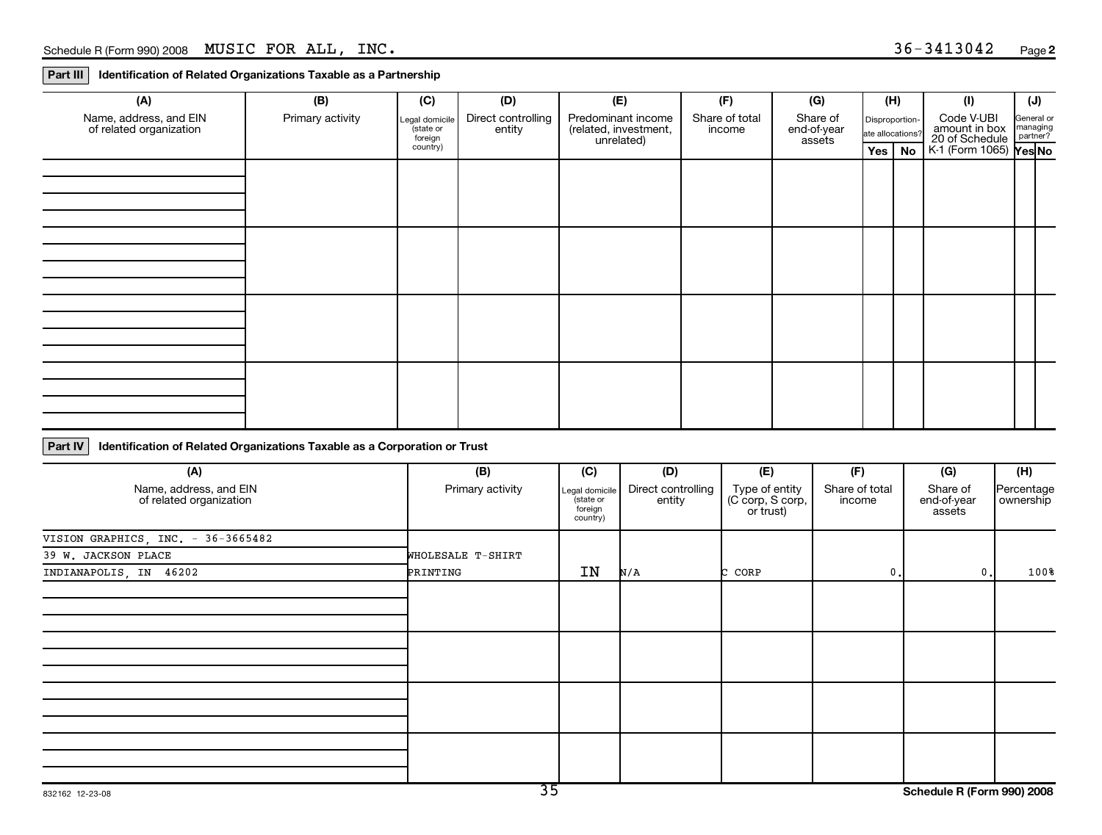**Part III Identification of Related Organizations Taxable as a Partnership**

| (A)                                               | (B)              | (C)                                    | (D)                          | (E)                                                       | (F)                      | (G)                               |                                    | (H) | (1)                                                                                    | $(\mathsf{J})$ |
|---------------------------------------------------|------------------|----------------------------------------|------------------------------|-----------------------------------------------------------|--------------------------|-----------------------------------|------------------------------------|-----|----------------------------------------------------------------------------------------|----------------|
| Name, address, and EIN<br>of related organization | Primary activity | Legal domicile<br>(state or<br>foreign | Direct controlling<br>entity | Predominant income<br>(related, investment,<br>unrelated) | Share of total<br>income | Share of<br>end-of-year<br>assets | Disproportion-<br>ate allocations? |     | Code V-UBI<br>ate allocations?<br>The allocations?<br>Tes No K-1 (Form 1065)<br>Tes No | General or     |
|                                                   |                  | country)                               |                              |                                                           |                          |                                   |                                    |     |                                                                                        |                |
|                                                   |                  |                                        |                              |                                                           |                          |                                   |                                    |     |                                                                                        |                |
|                                                   |                  |                                        |                              |                                                           |                          |                                   |                                    |     |                                                                                        |                |
|                                                   |                  |                                        |                              |                                                           |                          |                                   |                                    |     |                                                                                        |                |
|                                                   |                  |                                        |                              |                                                           |                          |                                   |                                    |     |                                                                                        |                |
|                                                   |                  |                                        |                              |                                                           |                          |                                   |                                    |     |                                                                                        |                |
|                                                   |                  |                                        |                              |                                                           |                          |                                   |                                    |     |                                                                                        |                |
|                                                   |                  |                                        |                              |                                                           |                          |                                   |                                    |     |                                                                                        |                |
|                                                   |                  |                                        |                              |                                                           |                          |                                   |                                    |     |                                                                                        |                |
|                                                   |                  |                                        |                              |                                                           |                          |                                   |                                    |     |                                                                                        |                |
|                                                   |                  |                                        |                              |                                                           |                          |                                   |                                    |     |                                                                                        |                |
|                                                   |                  |                                        |                              |                                                           |                          |                                   |                                    |     |                                                                                        |                |
|                                                   |                  |                                        |                              |                                                           |                          |                                   |                                    |     |                                                                                        |                |
|                                                   |                  |                                        |                              |                                                           |                          |                                   |                                    |     |                                                                                        |                |
|                                                   |                  |                                        |                              |                                                           |                          |                                   |                                    |     |                                                                                        |                |
|                                                   |                  |                                        |                              |                                                           |                          |                                   |                                    |     |                                                                                        |                |
|                                                   |                  |                                        |                              |                                                           |                          |                                   |                                    |     |                                                                                        |                |

**Part IV Identification of Related Organizations Taxable as a Corporation or Trust**

| (A)                                               | (B)               | (C)                                                | (D)                          | (E)                                             | (F)                      | (G)                               | (H)                     |
|---------------------------------------------------|-------------------|----------------------------------------------------|------------------------------|-------------------------------------------------|--------------------------|-----------------------------------|-------------------------|
| Name, address, and EIN<br>of related organization | Primary activity  | Legal domicile<br>(state or<br>foreign<br>country) | Direct controlling<br>entity | Type of entity<br>(C corp, S corp,<br>or trust) | Share of total<br>income | Share of<br>end-of-year<br>assets | Percentage<br>ownership |
| VISION GRAPHICS, INC. - 36-3665482                |                   |                                                    |                              |                                                 |                          |                                   |                         |
| 39 W. JACKSON PLACE                               | WHOLESALE T-SHIRT |                                                    |                              |                                                 |                          |                                   |                         |
| INDIANAPOLIS, IN 46202                            | PRINTING          | IN                                                 | N/A                          | C CORP                                          | $\mathbf{0}$ .           | $\mathbf{0}$ .                    | 100%                    |
|                                                   |                   |                                                    |                              |                                                 |                          |                                   |                         |
|                                                   |                   |                                                    |                              |                                                 |                          |                                   |                         |
|                                                   |                   |                                                    |                              |                                                 |                          |                                   |                         |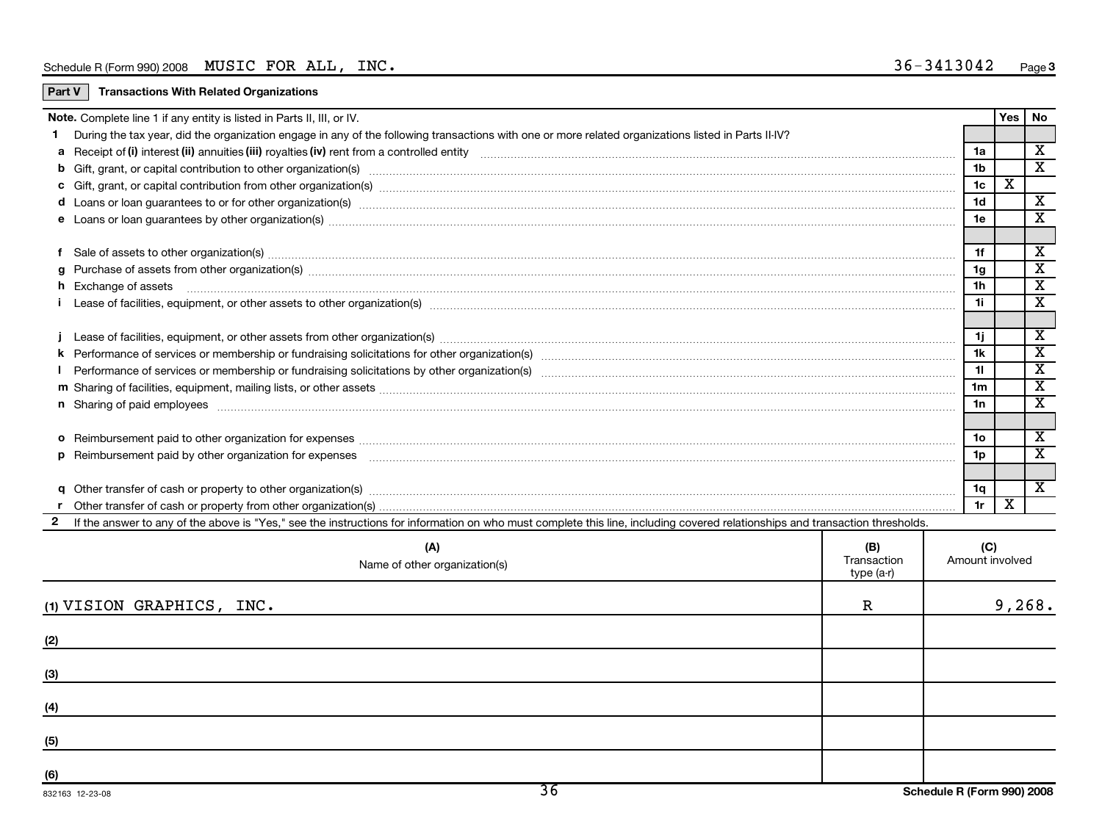| Part V       | <b>Transactions With Related Organizations</b>                                                                                                                                                                                 |                |                         |                         |
|--------------|--------------------------------------------------------------------------------------------------------------------------------------------------------------------------------------------------------------------------------|----------------|-------------------------|-------------------------|
|              | Note. Complete line 1 if any entity is listed in Parts II, III, or IV.                                                                                                                                                         |                | Yes                     | No                      |
|              | During the tax year, did the organization engage in any of the following transactions with one or more related organizations listed in Parts II-IV?                                                                            |                |                         |                         |
|              |                                                                                                                                                                                                                                | 1a             |                         | X                       |
|              | b Gift, grant, or capital contribution to other organization(s) matches contained and contained and contribution to other organization(s) matches contained and contribution to other organization(s) matches contained and co | 1 <sub>b</sub> |                         | $\overline{\mathbf{X}}$ |
|              |                                                                                                                                                                                                                                | 1c             | $\overline{\mathtt{x}}$ |                         |
|              | d Loans or loan guarantees to or for other organization(s) matches contain and contained a contained a contained a contained a contained a contained a contained a contained a contained a contained a contained a contained a | 1 <sub>d</sub> |                         | $\overline{\mathbf{x}}$ |
|              |                                                                                                                                                                                                                                | 1e             |                         | X                       |
|              |                                                                                                                                                                                                                                |                |                         |                         |
| f            | Sale of assets to other organization(s) www.assettion.com/www.assettion.com/www.assettion.com/www.assettion.com/www.assettion.com/www.assettion.com/www.assettion.com/www.assettion.com/www.assettion.com/www.assettion.com/ww | 1f             |                         | $\overline{\mathbf{x}}$ |
| q            | Purchase of assets from other organization(s) www.assettion.com/www.assettion.com/www.assettion.com/www.assettion.com/www.assettion.com/www.assettion.com/www.assettion.com/www.assettion.com/www.assettion.com/www.assettion. | 1 <sub>g</sub> |                         | $\overline{\textbf{X}}$ |
|              | h Exchange of assets www.communically.communically.communically.communically.communically.communically.communically.communically.communically.communically.communically.communically.communically.communically.communically.co | 1h             |                         | X                       |
|              |                                                                                                                                                                                                                                | 1i.            |                         | X                       |
|              |                                                                                                                                                                                                                                |                |                         |                         |
|              |                                                                                                                                                                                                                                | 1j.            |                         | X                       |
|              |                                                                                                                                                                                                                                | 1k             |                         | X                       |
|              |                                                                                                                                                                                                                                | 11             |                         | $\overline{\textbf{x}}$ |
|              |                                                                                                                                                                                                                                | 1 <sub>m</sub> |                         | X                       |
|              | n Sharing of paid employees www.communically.communically.communically and all the manufacture of paid employees www.communically.communically                                                                                 | 1n             |                         | $\overline{\mathbf{x}}$ |
|              |                                                                                                                                                                                                                                |                |                         |                         |
|              |                                                                                                                                                                                                                                | 1o             |                         | X                       |
|              |                                                                                                                                                                                                                                | 1p             |                         | X                       |
|              |                                                                                                                                                                                                                                |                |                         |                         |
|              | q Other transfer of cash or property to other organization(s) material contents and content to content of the content of the content of the content of the content of the content of the content of the content of the content | 1q             |                         | $\overline{\mathbf{X}}$ |
|              |                                                                                                                                                                                                                                | 1r             | X                       |                         |
| $\mathbf{2}$ | If the answer to any of the above is "Yes," see the instructions for information on who must complete this line, including covered relationships and transaction thresholds.                                                   |                |                         |                         |

| (A)<br>Name of other organization(s)      | (B)<br>Transaction<br>type (a-r) | (C)<br>Amount involved     |
|-------------------------------------------|----------------------------------|----------------------------|
| (1) VISION GRAPHICS, INC.                 | $\mathbb R$                      | 9,268.                     |
| (2)                                       |                                  |                            |
| (3)                                       |                                  |                            |
| (4)                                       |                                  |                            |
| (5)                                       |                                  |                            |
| (6)<br>$\overline{36}$<br>832163 12-23-08 |                                  | Schedule R (Form 990) 2008 |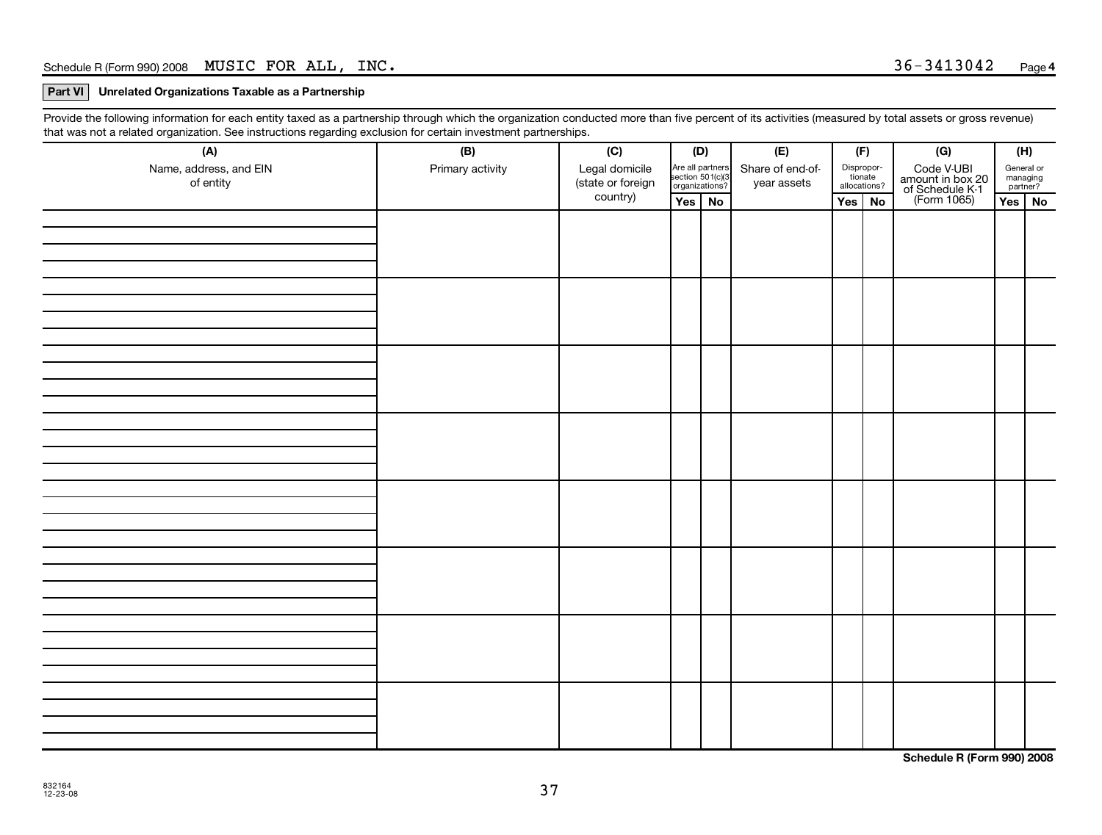#### **Part VI Unrelated Organizations Taxable as a Partnership**

Provide the following information for each entity taxed as a partnership through which the organization conducted more than five percent of its activities (measured by total assets or gross revenue) that was not a related organization. See instructions regarding exclusion for certain investment partnerships.

| ັ<br>$\tilde{\phantom{a}}$<br>$\tilde{\phantom{a}}$<br>(A) | . .<br>(B)       | . .<br>(C)                          | (D)                                                     | (E)                             | (F)                                   |  | (G)                                                              | (H)                                |  |
|------------------------------------------------------------|------------------|-------------------------------------|---------------------------------------------------------|---------------------------------|---------------------------------------|--|------------------------------------------------------------------|------------------------------------|--|
| Name, address, and EIN<br>of entity                        | Primary activity | Legal domicile<br>(state or foreign | Are all partners<br>section 501(c)(3)<br>organizations? | Share of end-of-<br>year assets | Dispropor-<br>tionate<br>allocations? |  | Code V-UBI<br>amount in box 20<br>of Schedule K-1<br>(Form 1065) | General or<br>managing<br>partner? |  |
|                                                            |                  | country)                            | Yes No                                                  |                                 | Yes $\vert$ No                        |  |                                                                  | $Yes \mid No$                      |  |
|                                                            |                  |                                     |                                                         |                                 |                                       |  |                                                                  |                                    |  |
|                                                            |                  |                                     |                                                         |                                 |                                       |  |                                                                  |                                    |  |
|                                                            |                  |                                     |                                                         |                                 |                                       |  |                                                                  |                                    |  |
|                                                            |                  |                                     |                                                         |                                 |                                       |  |                                                                  |                                    |  |
|                                                            |                  |                                     |                                                         |                                 |                                       |  |                                                                  |                                    |  |
|                                                            |                  |                                     |                                                         |                                 |                                       |  |                                                                  |                                    |  |
|                                                            |                  |                                     |                                                         |                                 |                                       |  |                                                                  |                                    |  |
|                                                            |                  |                                     |                                                         |                                 |                                       |  |                                                                  |                                    |  |

**Schedule R (Form 990) 2008**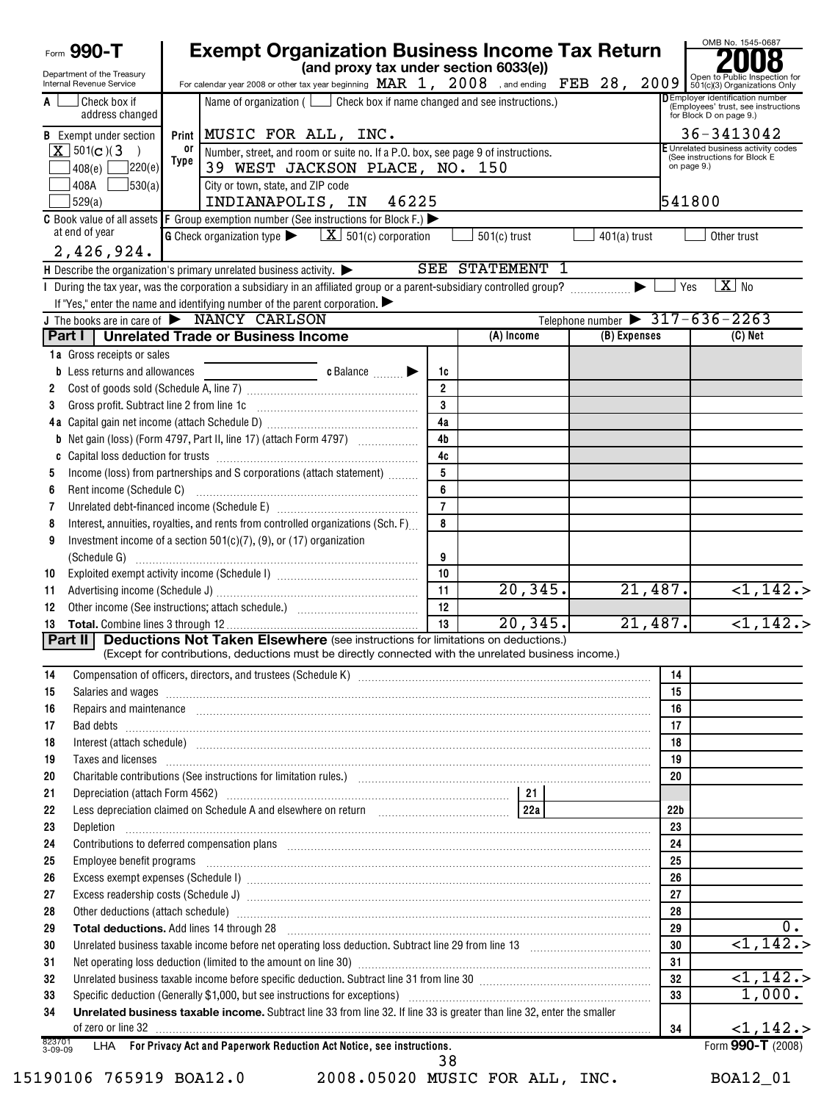|                   | Form 990-T                                                    |             | <b>Exempt Organization Business Income Tax Return</b><br>(and proxy tax under section 6033(e))                                                                                                                                       |                 |                 |                |                 | OMB No. 1545-0687                                                                                        |
|-------------------|---------------------------------------------------------------|-------------|--------------------------------------------------------------------------------------------------------------------------------------------------------------------------------------------------------------------------------------|-----------------|-----------------|----------------|-----------------|----------------------------------------------------------------------------------------------------------|
|                   | Department of the Treasury<br><b>Internal Revenue Service</b> |             | For calendar year 2008 or other tax year beginning $\frac{\text{MAR}}{1,}$ $\frac{2008}{2008}$ , and ending FEB $28, 2009$ $\frac{9}{501}$ Cy3) Organizations Only                                                                   |                 |                 |                |                 |                                                                                                          |
| A                 | Check box if<br>address changed                               |             | Name of organization $($ $\Box$ Check box if name changed and see instructions.)                                                                                                                                                     |                 |                 |                |                 | <b>DEmployer identification number</b><br>(Employees' trust, see instructions<br>for Block D on page 9.) |
|                   | <b>B</b> Exempt under section                                 |             | Print   MUSIC FOR ALL, INC.                                                                                                                                                                                                          |                 |                 |                |                 | 36-3413042                                                                                               |
|                   | $X$ 501(c)(3)                                                 | or          | Number, street, and room or suite no. If a P.O. box, see page 9 of instructions.                                                                                                                                                     |                 |                 |                |                 | E Unrelated business activity codes<br>(See instructions for Block E                                     |
|                   | 220(e)<br>408(e)                                              | <b>Type</b> | 39 WEST JACKSON PLACE, NO. 150                                                                                                                                                                                                       |                 |                 |                | on page 9.)     |                                                                                                          |
|                   | 408A<br>530(a)                                                |             | City or town, state, and ZIP code                                                                                                                                                                                                    |                 |                 |                |                 |                                                                                                          |
|                   | 529(a)                                                        |             | 46225<br>INDIANAPOLIS, IN                                                                                                                                                                                                            |                 |                 |                | 541800          |                                                                                                          |
|                   |                                                               |             | C Book value of all assets $ F$ Group exemption number (See instructions for Block F.) $\blacktriangleright$                                                                                                                         |                 |                 |                |                 |                                                                                                          |
|                   | at end of year<br>2,426,924.                                  |             | <b>G</b> Check organization type $\blacktriangleright$ $\boxed{\mathbf{X}}$ 501(c) corporation                                                                                                                                       |                 | $501(c)$ trust  | $401(a)$ trust |                 | Other trust                                                                                              |
|                   |                                                               |             | H Describe the organization's primary unrelated business activity. $\blacktriangleright$                                                                                                                                             |                 | SEE STATEMENT 1 |                |                 |                                                                                                          |
|                   |                                                               |             | During the tax year, was the corporation a subsidiary in an affiliated group or a parent-subsidiary controlled group?                                                                                                                |                 |                 |                | Yes<br>▶        | $X$ No                                                                                                   |
|                   |                                                               |             | If "Yes," enter the name and identifying number of the parent corporation.                                                                                                                                                           |                 |                 |                |                 |                                                                                                          |
|                   |                                                               |             | J The books are in care of $\triangleright$ NANCY CARLSON                                                                                                                                                                            |                 |                 |                |                 | Telephone number $\triangleright$ 317-636-2263                                                           |
|                   | Part I I                                                      |             | <b>Unrelated Trade or Business Income</b>                                                                                                                                                                                            |                 | (A) Income      | (B) Expenses   |                 | $(C)$ Net                                                                                                |
|                   | 1a Gross receipts or sales                                    |             |                                                                                                                                                                                                                                      |                 |                 |                |                 |                                                                                                          |
|                   | <b>b</b> Less returns and allowances                          |             | c Balance <b>Example 20</b>                                                                                                                                                                                                          | 1c              |                 |                |                 |                                                                                                          |
| 2                 |                                                               |             |                                                                                                                                                                                                                                      | $\overline{2}$  |                 |                |                 |                                                                                                          |
| 3                 | Gross profit. Subtract line 2 from line 1c                    |             |                                                                                                                                                                                                                                      | 3               |                 |                |                 |                                                                                                          |
|                   |                                                               |             |                                                                                                                                                                                                                                      | 4a              |                 |                |                 |                                                                                                          |
|                   |                                                               |             | <b>b</b> Net gain (loss) (Form 4797, Part II, line 17) (attach Form 4797)                                                                                                                                                            | 4 <sub>b</sub>  |                 |                |                 |                                                                                                          |
| C                 |                                                               |             |                                                                                                                                                                                                                                      | 4c              |                 |                |                 |                                                                                                          |
| 5                 |                                                               |             | Income (loss) from partnerships and S corporations (attach statement)                                                                                                                                                                | 5               |                 |                |                 |                                                                                                          |
| 6                 |                                                               |             |                                                                                                                                                                                                                                      | 6               |                 |                |                 |                                                                                                          |
| 7                 |                                                               |             |                                                                                                                                                                                                                                      | $\overline{7}$  |                 |                |                 |                                                                                                          |
| 8                 |                                                               |             | Interest, annuities, royalties, and rents from controlled organizations (Sch. F)                                                                                                                                                     | 8               |                 |                |                 |                                                                                                          |
| 9                 |                                                               |             | Investment income of a section $501(c)(7)$ , (9), or (17) organization                                                                                                                                                               |                 |                 |                |                 |                                                                                                          |
|                   | (Schedule G)                                                  |             |                                                                                                                                                                                                                                      | 9               |                 |                |                 |                                                                                                          |
| 10                |                                                               |             |                                                                                                                                                                                                                                      | 10              |                 |                | 21,487.         |                                                                                                          |
| 11                |                                                               |             |                                                                                                                                                                                                                                      | 11<br>12        | 20, 345.        |                |                 | $\overline{1,142.}$                                                                                      |
| 12                |                                                               |             |                                                                                                                                                                                                                                      | $\overline{13}$ | 20, 345.        |                | 21,487.         | $\overline{1,142.}$                                                                                      |
| 13                | Part II                                                       |             | <b>Deductions Not Taken Elsewhere</b> (see instructions for limitations on deductions.)                                                                                                                                              |                 |                 |                |                 |                                                                                                          |
|                   |                                                               |             | (Except for contributions, deductions must be directly connected with the unrelated business income.)                                                                                                                                |                 |                 |                |                 |                                                                                                          |
| 14                |                                                               |             |                                                                                                                                                                                                                                      |                 |                 |                | 14              |                                                                                                          |
| 15                |                                                               |             | Salaries and wages <b>construction and construction of the construction</b> and wages <b>construction</b> and wages <b>construction</b>                                                                                              |                 |                 |                | 15              |                                                                                                          |
| 16                |                                                               |             | Repairs and maintenance <i>maintenance</i> and construction of the construction of the construction of the construction of the construction of the construction of the construction of the construction of the construction of the   |                 |                 |                | 16              |                                                                                                          |
| 17                |                                                               |             | Bad debts <b>www.communities.communities.communities.com</b>                                                                                                                                                                         |                 |                 |                | 17              |                                                                                                          |
| 18                |                                                               |             | Interest (attach schedule) <i>machine and accordinational content and accordinational content and accordination</i> and accordination and accordination and accordination and accordination and accordination and accordination and  |                 |                 |                | 18              |                                                                                                          |
| 19                |                                                               |             | Taxes and licenses <b>construction and construction of the construction</b> and construction of the construction of the                                                                                                              |                 |                 |                | 19              |                                                                                                          |
| 20                |                                                               |             |                                                                                                                                                                                                                                      |                 |                 |                | 20              |                                                                                                          |
| 21                |                                                               |             |                                                                                                                                                                                                                                      |                 |                 |                |                 |                                                                                                          |
| 22                |                                                               |             |                                                                                                                                                                                                                                      |                 |                 |                | 22 <sub>b</sub> |                                                                                                          |
| 23                |                                                               |             | Depletion <b>construction in the construction of the construction of the construction of the construction of the construction of the construction of the construction of the construction of the construction of the constructio</b> |                 |                 |                | 23              |                                                                                                          |
| 24                |                                                               |             | Contributions to deferred compensation plans [11] manufactured manufactured manufactured manufactured manufactured manufactured manufactured manufactured manufactured manufactured manufactured manufactured manufactured man       |                 |                 |                | 24              |                                                                                                          |
| 25                |                                                               |             |                                                                                                                                                                                                                                      |                 |                 |                | 25              |                                                                                                          |
| 26                |                                                               |             | Excess exempt expenses (Schedule I) manufactured and content and content and content and content and content and content and content and content and content and content and content and content and content and content and c       |                 |                 |                | 26              |                                                                                                          |
| 27                |                                                               |             |                                                                                                                                                                                                                                      |                 |                 |                | 27              |                                                                                                          |
| 28                |                                                               |             | Other deductions (attach schedule) www.communications.communications.communications.communications.com                                                                                                                               |                 |                 |                | 28              |                                                                                                          |
| 29                |                                                               |             | Total deductions. Add lines 14 through 28 [11] manufactures in the contract of the state of the contract of the contract of the contract of the contract of the contract of the contract of the contract of the contract of th       |                 |                 |                | 29              |                                                                                                          |
| 30                |                                                               |             | Unrelated business taxable income before net operating loss deduction. Subtract line 29 from line 13 [111] [12                                                                                                                       |                 |                 |                | 30              | $\sqrt{1,142.}$                                                                                          |
| 31                |                                                               |             |                                                                                                                                                                                                                                      |                 |                 |                | 31              |                                                                                                          |
| 32                |                                                               |             | Unrelated business taxable income before specific deduction. Subtract line 31 from line 30 [11] [11] Unrelated business taxable income before specific deduction.                                                                    |                 |                 |                | 32              | $\overline{1,142.}$                                                                                      |
| 33                |                                                               |             |                                                                                                                                                                                                                                      |                 |                 |                | 33              | 1,000.                                                                                                   |
| 34                |                                                               |             | Unrelated business taxable income. Subtract line 33 from line 32. If line 33 is greater than line 32, enter the smaller                                                                                                              |                 |                 |                | 34              | <1,142.                                                                                                  |
| 823701<br>3-09-09 |                                                               |             | LHA For Privacy Act and Paperwork Reduction Act Notice, see instructions.                                                                                                                                                            |                 |                 |                |                 | Form 990-T (2008)                                                                                        |
|                   |                                                               |             |                                                                                                                                                                                                                                      | 38              |                 |                |                 |                                                                                                          |

15190106 765919 BOA12.0 2008.05020 MUSIC FOR ALL, INC. BOA12\_01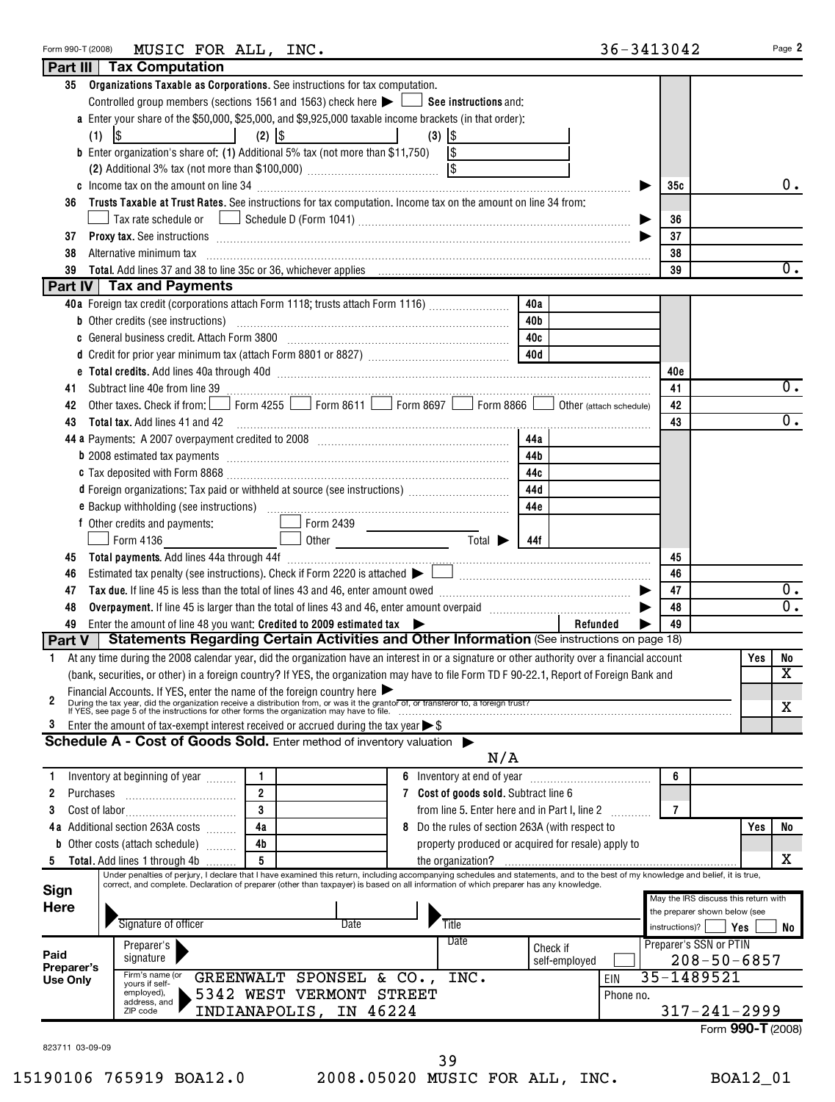| 35              | Organizations Taxable as Corporations. See instructions for tax computation.                                                                                                                                                                             |               |           |                                                 |                   |                  |
|-----------------|----------------------------------------------------------------------------------------------------------------------------------------------------------------------------------------------------------------------------------------------------------|---------------|-----------|-------------------------------------------------|-------------------|------------------|
|                 | Controlled group members (sections 1561 and 1563) check here $\blacktriangleright$ $\Box$ See instructions and:                                                                                                                                          |               |           |                                                 |                   |                  |
|                 | a Enter your share of the \$50,000, \$25,000, and \$9,925,000 taxable income brackets (in that order):                                                                                                                                                   |               |           |                                                 |                   |                  |
|                 | $\frac{1}{2}$<br>$(3)$ $ $ \$<br>(1)<br>and the state of the state of the                                                                                                                                                                                |               |           |                                                 |                   |                  |
|                 | <b>b</b> Enter organization's share of: (1) Additional 5% tax (not more than \$11,750) $\vert$ \$                                                                                                                                                        |               |           |                                                 |                   |                  |
|                 |                                                                                                                                                                                                                                                          |               |           |                                                 |                   |                  |
|                 |                                                                                                                                                                                                                                                          |               |           | 35с                                             |                   | 0.               |
| 36              | Trusts Taxable at Trust Rates. See instructions for tax computation. Income tax on the amount on line 34 from:                                                                                                                                           |               |           |                                                 |                   |                  |
|                 |                                                                                                                                                                                                                                                          |               |           | 36                                              |                   |                  |
| 37              | <b>Proxy tax.</b> See instructions <b>constructions Proxy tax.</b> See instructions <b>Proxy tax.</b> See instructions <b>Proxy tax.</b>                                                                                                                 |               |           | 37                                              |                   |                  |
| 38              | Alternative minimum tax information and the contract of the contract of the contract of the contract of the contract of the contract of the contract of the contract of the contract of the contract of the contract of the co                           |               |           | 38                                              |                   |                  |
| 39              |                                                                                                                                                                                                                                                          |               |           | 39                                              |                   | $\overline{0}$ . |
|                 | Part IV   Tax and Payments                                                                                                                                                                                                                               |               |           |                                                 |                   |                  |
|                 | 40a<br>40a Foreign tax credit (corporations attach Form 1118; trusts attach Form 1116)                                                                                                                                                                   |               |           |                                                 |                   |                  |
|                 | 40b                                                                                                                                                                                                                                                      |               |           |                                                 |                   |                  |
|                 | c General business credit. Attach Form 3800 [11] [11] Contract Contract Contract Contract Contract Contract Co<br>40c                                                                                                                                    |               |           |                                                 |                   |                  |
|                 | 40d                                                                                                                                                                                                                                                      |               |           |                                                 |                   |                  |
|                 |                                                                                                                                                                                                                                                          |               |           | 40c                                             |                   |                  |
| 41              |                                                                                                                                                                                                                                                          |               |           | 41                                              |                   | 0.               |
| 42              | Form 4255 $\Box$ Form 8611 $\Box$ Form 8697 $\Box$ Form 8866 $\Box$ Other (attach schedule)<br>Other taxes. Check if from:                                                                                                                               |               |           | 42                                              |                   |                  |
| 43              | Total tax. Add lines 41 and 42                                                                                                                                                                                                                           |               |           | 43                                              |                   | 0.               |
|                 | 44a                                                                                                                                                                                                                                                      |               |           |                                                 |                   |                  |
|                 | b 2008 estimated tax payments [111] matter contracts and a set of an anti-<br>44b                                                                                                                                                                        |               |           |                                                 |                   |                  |
|                 | 44c                                                                                                                                                                                                                                                      |               |           |                                                 |                   |                  |
|                 | 44d<br>d Foreign organizations: Tax paid or withheld at source (see instructions)                                                                                                                                                                        |               |           |                                                 |                   |                  |
|                 | 44e                                                                                                                                                                                                                                                      |               |           |                                                 |                   |                  |
|                 | f Other credits and payments:<br>Form 2439                                                                                                                                                                                                               |               |           |                                                 |                   |                  |
|                 | <u>and the state of the state of the state of the state of the state of the state of the state of the state of the state of the state of the state of the state of the state of the state of the state of the state of the state</u><br>Form 4136<br>44f |               |           |                                                 |                   |                  |
| 45              |                                                                                                                                                                                                                                                          |               |           | 45                                              |                   |                  |
| 46              |                                                                                                                                                                                                                                                          |               |           | 46                                              |                   |                  |
| 47              |                                                                                                                                                                                                                                                          |               |           | 47                                              |                   | $0$ .            |
| 48              |                                                                                                                                                                                                                                                          |               |           | 48                                              |                   | $0$ .            |
| 49              | Enter the amount of line 48 you want: Credited to 2009 estimated tax $\triangleright$                                                                                                                                                                    | Refunded      |           | 49                                              |                   |                  |
| Part $V$        | Statements Regarding Certain Activities and Other Information (See instructions on page 18)                                                                                                                                                              |               |           |                                                 |                   |                  |
| 1.              | At any time during the 2008 calendar year, did the organization have an interest in or a signature or other authority over a financial account                                                                                                           |               |           |                                                 | Yes               | No               |
|                 | (bank, securities, or other) in a foreign country? If YES, the organization may have to file Form TD F 90-22.1, Report of Foreign Bank and                                                                                                               |               |           |                                                 |                   | X                |
| 2               | Financial Accounts. If YES, enter the name of the foreign country here $\blacktriangleright$<br>During the tax year, did the organization receive a distribution from, or was it the grantor of, or transferor to, a foreign trust?                      |               |           |                                                 |                   |                  |
|                 | If YES, see page 5 of the instructions for other forms the organization may have to file.                                                                                                                                                                |               |           |                                                 |                   | X                |
| 3               | Enter the amount of tax-exempt interest received or accrued during the tax year $\triangleright$ \$                                                                                                                                                      |               |           |                                                 |                   |                  |
|                 | Schedule A - Cost of Goods Sold. Enter method of inventory valuation $\blacktriangleright$                                                                                                                                                               |               |           |                                                 |                   |                  |
|                 | N/A                                                                                                                                                                                                                                                      |               |           |                                                 |                   |                  |
| 1.              | 6 Inventory at end of year <i>manually contained</i><br>Inventory at beginning of year <i>minimi</i>                                                                                                                                                     |               |           | 6                                               |                   |                  |
| Purchases<br>2  | $\overline{2}$<br>7 Cost of goods sold. Subtract line 6                                                                                                                                                                                                  |               |           |                                                 |                   |                  |
| 3               | 3<br>from line 5. Enter here and in Part I, line 2                                                                                                                                                                                                       |               |           | $\overline{7}$                                  |                   |                  |
|                 | 4a<br>4a Additional section 263A costs<br>8 Do the rules of section 263A (with respect to                                                                                                                                                                |               |           |                                                 | Yes               | No               |
|                 | 4b<br><b>b</b> Other costs (attach schedule)<br>property produced or acquired for resale) apply to                                                                                                                                                       |               |           |                                                 |                   |                  |
| 5               | 5<br>Total. Add lines 1 through 4b<br>the organization?<br>Under penalties of perjury, I declare that I have examined this return, including accompanying schedules and statements, and to the best of my knowledge and belief, it is true,              |               |           |                                                 |                   | x                |
| <b>Sign</b>     | correct, and complete. Declaration of preparer (other than taxpayer) is based on all information of which preparer has any knowledge.                                                                                                                    |               |           |                                                 |                   |                  |
| <b>Here</b>     |                                                                                                                                                                                                                                                          |               |           | May the IRS discuss this return with            |                   |                  |
|                 |                                                                                                                                                                                                                                                          |               |           | the preparer shown below (see<br>instructions)? | Yes               |                  |
|                 |                                                                                                                                                                                                                                                          |               |           |                                                 |                   | No               |
|                 | Signature of officer<br>Title<br>Date                                                                                                                                                                                                                    |               |           |                                                 |                   |                  |
| Paid            | Date<br>Preparer's                                                                                                                                                                                                                                       | Check if      |           | Preparer's SSN or PTIN                          |                   |                  |
| Preparer's      | signature<br>Firm's name (or                                                                                                                                                                                                                             | self-employed |           |                                                 | $208 - 50 - 6857$ |                  |
| <b>Use Only</b> | GREENWALT SPONSEL & CO.,<br>INC.<br>yours if self-                                                                                                                                                                                                       |               | EIN       | 35-1489521                                      |                   |                  |
|                 | 5342 WEST VERMONT STREET<br>employed),<br>address, and                                                                                                                                                                                                   |               | Phone no. |                                                 |                   |                  |
|                 | INDIANAPOLIS, IN 46224<br>ZIP code                                                                                                                                                                                                                       |               |           | $317 - 241 - 2999$                              | Form 990-T (2008) |                  |

Form 990-T (2008) Page **2** MUSIC FOR ALL, INC. 36-3413042

**Part III Tax Computation**

39

15190106 765919 BOA12.0 2008.05020 MUSIC FOR ALL, INC. BOA12\_01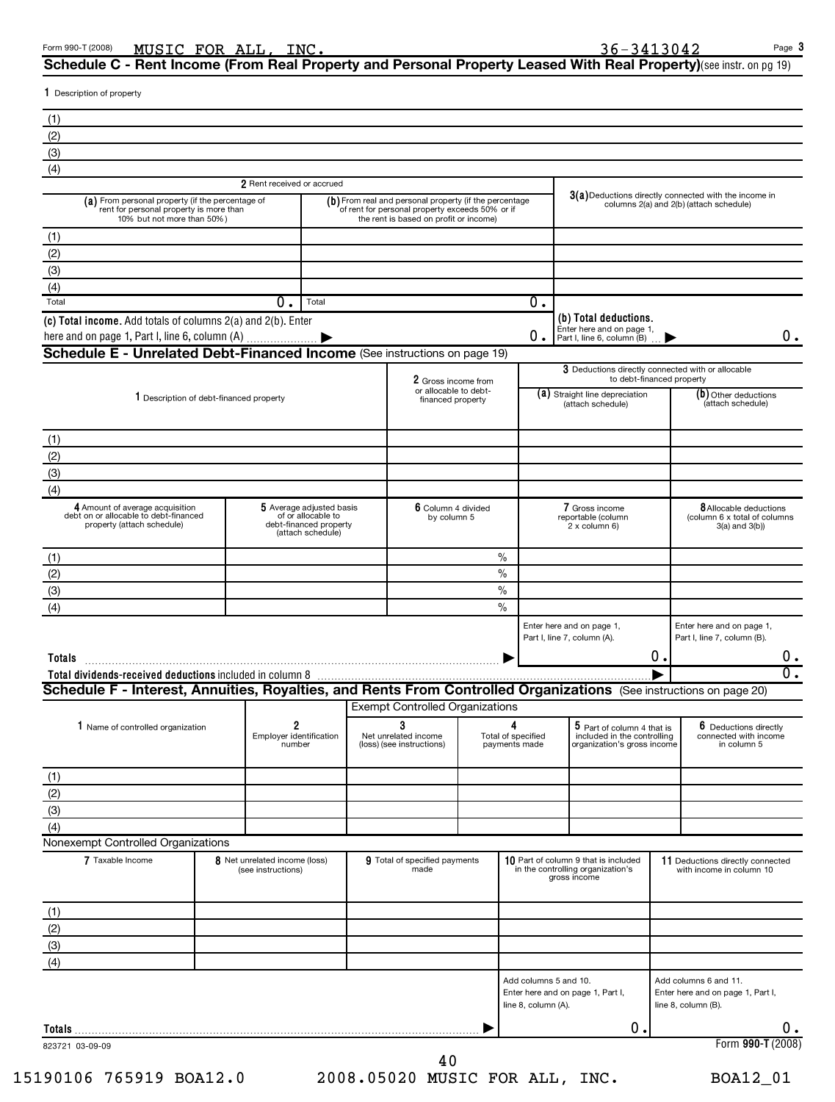| 1 Description of property<br>(1)<br>(2)<br>(3)                                                                            |                                                     |                                                                                               |                                                                                                                                                     |               |                                              |                                                                                           |                                             |                                                                                                    |  |
|---------------------------------------------------------------------------------------------------------------------------|-----------------------------------------------------|-----------------------------------------------------------------------------------------------|-----------------------------------------------------------------------------------------------------------------------------------------------------|---------------|----------------------------------------------|-------------------------------------------------------------------------------------------|---------------------------------------------|----------------------------------------------------------------------------------------------------|--|
|                                                                                                                           |                                                     |                                                                                               |                                                                                                                                                     |               |                                              |                                                                                           |                                             |                                                                                                    |  |
|                                                                                                                           |                                                     |                                                                                               |                                                                                                                                                     |               |                                              |                                                                                           |                                             |                                                                                                    |  |
|                                                                                                                           |                                                     |                                                                                               |                                                                                                                                                     |               |                                              |                                                                                           |                                             |                                                                                                    |  |
|                                                                                                                           |                                                     |                                                                                               |                                                                                                                                                     |               |                                              |                                                                                           |                                             |                                                                                                    |  |
| (4)                                                                                                                       | 2 Rent received or accrued                          |                                                                                               |                                                                                                                                                     |               |                                              |                                                                                           |                                             |                                                                                                    |  |
| (a) From personal property (if the percentage of<br>rent for personal property is more than<br>10% but not more than 50%) |                                                     |                                                                                               | (b) From real and personal property (if the percentage<br>of rent for personal property exceeds 50% or if<br>the rent is based on profit or income) |               |                                              |                                                                                           |                                             | $3(a)$ Deductions directly connected with the income in<br>columns 2(a) and 2(b) (attach schedule) |  |
| (1)                                                                                                                       |                                                     |                                                                                               |                                                                                                                                                     |               |                                              |                                                                                           |                                             |                                                                                                    |  |
| (2)                                                                                                                       |                                                     |                                                                                               |                                                                                                                                                     |               |                                              |                                                                                           |                                             |                                                                                                    |  |
| (3)                                                                                                                       |                                                     |                                                                                               |                                                                                                                                                     |               |                                              |                                                                                           |                                             |                                                                                                    |  |
| (4)<br>Total                                                                                                              | 0.                                                  | Total                                                                                         |                                                                                                                                                     |               | 0.                                           |                                                                                           |                                             |                                                                                                    |  |
| (c) Total income. Add totals of columns 2(a) and 2(b). Enter                                                              |                                                     |                                                                                               |                                                                                                                                                     |               |                                              | (b) Total deductions.                                                                     |                                             |                                                                                                    |  |
| here and on page 1, Part I, line 6, column (A)                                                                            |                                                     |                                                                                               |                                                                                                                                                     |               |                                              | Enter here and on page 1,<br>$\theta$ . Part I, line 6, column (B)                        |                                             | ο.                                                                                                 |  |
| Schedule E - Unrelated Debt-Financed Income (See instructions on page 19)                                                 |                                                     |                                                                                               |                                                                                                                                                     |               |                                              |                                                                                           |                                             |                                                                                                    |  |
|                                                                                                                           |                                                     |                                                                                               | 2 Gross income from                                                                                                                                 |               |                                              | 3 Deductions directly connected with or allocable<br>to debt-financed property            |                                             |                                                                                                    |  |
| 1 Description of debt-financed property                                                                                   |                                                     |                                                                                               | or allocable to debt-<br>financed property                                                                                                          |               |                                              | (a) Straight line depreciation<br>(attach schedule)                                       | $(b)$ Other deductions<br>(attach schedule) |                                                                                                    |  |
| (1)                                                                                                                       |                                                     |                                                                                               |                                                                                                                                                     |               |                                              |                                                                                           |                                             |                                                                                                    |  |
| (2)                                                                                                                       |                                                     |                                                                                               |                                                                                                                                                     |               |                                              |                                                                                           |                                             |                                                                                                    |  |
| (3)                                                                                                                       |                                                     |                                                                                               |                                                                                                                                                     |               |                                              |                                                                                           |                                             |                                                                                                    |  |
| (4)                                                                                                                       |                                                     |                                                                                               |                                                                                                                                                     |               |                                              |                                                                                           |                                             |                                                                                                    |  |
| 4 Amount of average acquisition<br>debt on or allocable to debt-financed<br>property (attach schedule)                    |                                                     | 5 Average adjusted basis<br>of or allocable to<br>debt-financed property<br>(attach schedule) | 6 Column 4 divided<br>by column 5                                                                                                                   |               |                                              | 7 Gross income<br>reportable (column<br>2 x column 6)                                     |                                             | <b>8</b> Allocable deductions<br>(column 6 x total of columns<br>$3(a)$ and $3(b)$                 |  |
| (1)                                                                                                                       |                                                     |                                                                                               |                                                                                                                                                     | $\%$          |                                              |                                                                                           |                                             |                                                                                                    |  |
| (2)                                                                                                                       |                                                     |                                                                                               |                                                                                                                                                     | $\frac{0}{0}$ |                                              |                                                                                           |                                             |                                                                                                    |  |
| (3)                                                                                                                       |                                                     |                                                                                               |                                                                                                                                                     | $\%$          |                                              |                                                                                           |                                             |                                                                                                    |  |
| (4)                                                                                                                       |                                                     |                                                                                               |                                                                                                                                                     | $\frac{0}{0}$ |                                              |                                                                                           |                                             |                                                                                                    |  |
| Totals                                                                                                                    |                                                     |                                                                                               |                                                                                                                                                     |               |                                              | Enter here and on page 1,<br>Part I, line 7, column (A).                                  | $0$ .                                       | Enter here and on page 1,<br>Part I, line 7, column (B).<br>$0$ .                                  |  |
| Schedule F - Interest, Annuities, Royalties, and Rents From Controlled Organizations (See instructions on page 20)        |                                                     |                                                                                               |                                                                                                                                                     |               |                                              |                                                                                           |                                             | $\overline{0}$ .                                                                                   |  |
|                                                                                                                           |                                                     |                                                                                               | <b>Exempt Controlled Organizations</b>                                                                                                              |               |                                              |                                                                                           |                                             |                                                                                                    |  |
| 1 Name of controlled organization                                                                                         | 2                                                   |                                                                                               | 3                                                                                                                                                   | 4             |                                              | 5 Part of column 4 that is                                                                |                                             | 6 Deductions directly                                                                              |  |
|                                                                                                                           | Employer identification<br>number                   |                                                                                               | Net unrelated income<br>(loss) (see instructions)                                                                                                   |               | Total of specified<br>payments made          | included in the controlling<br>organization's gross income                                |                                             | connected with income<br>in column 5                                                               |  |
| (1)                                                                                                                       |                                                     |                                                                                               |                                                                                                                                                     |               |                                              |                                                                                           |                                             |                                                                                                    |  |
| (2)                                                                                                                       |                                                     |                                                                                               |                                                                                                                                                     |               |                                              |                                                                                           |                                             |                                                                                                    |  |
| (3)                                                                                                                       |                                                     |                                                                                               |                                                                                                                                                     |               |                                              |                                                                                           |                                             |                                                                                                    |  |
| (4)<br>Nonexempt Controlled Organizations                                                                                 |                                                     |                                                                                               |                                                                                                                                                     |               |                                              |                                                                                           |                                             |                                                                                                    |  |
| 7 Taxable Income                                                                                                          | 8 Net unrelated income (loss)<br>(see instructions) |                                                                                               | 9 Total of specified payments<br>made                                                                                                               |               |                                              | 10 Part of column 9 that is included<br>in the controlling organization's<br>gross income |                                             | 11 Deductions directly connected<br>with income in column 10                                       |  |
|                                                                                                                           |                                                     |                                                                                               |                                                                                                                                                     |               |                                              |                                                                                           |                                             |                                                                                                    |  |
| (1)<br>(2)                                                                                                                |                                                     |                                                                                               |                                                                                                                                                     |               |                                              |                                                                                           |                                             |                                                                                                    |  |
| (3)                                                                                                                       |                                                     |                                                                                               |                                                                                                                                                     |               |                                              |                                                                                           |                                             |                                                                                                    |  |
| (4)                                                                                                                       |                                                     |                                                                                               |                                                                                                                                                     |               |                                              |                                                                                           |                                             |                                                                                                    |  |
|                                                                                                                           |                                                     |                                                                                               |                                                                                                                                                     |               | Add columns 5 and 10.<br>line 8, column (A). | Enter here and on page 1, Part I,                                                         |                                             | Add columns 6 and 11.<br>Enter here and on page 1, Part I,<br>line 8, column (B).                  |  |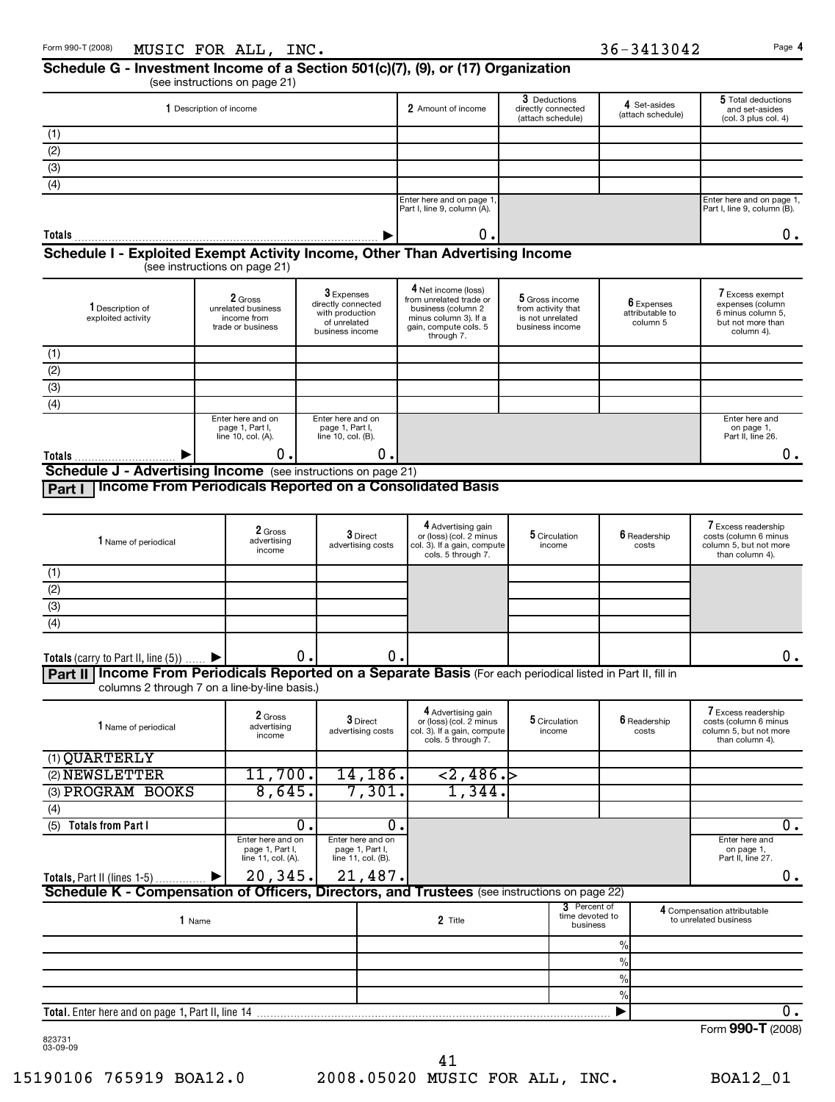#### **Schedule G - Investment Income of a Section 501(c)(7), (9), or (17) Organization** (see instructions on page 21)

| Description of income                                                        | 2 Amount of income                                       | 3 Deductions<br>directly connected<br>(attach schedule) | 4 Set-asides<br>(attach schedule) | 5 Total deductions<br>and set-asides<br>(col. 3 plus col. 4) |  |  |  |
|------------------------------------------------------------------------------|----------------------------------------------------------|---------------------------------------------------------|-----------------------------------|--------------------------------------------------------------|--|--|--|
| (1)                                                                          |                                                          |                                                         |                                   |                                                              |  |  |  |
| (2)                                                                          |                                                          |                                                         |                                   |                                                              |  |  |  |
| (3)                                                                          |                                                          |                                                         |                                   |                                                              |  |  |  |
| (4)                                                                          |                                                          |                                                         |                                   |                                                              |  |  |  |
|                                                                              | Enter here and on page 1,<br>Part I, line 9, column (A). |                                                         |                                   | Enter here and on page 1,<br>Part I, line 9, column (B).     |  |  |  |
| <b>Totals</b>                                                                | 0 .I                                                     |                                                         |                                   |                                                              |  |  |  |
| Schedule I - Exploited Exempt Activity Income, Other Than Advertising Income |                                                          |                                                         |                                   |                                                              |  |  |  |

(see instructions on page 21)

| 1 Description of<br>exploited activity                                  | 2 Gross<br>unrelated business<br>income from<br>trade or business | $3$ Expenses<br>directly connected<br>with production<br>of unrelated<br>business income | 4 Net income (loss)<br>from unrelated trade or<br>business (column 2<br>minus column 3). If a<br>gain, compute cols. 5<br>through 7. | 5 Gross income<br>from activity that<br>is not unrelated<br>business income | 6 Expenses<br>attributable to<br>column 5 | 7 Excess exempt<br>expenses (column<br>6 minus column 5.<br>but not more than<br>column 4). |
|-------------------------------------------------------------------------|-------------------------------------------------------------------|------------------------------------------------------------------------------------------|--------------------------------------------------------------------------------------------------------------------------------------|-----------------------------------------------------------------------------|-------------------------------------------|---------------------------------------------------------------------------------------------|
| (1)                                                                     |                                                                   |                                                                                          |                                                                                                                                      |                                                                             |                                           |                                                                                             |
| (2)                                                                     |                                                                   |                                                                                          |                                                                                                                                      |                                                                             |                                           |                                                                                             |
| (3)                                                                     |                                                                   |                                                                                          |                                                                                                                                      |                                                                             |                                           |                                                                                             |
| (4)                                                                     |                                                                   |                                                                                          |                                                                                                                                      |                                                                             |                                           |                                                                                             |
|                                                                         | Enter here and on<br>page 1, Part I,<br>line 10, col. (A).        | Enter here and on<br>page 1, Part I,<br>line $10$ , col. $(B)$ .                         |                                                                                                                                      |                                                                             |                                           | Enter here and<br>on page 1,<br>Part II, line 26.                                           |
| Totals                                                                  | 0.I                                                               | 0.I                                                                                      |                                                                                                                                      |                                                                             |                                           | υ.                                                                                          |
| <b>Schedule J - Advertising Income</b><br>(see instructions on page 21) |                                                                   |                                                                                          |                                                                                                                                      |                                                                             |                                           |                                                                                             |

**Part I Income From Periodicals Reported on a Consolidated Basis**

| <b>1</b> Name of periodical                                                                                    | 2 Gross<br>advertising<br>income | $3$ Direct<br>advertising costs | 4 Advertising gain<br>or (loss) (col. 2 minus<br>col. 3). If a gain, compute<br>cols. 5 through 7. | 5 Circulation<br>income | 6 Readership<br>costs | 7 Excess readership<br>costs (column 6 minus<br>column 5, but not more<br>than column 4). |
|----------------------------------------------------------------------------------------------------------------|----------------------------------|---------------------------------|----------------------------------------------------------------------------------------------------|-------------------------|-----------------------|-------------------------------------------------------------------------------------------|
| (1)                                                                                                            |                                  |                                 |                                                                                                    |                         |                       |                                                                                           |
| (2)                                                                                                            |                                  |                                 |                                                                                                    |                         |                       |                                                                                           |
| (3)                                                                                                            |                                  |                                 |                                                                                                    |                         |                       |                                                                                           |
| (4)                                                                                                            |                                  |                                 |                                                                                                    |                         |                       |                                                                                           |
| Totals (carry to Part II, line $(5)$ )                                                                         | 0.I                              | 0.                              |                                                                                                    |                         |                       | 0.                                                                                        |
| Part II   Income From Periodicals Reported on a Separate Basis (For each periodical listed in Part II, fill in |                                  |                                 |                                                                                                    |                         |                       |                                                                                           |

columns 2 through 7 on a line-by-line basis.)

| 1 Name of periodical                                                                         | 2 Gross<br>advertising<br>income                           | 3 Direct<br>advertising costs                              | 4 Advertising gain<br>or (loss) (col. 2 minus<br>col. 3). If a gain, compute<br>cols. 5 through 7. |  | 5 Circulation<br>income                     |               | 6 Readership<br>costs | 7 Excess readership<br>costs (column 6 minus<br>column 5, but not more<br>than column 4). |  |  |
|----------------------------------------------------------------------------------------------|------------------------------------------------------------|------------------------------------------------------------|----------------------------------------------------------------------------------------------------|--|---------------------------------------------|---------------|-----------------------|-------------------------------------------------------------------------------------------|--|--|
| (1) QUARTERLY                                                                                |                                                            |                                                            |                                                                                                    |  |                                             |               |                       |                                                                                           |  |  |
| (2) NEWSLETTER                                                                               | 11,700.                                                    | 14, 186.                                                   | < 2, 486.                                                                                          |  |                                             |               |                       |                                                                                           |  |  |
| (3) PROGRAM BOOKS                                                                            | 8,645.                                                     | 7,301.                                                     | 1,344.                                                                                             |  |                                             |               |                       |                                                                                           |  |  |
| (4)                                                                                          |                                                            |                                                            |                                                                                                    |  |                                             |               |                       |                                                                                           |  |  |
| (5)<br><b>Totals from Part I</b>                                                             | 0.                                                         | $\Omega$                                                   |                                                                                                    |  |                                             |               |                       | 0.                                                                                        |  |  |
|                                                                                              | Enter here and on<br>page 1, Part I,<br>line 11, col. (A). | Enter here and on<br>page 1, Part I,<br>line 11, col. (B). |                                                                                                    |  |                                             |               |                       | Enter here and<br>on page 1,<br>Part II, line 27.                                         |  |  |
| Totals, Part II (lines 1-5)  ▶                                                               | $20,345.$ 21,487.                                          |                                                            |                                                                                                    |  |                                             |               |                       | 0.                                                                                        |  |  |
| Schedule K - Compensation of Officers, Directors, and Trustees (see instructions on page 22) |                                                            |                                                            |                                                                                                    |  |                                             |               |                       |                                                                                           |  |  |
| Name                                                                                         |                                                            |                                                            | 2 Title                                                                                            |  | 3 Percent of<br>time devoted to<br>business |               |                       | 4 Compensation attributable<br>to unrelated business                                      |  |  |
|                                                                                              |                                                            |                                                            |                                                                                                    |  |                                             | $\%$          |                       |                                                                                           |  |  |
|                                                                                              |                                                            |                                                            |                                                                                                    |  |                                             | $\frac{0}{0}$ |                       |                                                                                           |  |  |
|                                                                                              |                                                            |                                                            |                                                                                                    |  |                                             | $\frac{0}{0}$ |                       |                                                                                           |  |  |
|                                                                                              |                                                            |                                                            |                                                                                                    |  |                                             | $\frac{9}{6}$ |                       |                                                                                           |  |  |
| <b>Total.</b> Enter here and on page 1, Part II, line 14                                     |                                                            |                                                            |                                                                                                    |  |                                             |               |                       | 0.                                                                                        |  |  |
|                                                                                              |                                                            |                                                            |                                                                                                    |  |                                             |               |                       | $\sim$ $\sim$                                                                             |  |  |

823731 03-09-09

Form **990-T** (2008)

15190106 765919 BOA12.0 2008.05020 MUSIC FOR ALL, INC. BOA12\_01 41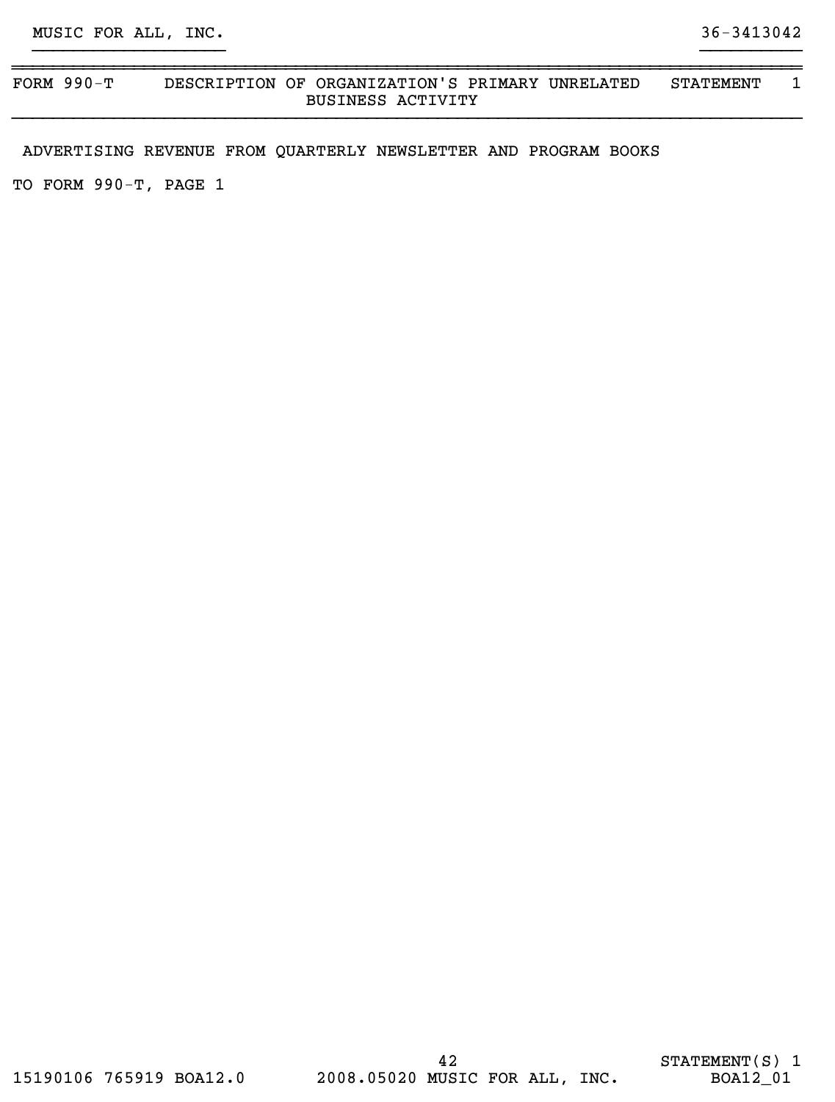#### ~~~~~~~~~~~~~~~~~~~~~~~~~~~~~~~~~~~~~~~~~~~~~~~~~~~~~~~~~~~~~~~~~~~~~~~~~~~~~~ FORM 990-T DESCRIPTION OF ORGANIZATION'S PRIMARY UNRELATED STATEMENT 1 BUSINESS ACTIVITY }}}}}}}}}}}}}}}}}}}}}}}}}}}}}}}}}}}}}}}}}}}}}}}}}}}}}}}}}}}}}}}}}}}}}}}}}}}}}}

}}}}}}}}}}}}}}}}}}} }}}}}}}}}}

ADVERTISING REVENUE FROM QUARTERLY NEWSLETTER AND PROGRAM BOOKS

TO FORM 990-T, PAGE 1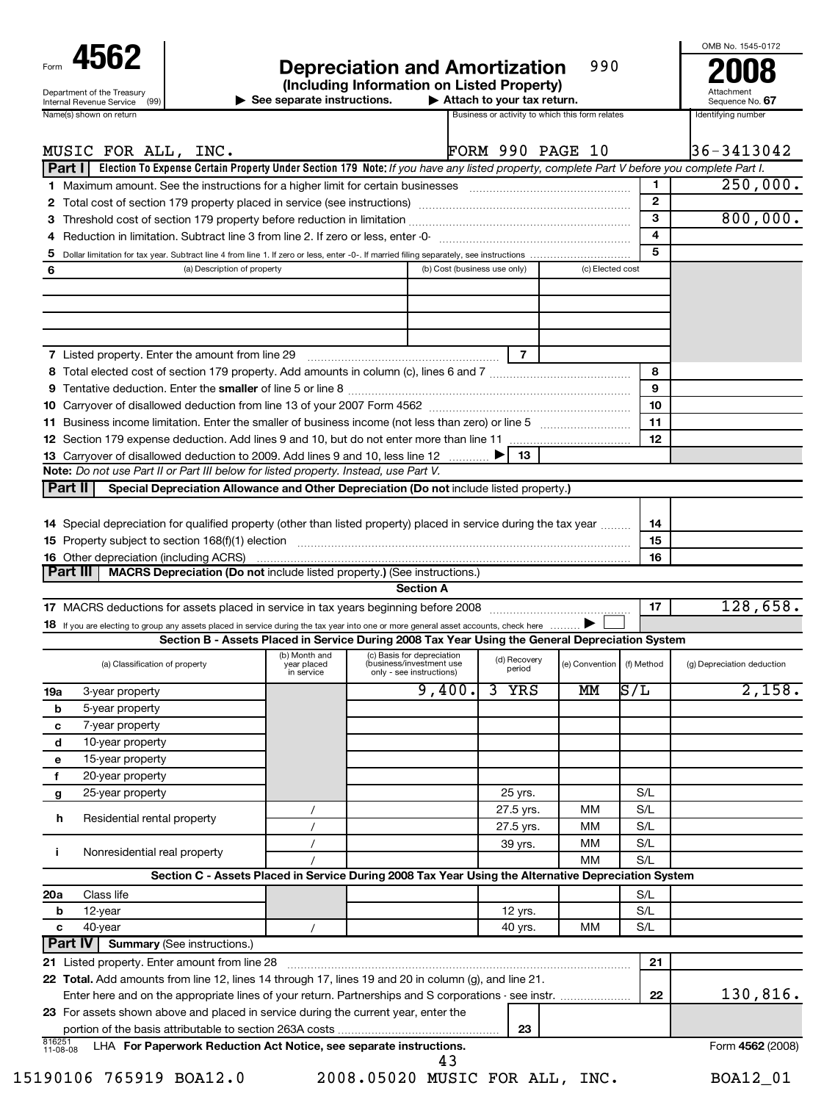| Form                                                   |  |  |  |  |  |  |
|--------------------------------------------------------|--|--|--|--|--|--|
| Department of the Treasury<br>Internal Revenue Service |  |  |  |  |  |  |

## **Depreciation and Amortization 290 <b>200** (Including Information on Listed Property) 990

| OMB No. 1545-0172 |      |  |
|-------------------|------|--|
|                   | ---- |  |

Sequence No. 67

**See separate instructions.** 9

**Attach to your tax return.**<br> **697160 Business or activity to which this form relates**<br> **678160 Business or activity to which this form relates** Business or activity to which this form relates

|                    | Name(s) shown on return                                                                                                                                  |                                            |                                                                                    |                              |                        | Business or activity to which this form relates |              | Identifying number         |
|--------------------|----------------------------------------------------------------------------------------------------------------------------------------------------------|--------------------------------------------|------------------------------------------------------------------------------------|------------------------------|------------------------|-------------------------------------------------|--------------|----------------------------|
|                    |                                                                                                                                                          |                                            |                                                                                    |                              |                        |                                                 |              |                            |
|                    | MUSIC FOR ALL, INC.                                                                                                                                      |                                            |                                                                                    |                              |                        | <b>FORM 990 PAGE 10</b>                         |              | 36-3413042                 |
|                    | Election To Expense Certain Property Under Section 179 Note: If you have any listed property, complete Part V before you complete Part I.<br>Part I      |                                            |                                                                                    |                              |                        |                                                 |              |                            |
|                    |                                                                                                                                                          |                                            |                                                                                    |                              |                        |                                                 | 1.           | 250,000.                   |
|                    | 2 Total cost of section 179 property placed in service (see instructions) manufactured cost of section 179 property placed in service (see instructions) |                                            |                                                                                    |                              |                        |                                                 | $\mathbf{2}$ |                            |
|                    |                                                                                                                                                          |                                            |                                                                                    |                              |                        |                                                 | 3<br>4       | 800,000.                   |
|                    |                                                                                                                                                          |                                            |                                                                                    |                              |                        |                                                 | 5            |                            |
| 5                  | (a) Description of property                                                                                                                              |                                            |                                                                                    | (b) Cost (business use only) |                        | (c) Elected cost                                |              |                            |
| 6                  |                                                                                                                                                          |                                            |                                                                                    |                              |                        |                                                 |              |                            |
|                    |                                                                                                                                                          |                                            |                                                                                    |                              |                        |                                                 |              |                            |
|                    |                                                                                                                                                          |                                            |                                                                                    |                              |                        |                                                 |              |                            |
|                    |                                                                                                                                                          |                                            |                                                                                    |                              |                        |                                                 |              |                            |
|                    | 7 Listed property. Enter the amount from line 29 [11] [12] [12] Listed property. Enter the amount from line 29                                           |                                            |                                                                                    |                              | $\overline{7}$         |                                                 |              |                            |
|                    |                                                                                                                                                          |                                            |                                                                                    |                              |                        |                                                 | 8            |                            |
|                    |                                                                                                                                                          |                                            |                                                                                    |                              |                        |                                                 | 9            |                            |
|                    |                                                                                                                                                          |                                            |                                                                                    |                              |                        |                                                 | 10           |                            |
|                    |                                                                                                                                                          |                                            |                                                                                    |                              |                        |                                                 | 11           |                            |
|                    |                                                                                                                                                          |                                            |                                                                                    |                              |                        |                                                 | 12           |                            |
|                    | 13 Carryover of disallowed deduction to 2009. Add lines 9 and 10, less line 12                                                                           |                                            |                                                                                    |                              | 13                     |                                                 |              |                            |
|                    | Note: Do not use Part II or Part III below for listed property. Instead, use Part V.                                                                     |                                            |                                                                                    |                              |                        |                                                 |              |                            |
|                    | Part II<br>Special Depreciation Allowance and Other Depreciation (Do not include listed property.)                                                       |                                            |                                                                                    |                              |                        |                                                 |              |                            |
|                    |                                                                                                                                                          |                                            |                                                                                    |                              |                        |                                                 |              |                            |
|                    | 14 Special depreciation for qualified property (other than listed property) placed in service during the tax year                                        |                                            |                                                                                    |                              |                        |                                                 | 14           |                            |
|                    |                                                                                                                                                          |                                            |                                                                                    |                              |                        |                                                 | 15           |                            |
|                    | <b>16</b> Other depreciation (including ACRS)                                                                                                            |                                            |                                                                                    |                              |                        |                                                 | 16           |                            |
|                    | Part III<br>MACRS Depreciation (Do not include listed property.) (See instructions.)                                                                     |                                            |                                                                                    |                              |                        |                                                 |              |                            |
|                    |                                                                                                                                                          |                                            |                                                                                    | <b>Section A</b>             |                        |                                                 |              |                            |
|                    |                                                                                                                                                          |                                            |                                                                                    |                              |                        |                                                 | 17           | 128,658.                   |
|                    | 18 If you are electing to group any assets placed in service during the tax year into one or more general asset accounts, check here                     |                                            |                                                                                    |                              |                        |                                                 |              |                            |
|                    | Section B - Assets Placed in Service During 2008 Tax Year Using the General Depreciation System                                                          |                                            |                                                                                    |                              |                        |                                                 |              |                            |
|                    | (a) Classification of property                                                                                                                           | (b) Month and<br>year placed<br>in service | (c) Basis for depreciation<br>(business/investment use<br>only - see instructions) |                              | (d) Recovery<br>period | (e) Convention                                  | (f) Method   | (g) Depreciation deduction |
| 19a                | 3-year property                                                                                                                                          |                                            |                                                                                    | $\overline{9}$ , 400.        | 3<br>YRS               | MМ                                              | S/L          | 2,158.                     |
| b                  | 5-year property                                                                                                                                          |                                            |                                                                                    |                              |                        |                                                 |              |                            |
| c                  | 7-year property                                                                                                                                          |                                            |                                                                                    |                              |                        |                                                 |              |                            |
| d                  | 10-year property                                                                                                                                         |                                            |                                                                                    |                              |                        |                                                 |              |                            |
| е                  | 15-year property                                                                                                                                         |                                            |                                                                                    |                              |                        |                                                 |              |                            |
| f                  | 20-year property                                                                                                                                         |                                            |                                                                                    |                              |                        |                                                 |              |                            |
| g                  | 25-year property                                                                                                                                         |                                            |                                                                                    |                              | 25 yrs.                |                                                 | S/L          |                            |
|                    |                                                                                                                                                          |                                            |                                                                                    |                              | 27.5 yrs.              | мм                                              | S/L          |                            |
| h.                 | Residential rental property                                                                                                                              | $\prime$                                   |                                                                                    |                              | 27.5 yrs.              | МM                                              | S/L          |                            |
|                    |                                                                                                                                                          |                                            |                                                                                    |                              | 39 yrs.                | МM                                              | S/L          |                            |
| j.                 | Nonresidential real property                                                                                                                             |                                            |                                                                                    |                              |                        | MМ                                              | S/L          |                            |
|                    | Section C - Assets Placed in Service During 2008 Tax Year Using the Alternative Depreciation System                                                      |                                            |                                                                                    |                              |                        |                                                 |              |                            |
| 20a                | Class life                                                                                                                                               |                                            |                                                                                    |                              |                        |                                                 | S/L          |                            |
| b                  | 12-year                                                                                                                                                  |                                            |                                                                                    |                              | 12 yrs.                |                                                 | S/L          |                            |
| c                  | 40-year                                                                                                                                                  |                                            |                                                                                    |                              | 40 yrs.                | мм                                              | S/L          |                            |
|                    | <b>Part IV</b><br><b>Summary (See instructions.)</b>                                                                                                     |                                            |                                                                                    |                              |                        |                                                 |              |                            |
|                    | 21 Listed property. Enter amount from line 28                                                                                                            |                                            |                                                                                    |                              |                        | .                                               | 21           |                            |
|                    | 22 Total. Add amounts from line 12, lines 14 through 17, lines 19 and 20 in column (g), and line 21.                                                     |                                            |                                                                                    |                              |                        |                                                 |              |                            |
|                    | Enter here and on the appropriate lines of your return. Partnerships and S corporations - see instr.                                                     |                                            |                                                                                    |                              |                        |                                                 | 22           | 130,816.                   |
|                    | 23 For assets shown above and placed in service during the current year, enter the                                                                       |                                            |                                                                                    |                              |                        |                                                 |              |                            |
|                    |                                                                                                                                                          |                                            |                                                                                    |                              | 23                     |                                                 |              |                            |
| 816251<br>11-08-08 | LHA For Paperwork Reduction Act Notice, see separate instructions.                                                                                       |                                            |                                                                                    | 43                           |                        |                                                 |              | Form 4562 (2008)           |

15190106 765919 BOA12.0 2008.05020 MUSIC FOR ALL, INC. BOA12\_01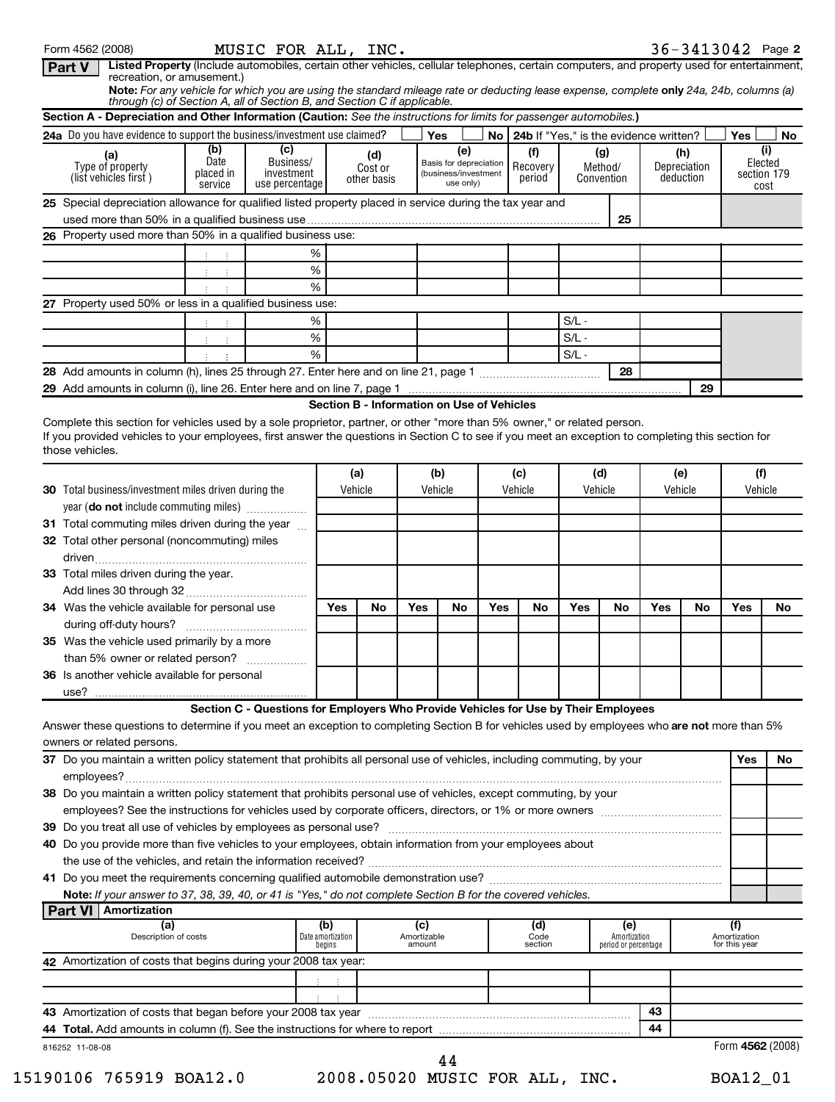| Section A - Depreciation and Other Information (Caution: See the instructions for limits for passenger automobiles.)                                                       |                                     |                                                                                     |     |                                            |     |                                                                    |                                      |                                             |         |                              |          |                                  |                        |             |
|----------------------------------------------------------------------------------------------------------------------------------------------------------------------------|-------------------------------------|-------------------------------------------------------------------------------------|-----|--------------------------------------------|-----|--------------------------------------------------------------------|--------------------------------------|---------------------------------------------|---------|------------------------------|----------|----------------------------------|------------------------|-------------|
| 24a Do you have evidence to support the business/investment use claimed?                                                                                                   |                                     |                                                                                     |     |                                            |     | Yes                                                                |                                      | No   24b If "Yes," is the evidence written? |         |                              |          |                                  | Yes                    | No.         |
| (a)<br>Type of property<br>(list vehicles first)                                                                                                                           | (b)<br>Date<br>placed in<br>service | (c)<br>Business/<br>investment<br>use percentage                                    |     | (d)<br>Cost or<br>other basis              |     | (e)<br>Basis for depreciation<br>(business/investment<br>use only) |                                      | (f)<br>Recovery<br>period                   |         | (g)<br>Method/<br>Convention |          | (h)<br>Depreciation<br>deduction | Elected<br>section 179 | (i)<br>cost |
| 25 Special depreciation allowance for qualified listed property placed in service during the tax year and                                                                  |                                     |                                                                                     |     |                                            |     |                                                                    |                                      |                                             |         |                              |          |                                  |                        |             |
|                                                                                                                                                                            |                                     |                                                                                     |     |                                            |     |                                                                    |                                      |                                             |         | 25                           |          |                                  |                        |             |
| 26 Property used more than 50% in a qualified business use:                                                                                                                |                                     |                                                                                     |     |                                            |     |                                                                    |                                      |                                             |         |                              |          |                                  |                        |             |
|                                                                                                                                                                            |                                     | %                                                                                   |     |                                            |     |                                                                    |                                      |                                             |         |                              |          |                                  |                        |             |
|                                                                                                                                                                            | $\mathcal{I}$<br>÷                  | $\%$                                                                                |     |                                            |     |                                                                    |                                      |                                             |         |                              |          |                                  |                        |             |
|                                                                                                                                                                            |                                     | %                                                                                   |     |                                            |     |                                                                    |                                      |                                             |         |                              |          |                                  |                        |             |
| 27 Property used 50% or less in a qualified business use:                                                                                                                  |                                     | %                                                                                   |     |                                            |     |                                                                    |                                      |                                             | $S/L -$ |                              |          |                                  |                        |             |
|                                                                                                                                                                            | $\mathbb{C}^{\times}$               | $\%$                                                                                |     |                                            |     |                                                                    |                                      |                                             | $S/L -$ |                              |          |                                  |                        |             |
|                                                                                                                                                                            | ÷<br>$\pm$                          | %                                                                                   |     |                                            |     |                                                                    |                                      |                                             | $S/L -$ |                              |          |                                  |                        |             |
|                                                                                                                                                                            |                                     |                                                                                     |     |                                            |     |                                                                    |                                      |                                             |         | 28                           |          |                                  |                        |             |
|                                                                                                                                                                            |                                     |                                                                                     |     |                                            |     |                                                                    |                                      |                                             |         |                              |          | 29                               |                        |             |
|                                                                                                                                                                            |                                     |                                                                                     |     | Section B - Information on Use of Vehicles |     |                                                                    |                                      |                                             |         |                              |          |                                  |                        |             |
| those vehicles.                                                                                                                                                            |                                     |                                                                                     |     | (a)                                        |     | (b)                                                                |                                      | (c)                                         |         | (d)                          |          | (e)                              | (f)                    |             |
| <b>30</b> Total business/investment miles driven during the<br>year (do not include commuting miles)                                                                       |                                     |                                                                                     |     | Vehicle                                    |     | Vehicle                                                            |                                      | Vehicle                                     | Vehicle |                              |          | Vehicle                          | Vehicle                |             |
| 31 Total commuting miles driven during the year                                                                                                                            |                                     |                                                                                     |     |                                            |     |                                                                    |                                      |                                             |         |                              |          |                                  |                        |             |
| 32 Total other personal (noncommuting) miles                                                                                                                               |                                     |                                                                                     |     |                                            |     |                                                                    |                                      |                                             |         |                              |          |                                  |                        |             |
| 33 Total miles driven during the year.                                                                                                                                     |                                     |                                                                                     |     |                                            |     |                                                                    |                                      |                                             |         |                              |          |                                  |                        |             |
| 34 Was the vehicle available for personal use                                                                                                                              |                                     |                                                                                     | Yes | No                                         | Yes | No                                                                 | Yes                                  | No                                          | Yes     | No                           | Yes      | No                               | Yes                    | No          |
|                                                                                                                                                                            |                                     |                                                                                     |     |                                            |     |                                                                    |                                      |                                             |         |                              |          |                                  |                        |             |
| 35 Was the vehicle used primarily by a more                                                                                                                                |                                     |                                                                                     |     |                                            |     |                                                                    |                                      |                                             |         |                              |          |                                  |                        |             |
| than 5% owner or related person?                                                                                                                                           |                                     |                                                                                     |     |                                            |     |                                                                    |                                      |                                             |         |                              |          |                                  |                        |             |
| <b>36</b> Is another vehicle available for personal<br>use?                                                                                                                |                                     |                                                                                     |     |                                            |     |                                                                    |                                      |                                             |         |                              |          |                                  |                        |             |
|                                                                                                                                                                            |                                     | Section C - Questions for Employers Who Provide Vehicles for Use by Their Employees |     |                                            |     |                                                                    |                                      |                                             |         |                              |          |                                  |                        |             |
| Answer these questions to determine if you meet an exception to completing Section B for vehicles used by employees who are not more than 5%                               |                                     |                                                                                     |     |                                            |     |                                                                    |                                      |                                             |         |                              |          |                                  |                        |             |
| owners or related persons.                                                                                                                                                 |                                     |                                                                                     |     |                                            |     |                                                                    |                                      |                                             |         |                              |          |                                  |                        |             |
| 37 Do you maintain a written policy statement that prohibits all personal use of vehicles, including commuting, by your                                                    |                                     |                                                                                     |     |                                            |     |                                                                    |                                      |                                             |         |                              |          |                                  | Yes                    |             |
| 38 Do you maintain a written policy statement that prohibits personal use of vehicles, except commuting, by your                                                           |                                     |                                                                                     |     |                                            |     |                                                                    |                                      |                                             |         |                              |          |                                  |                        |             |
|                                                                                                                                                                            |                                     |                                                                                     |     |                                            |     |                                                                    |                                      |                                             |         |                              |          |                                  |                        |             |
| 40 Do you provide more than five vehicles to your employees, obtain information from your employees about                                                                  |                                     |                                                                                     |     |                                            |     |                                                                    |                                      |                                             |         |                              |          |                                  |                        |             |
|                                                                                                                                                                            |                                     |                                                                                     |     |                                            |     |                                                                    |                                      |                                             |         |                              |          |                                  |                        |             |
|                                                                                                                                                                            |                                     |                                                                                     |     |                                            |     |                                                                    |                                      |                                             |         |                              |          |                                  |                        |             |
| Note: If your answer to 37, 38, 39, 40, or 41 is "Yes," do not complete Section B for the covered vehicles.                                                                |                                     |                                                                                     |     |                                            |     |                                                                    |                                      |                                             |         |                              |          |                                  |                        |             |
| <b>Part VI   Amortization</b>                                                                                                                                              |                                     |                                                                                     |     |                                            |     |                                                                    |                                      |                                             |         |                              |          |                                  |                        |             |
| (a)<br>(b)<br>(c)<br>(d)<br>(e)<br>Description of costs<br>Date amortization<br>Amortizable<br>Code<br>Amortization<br>period or percentage<br>amount<br>begins<br>section |                                     |                                                                                     |     |                                            |     |                                                                    | (f)<br>Amortization<br>for this year |                                             |         |                              |          |                                  |                        |             |
|                                                                                                                                                                            |                                     |                                                                                     |     |                                            |     |                                                                    |                                      |                                             |         |                              |          |                                  |                        |             |
| 42 Amortization of costs that begins during your 2008 tax year:                                                                                                            |                                     |                                                                                     |     |                                            |     |                                                                    |                                      |                                             |         |                              |          |                                  |                        |             |
|                                                                                                                                                                            |                                     |                                                                                     |     |                                            |     |                                                                    |                                      |                                             |         |                              |          |                                  |                        |             |
|                                                                                                                                                                            |                                     |                                                                                     |     |                                            |     |                                                                    |                                      |                                             |         |                              |          |                                  |                        |             |
|                                                                                                                                                                            |                                     |                                                                                     |     |                                            |     |                                                                    |                                      |                                             |         |                              | 43<br>44 |                                  |                        |             |

Form 4562 (2008) **MUSIC FOR ALL, INC.** 3 6-3 **4** 1 3 0 **4** 2 Page **2** 

MUSIC FOR ALL,  $INC.$   $36-3413042$